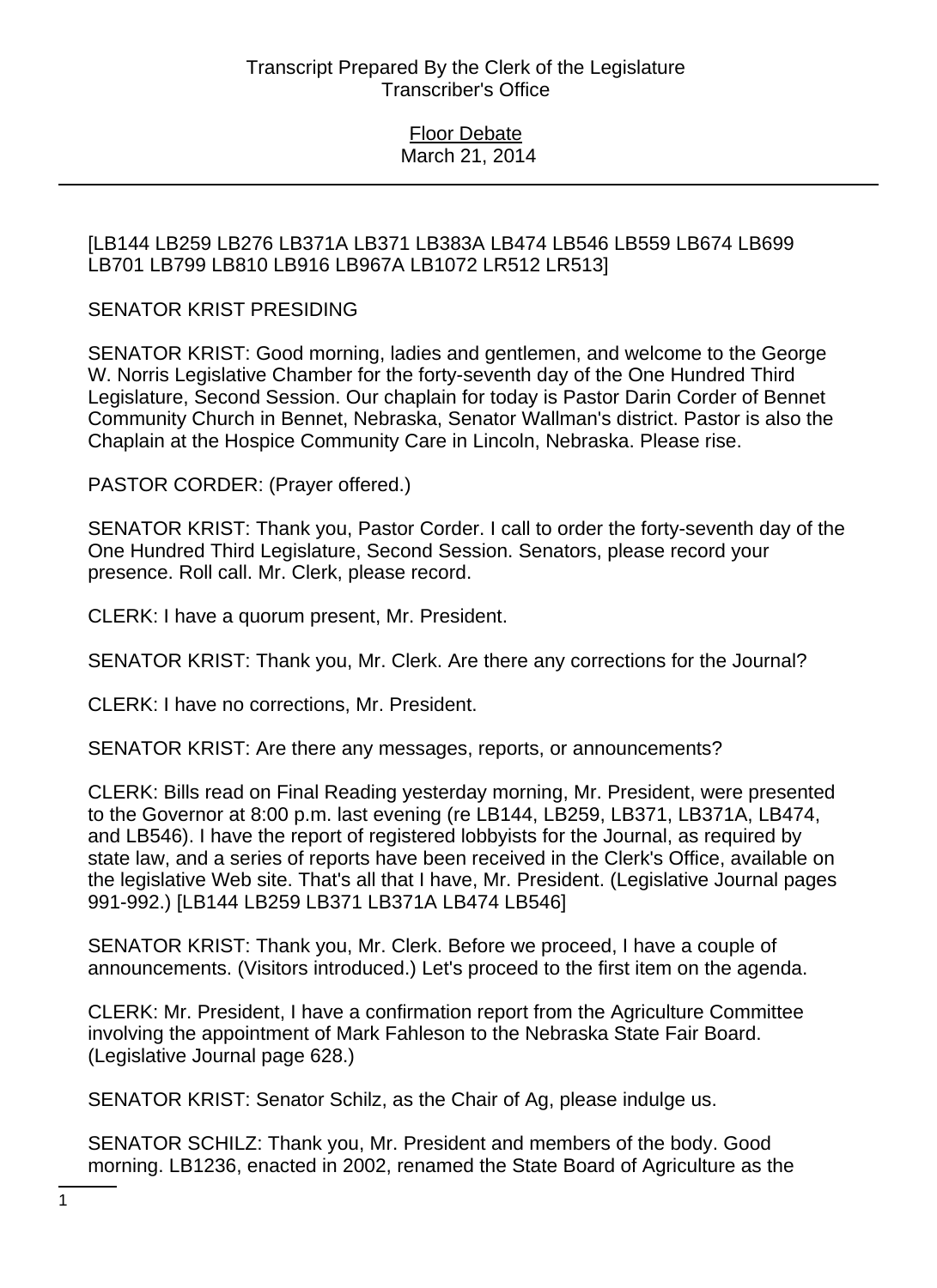## [LB144 LB259 LB276 LB371A LB371 LB383A LB474 LB546 LB559 LB674 LB699 LB701 LB799 LB810 LB916 LB967A LB1072 LR512 LR513]

# SENATOR KRIST PRESIDING

SENATOR KRIST: Good morning, ladies and gentlemen, and welcome to the George W. Norris Legislative Chamber for the forty-seventh day of the One Hundred Third Legislature, Second Session. Our chaplain for today is Pastor Darin Corder of Bennet Community Church in Bennet, Nebraska, Senator Wallman's district. Pastor is also the Chaplain at the Hospice Community Care in Lincoln, Nebraska. Please rise.

PASTOR CORDER: (Prayer offered.)

SENATOR KRIST: Thank you, Pastor Corder. I call to order the forty-seventh day of the One Hundred Third Legislature, Second Session. Senators, please record your presence. Roll call. Mr. Clerk, please record.

CLERK: I have a quorum present, Mr. President.

SENATOR KRIST: Thank you, Mr. Clerk. Are there any corrections for the Journal?

CLERK: I have no corrections, Mr. President.

SENATOR KRIST: Are there any messages, reports, or announcements?

CLERK: Bills read on Final Reading yesterday morning, Mr. President, were presented to the Governor at 8:00 p.m. last evening (re LB144, LB259, LB371, LB371A, LB474, and LB546). I have the report of registered lobbyists for the Journal, as required by state law, and a series of reports have been received in the Clerk's Office, available on the legislative Web site. That's all that I have, Mr. President. (Legislative Journal pages 991-992.) [LB144 LB259 LB371 LB371A LB474 LB546]

SENATOR KRIST: Thank you, Mr. Clerk. Before we proceed, I have a couple of announcements. (Visitors introduced.) Let's proceed to the first item on the agenda.

CLERK: Mr. President, I have a confirmation report from the Agriculture Committee involving the appointment of Mark Fahleson to the Nebraska State Fair Board. (Legislative Journal page 628.)

SENATOR KRIST: Senator Schilz, as the Chair of Ag, please indulge us.

SENATOR SCHILZ: Thank you, Mr. President and members of the body. Good morning. LB1236, enacted in 2002, renamed the State Board of Agriculture as the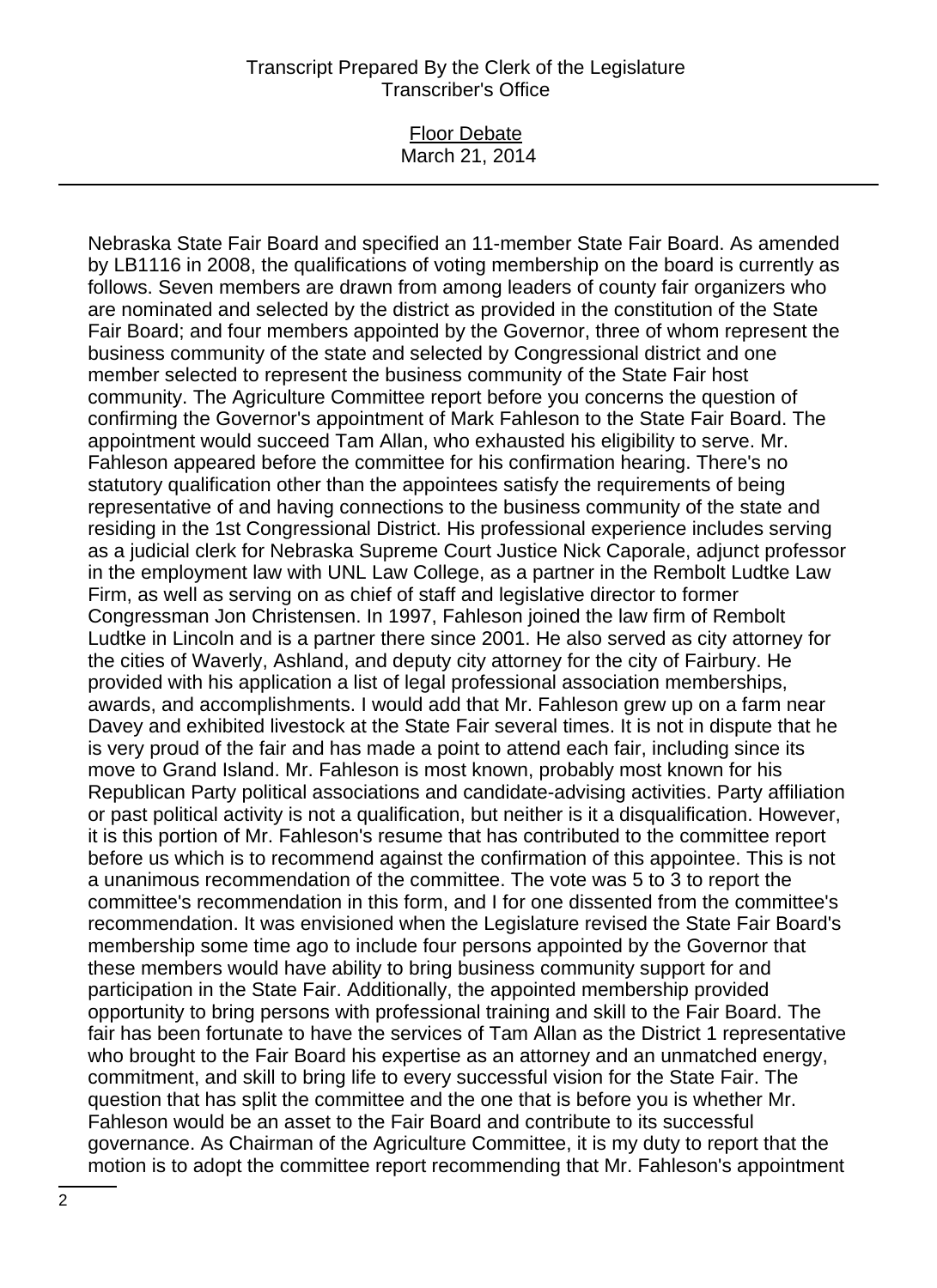#### Floor Debate March 21, 2014

Nebraska State Fair Board and specified an 11-member State Fair Board. As amended by LB1116 in 2008, the qualifications of voting membership on the board is currently as follows. Seven members are drawn from among leaders of county fair organizers who are nominated and selected by the district as provided in the constitution of the State Fair Board; and four members appointed by the Governor, three of whom represent the business community of the state and selected by Congressional district and one member selected to represent the business community of the State Fair host community. The Agriculture Committee report before you concerns the question of confirming the Governor's appointment of Mark Fahleson to the State Fair Board. The appointment would succeed Tam Allan, who exhausted his eligibility to serve. Mr. Fahleson appeared before the committee for his confirmation hearing. There's no statutory qualification other than the appointees satisfy the requirements of being representative of and having connections to the business community of the state and residing in the 1st Congressional District. His professional experience includes serving as a judicial clerk for Nebraska Supreme Court Justice Nick Caporale, adjunct professor in the employment law with UNL Law College, as a partner in the Rembolt Ludtke Law Firm, as well as serving on as chief of staff and legislative director to former Congressman Jon Christensen. In 1997, Fahleson joined the law firm of Rembolt Ludtke in Lincoln and is a partner there since 2001. He also served as city attorney for the cities of Waverly, Ashland, and deputy city attorney for the city of Fairbury. He provided with his application a list of legal professional association memberships, awards, and accomplishments. I would add that Mr. Fahleson grew up on a farm near Davey and exhibited livestock at the State Fair several times. It is not in dispute that he is very proud of the fair and has made a point to attend each fair, including since its move to Grand Island. Mr. Fahleson is most known, probably most known for his Republican Party political associations and candidate-advising activities. Party affiliation or past political activity is not a qualification, but neither is it a disqualification. However, it is this portion of Mr. Fahleson's resume that has contributed to the committee report before us which is to recommend against the confirmation of this appointee. This is not a unanimous recommendation of the committee. The vote was 5 to 3 to report the committee's recommendation in this form, and I for one dissented from the committee's recommendation. It was envisioned when the Legislature revised the State Fair Board's membership some time ago to include four persons appointed by the Governor that these members would have ability to bring business community support for and participation in the State Fair. Additionally, the appointed membership provided opportunity to bring persons with professional training and skill to the Fair Board. The fair has been fortunate to have the services of Tam Allan as the District 1 representative who brought to the Fair Board his expertise as an attorney and an unmatched energy, commitment, and skill to bring life to every successful vision for the State Fair. The question that has split the committee and the one that is before you is whether Mr. Fahleson would be an asset to the Fair Board and contribute to its successful governance. As Chairman of the Agriculture Committee, it is my duty to report that the motion is to adopt the committee report recommending that Mr. Fahleson's appointment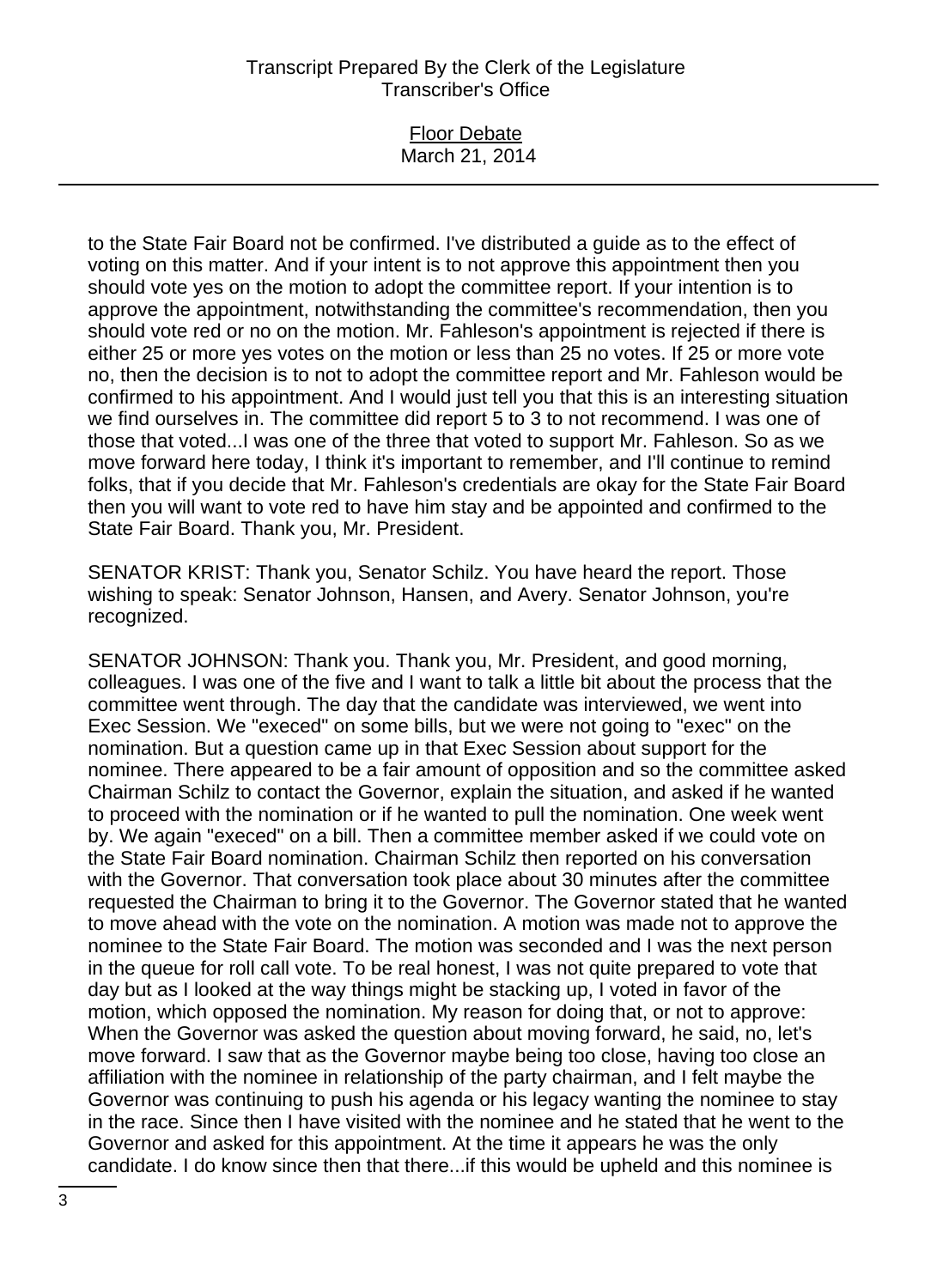### Floor Debate March 21, 2014

to the State Fair Board not be confirmed. I've distributed a guide as to the effect of voting on this matter. And if your intent is to not approve this appointment then you should vote yes on the motion to adopt the committee report. If your intention is to approve the appointment, notwithstanding the committee's recommendation, then you should vote red or no on the motion. Mr. Fahleson's appointment is rejected if there is either 25 or more yes votes on the motion or less than 25 no votes. If 25 or more vote no, then the decision is to not to adopt the committee report and Mr. Fahleson would be confirmed to his appointment. And I would just tell you that this is an interesting situation we find ourselves in. The committee did report 5 to 3 to not recommend. I was one of those that voted...I was one of the three that voted to support Mr. Fahleson. So as we move forward here today, I think it's important to remember, and I'll continue to remind folks, that if you decide that Mr. Fahleson's credentials are okay for the State Fair Board then you will want to vote red to have him stay and be appointed and confirmed to the State Fair Board. Thank you, Mr. President.

SENATOR KRIST: Thank you, Senator Schilz. You have heard the report. Those wishing to speak: Senator Johnson, Hansen, and Avery. Senator Johnson, you're recognized.

SENATOR JOHNSON: Thank you. Thank you, Mr. President, and good morning, colleagues. I was one of the five and I want to talk a little bit about the process that the committee went through. The day that the candidate was interviewed, we went into Exec Session. We "execed" on some bills, but we were not going to "exec" on the nomination. But a question came up in that Exec Session about support for the nominee. There appeared to be a fair amount of opposition and so the committee asked Chairman Schilz to contact the Governor, explain the situation, and asked if he wanted to proceed with the nomination or if he wanted to pull the nomination. One week went by. We again "execed" on a bill. Then a committee member asked if we could vote on the State Fair Board nomination. Chairman Schilz then reported on his conversation with the Governor. That conversation took place about 30 minutes after the committee requested the Chairman to bring it to the Governor. The Governor stated that he wanted to move ahead with the vote on the nomination. A motion was made not to approve the nominee to the State Fair Board. The motion was seconded and I was the next person in the queue for roll call vote. To be real honest, I was not quite prepared to vote that day but as I looked at the way things might be stacking up, I voted in favor of the motion, which opposed the nomination. My reason for doing that, or not to approve: When the Governor was asked the question about moving forward, he said, no, let's move forward. I saw that as the Governor maybe being too close, having too close an affiliation with the nominee in relationship of the party chairman, and I felt maybe the Governor was continuing to push his agenda or his legacy wanting the nominee to stay in the race. Since then I have visited with the nominee and he stated that he went to the Governor and asked for this appointment. At the time it appears he was the only candidate. I do know since then that there...if this would be upheld and this nominee is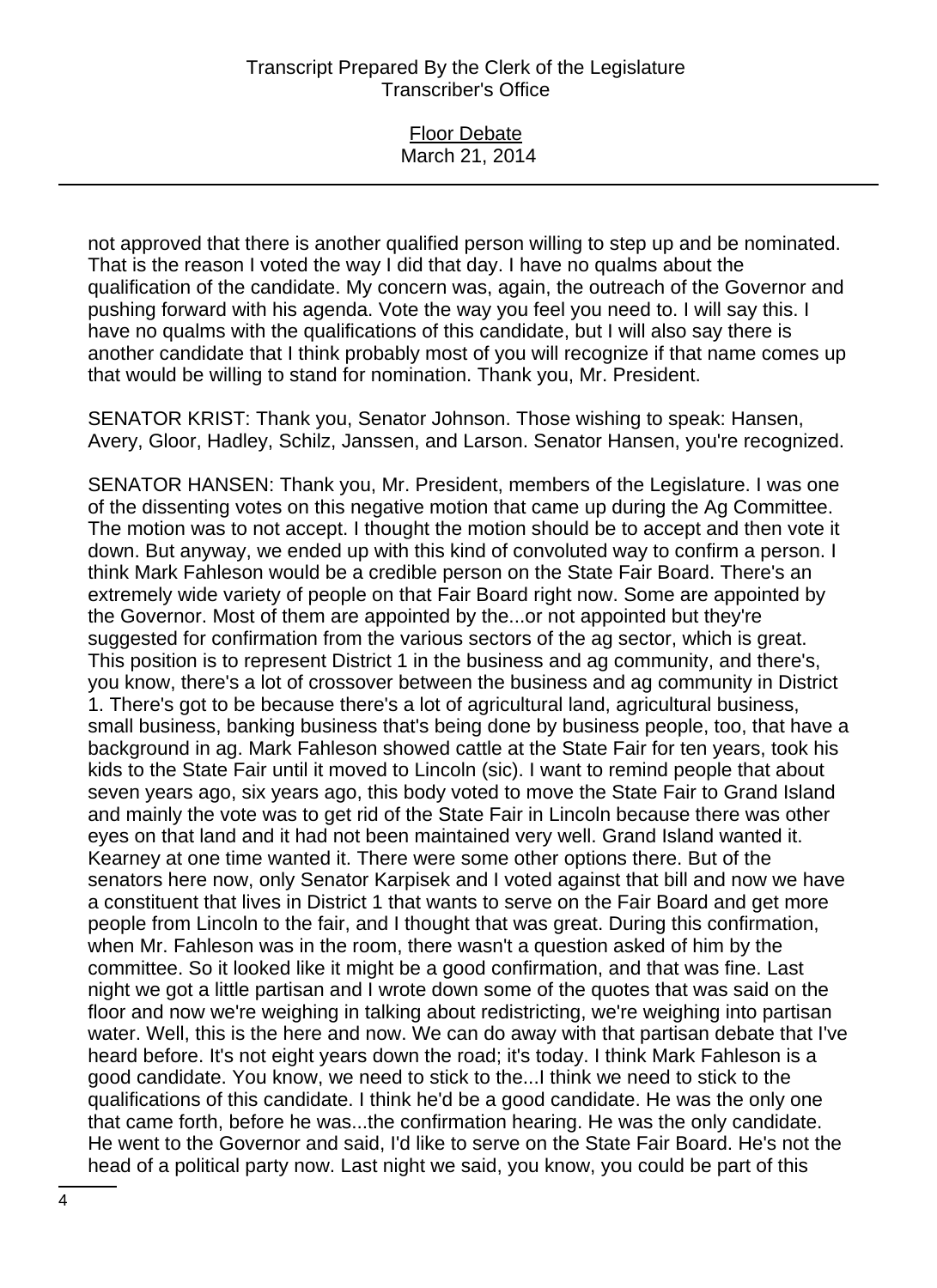Floor Debate March 21, 2014

not approved that there is another qualified person willing to step up and be nominated. That is the reason I voted the way I did that day. I have no qualms about the qualification of the candidate. My concern was, again, the outreach of the Governor and pushing forward with his agenda. Vote the way you feel you need to. I will say this. I have no qualms with the qualifications of this candidate, but I will also say there is another candidate that I think probably most of you will recognize if that name comes up that would be willing to stand for nomination. Thank you, Mr. President.

SENATOR KRIST: Thank you, Senator Johnson. Those wishing to speak: Hansen, Avery, Gloor, Hadley, Schilz, Janssen, and Larson. Senator Hansen, you're recognized.

SENATOR HANSEN: Thank you, Mr. President, members of the Legislature. I was one of the dissenting votes on this negative motion that came up during the Ag Committee. The motion was to not accept. I thought the motion should be to accept and then vote it down. But anyway, we ended up with this kind of convoluted way to confirm a person. I think Mark Fahleson would be a credible person on the State Fair Board. There's an extremely wide variety of people on that Fair Board right now. Some are appointed by the Governor. Most of them are appointed by the...or not appointed but they're suggested for confirmation from the various sectors of the ag sector, which is great. This position is to represent District 1 in the business and ag community, and there's, you know, there's a lot of crossover between the business and ag community in District 1. There's got to be because there's a lot of agricultural land, agricultural business, small business, banking business that's being done by business people, too, that have a background in ag. Mark Fahleson showed cattle at the State Fair for ten years, took his kids to the State Fair until it moved to Lincoln (sic). I want to remind people that about seven years ago, six years ago, this body voted to move the State Fair to Grand Island and mainly the vote was to get rid of the State Fair in Lincoln because there was other eyes on that land and it had not been maintained very well. Grand Island wanted it. Kearney at one time wanted it. There were some other options there. But of the senators here now, only Senator Karpisek and I voted against that bill and now we have a constituent that lives in District 1 that wants to serve on the Fair Board and get more people from Lincoln to the fair, and I thought that was great. During this confirmation, when Mr. Fahleson was in the room, there wasn't a question asked of him by the committee. So it looked like it might be a good confirmation, and that was fine. Last night we got a little partisan and I wrote down some of the quotes that was said on the floor and now we're weighing in talking about redistricting, we're weighing into partisan water. Well, this is the here and now. We can do away with that partisan debate that I've heard before. It's not eight years down the road; it's today. I think Mark Fahleson is a good candidate. You know, we need to stick to the...I think we need to stick to the qualifications of this candidate. I think he'd be a good candidate. He was the only one that came forth, before he was...the confirmation hearing. He was the only candidate. He went to the Governor and said, I'd like to serve on the State Fair Board. He's not the head of a political party now. Last night we said, you know, you could be part of this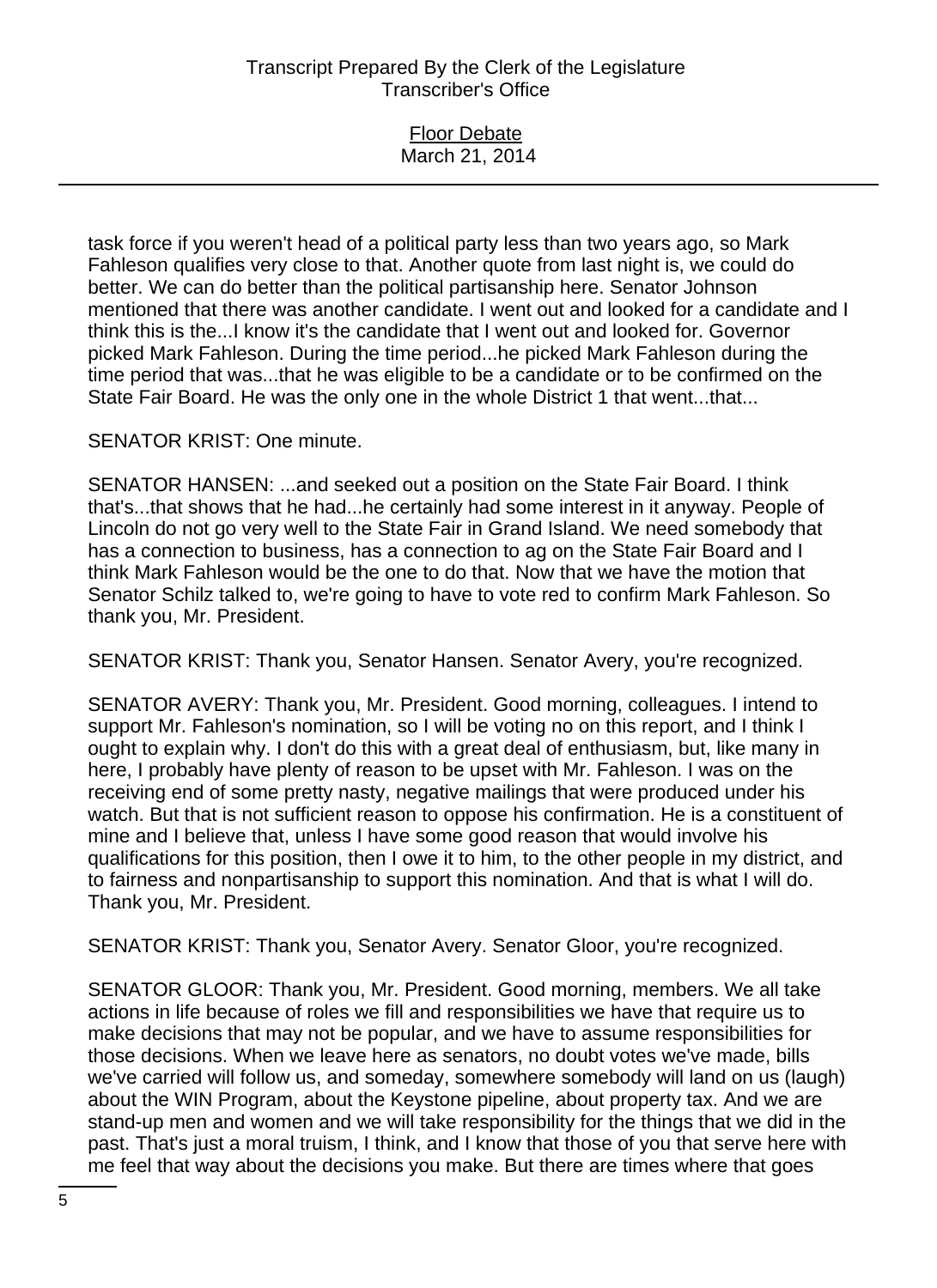| <b>Floor Debate</b> |
|---------------------|
|                     |
| March 21, 2014      |
|                     |

task force if you weren't head of a political party less than two years ago, so Mark Fahleson qualifies very close to that. Another quote from last night is, we could do better. We can do better than the political partisanship here. Senator Johnson mentioned that there was another candidate. I went out and looked for a candidate and I think this is the...I know it's the candidate that I went out and looked for. Governor picked Mark Fahleson. During the time period...he picked Mark Fahleson during the time period that was...that he was eligible to be a candidate or to be confirmed on the State Fair Board. He was the only one in the whole District 1 that went...that...

SENATOR KRIST: One minute.

SENATOR HANSEN: ...and seeked out a position on the State Fair Board. I think that's...that shows that he had...he certainly had some interest in it anyway. People of Lincoln do not go very well to the State Fair in Grand Island. We need somebody that has a connection to business, has a connection to ag on the State Fair Board and I think Mark Fahleson would be the one to do that. Now that we have the motion that Senator Schilz talked to, we're going to have to vote red to confirm Mark Fahleson. So thank you, Mr. President.

SENATOR KRIST: Thank you, Senator Hansen. Senator Avery, you're recognized.

SENATOR AVERY: Thank you, Mr. President. Good morning, colleagues. I intend to support Mr. Fahleson's nomination, so I will be voting no on this report, and I think I ought to explain why. I don't do this with a great deal of enthusiasm, but, like many in here, I probably have plenty of reason to be upset with Mr. Fahleson. I was on the receiving end of some pretty nasty, negative mailings that were produced under his watch. But that is not sufficient reason to oppose his confirmation. He is a constituent of mine and I believe that, unless I have some good reason that would involve his qualifications for this position, then I owe it to him, to the other people in my district, and to fairness and nonpartisanship to support this nomination. And that is what I will do. Thank you, Mr. President.

SENATOR KRIST: Thank you, Senator Avery. Senator Gloor, you're recognized.

SENATOR GLOOR: Thank you, Mr. President. Good morning, members. We all take actions in life because of roles we fill and responsibilities we have that require us to make decisions that may not be popular, and we have to assume responsibilities for those decisions. When we leave here as senators, no doubt votes we've made, bills we've carried will follow us, and someday, somewhere somebody will land on us (laugh) about the WIN Program, about the Keystone pipeline, about property tax. And we are stand-up men and women and we will take responsibility for the things that we did in the past. That's just a moral truism, I think, and I know that those of you that serve here with me feel that way about the decisions you make. But there are times where that goes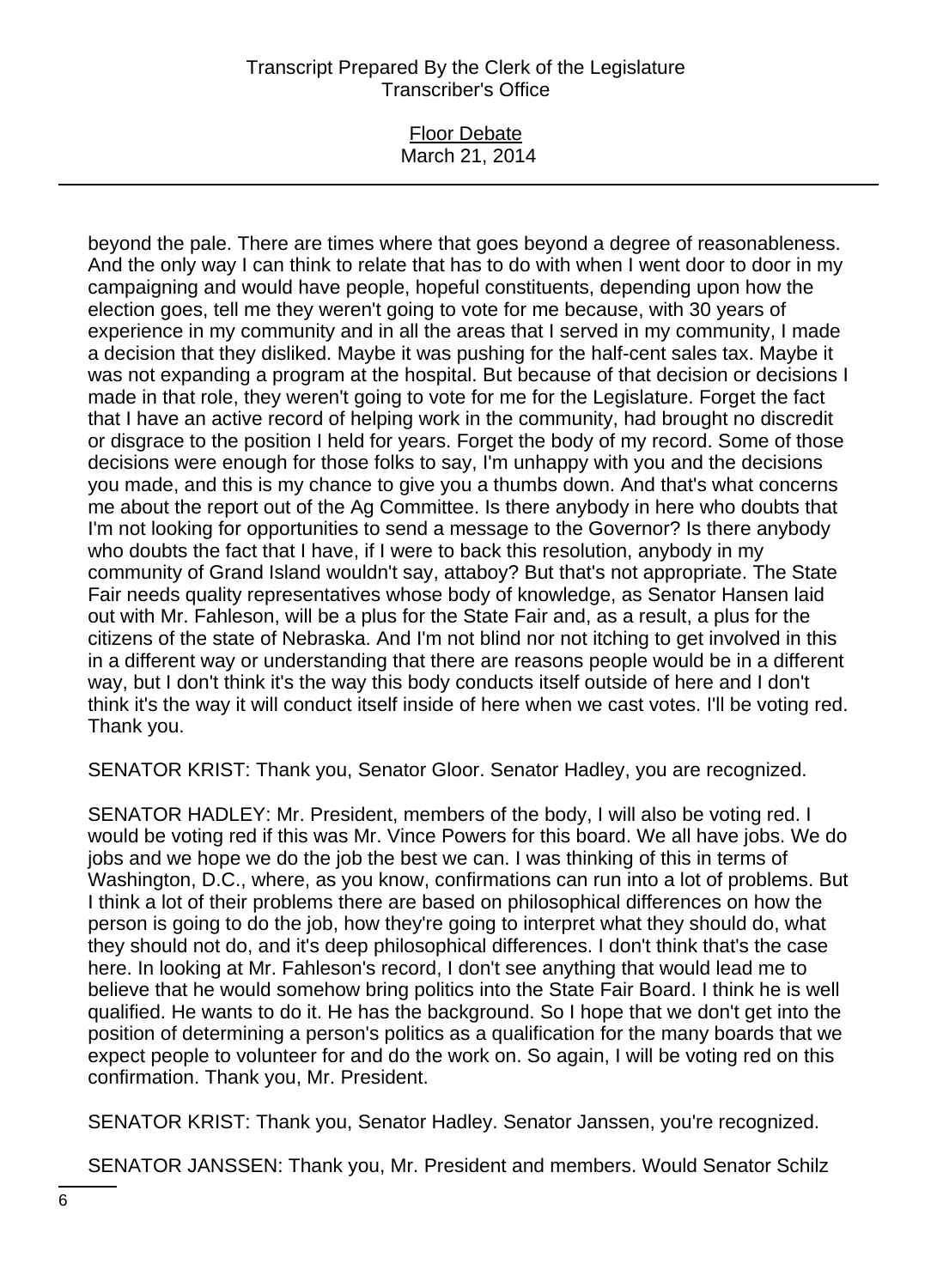## Floor Debate March 21, 2014

beyond the pale. There are times where that goes beyond a degree of reasonableness. And the only way I can think to relate that has to do with when I went door to door in my campaigning and would have people, hopeful constituents, depending upon how the election goes, tell me they weren't going to vote for me because, with 30 years of experience in my community and in all the areas that I served in my community, I made a decision that they disliked. Maybe it was pushing for the half-cent sales tax. Maybe it was not expanding a program at the hospital. But because of that decision or decisions I made in that role, they weren't going to vote for me for the Legislature. Forget the fact that I have an active record of helping work in the community, had brought no discredit or disgrace to the position I held for years. Forget the body of my record. Some of those decisions were enough for those folks to say, I'm unhappy with you and the decisions you made, and this is my chance to give you a thumbs down. And that's what concerns me about the report out of the Ag Committee. Is there anybody in here who doubts that I'm not looking for opportunities to send a message to the Governor? Is there anybody who doubts the fact that I have, if I were to back this resolution, anybody in my community of Grand Island wouldn't say, attaboy? But that's not appropriate. The State Fair needs quality representatives whose body of knowledge, as Senator Hansen laid out with Mr. Fahleson, will be a plus for the State Fair and, as a result, a plus for the citizens of the state of Nebraska. And I'm not blind nor not itching to get involved in this in a different way or understanding that there are reasons people would be in a different way, but I don't think it's the way this body conducts itself outside of here and I don't think it's the way it will conduct itself inside of here when we cast votes. I'll be voting red. Thank you.

SENATOR KRIST: Thank you, Senator Gloor. Senator Hadley, you are recognized.

SENATOR HADLEY: Mr. President, members of the body, I will also be voting red. I would be voting red if this was Mr. Vince Powers for this board. We all have jobs. We do jobs and we hope we do the job the best we can. I was thinking of this in terms of Washington, D.C., where, as you know, confirmations can run into a lot of problems. But I think a lot of their problems there are based on philosophical differences on how the person is going to do the job, how they're going to interpret what they should do, what they should not do, and it's deep philosophical differences. I don't think that's the case here. In looking at Mr. Fahleson's record, I don't see anything that would lead me to believe that he would somehow bring politics into the State Fair Board. I think he is well qualified. He wants to do it. He has the background. So I hope that we don't get into the position of determining a person's politics as a qualification for the many boards that we expect people to volunteer for and do the work on. So again, I will be voting red on this confirmation. Thank you, Mr. President.

SENATOR KRIST: Thank you, Senator Hadley. Senator Janssen, you're recognized.

SENATOR JANSSEN: Thank you, Mr. President and members. Would Senator Schilz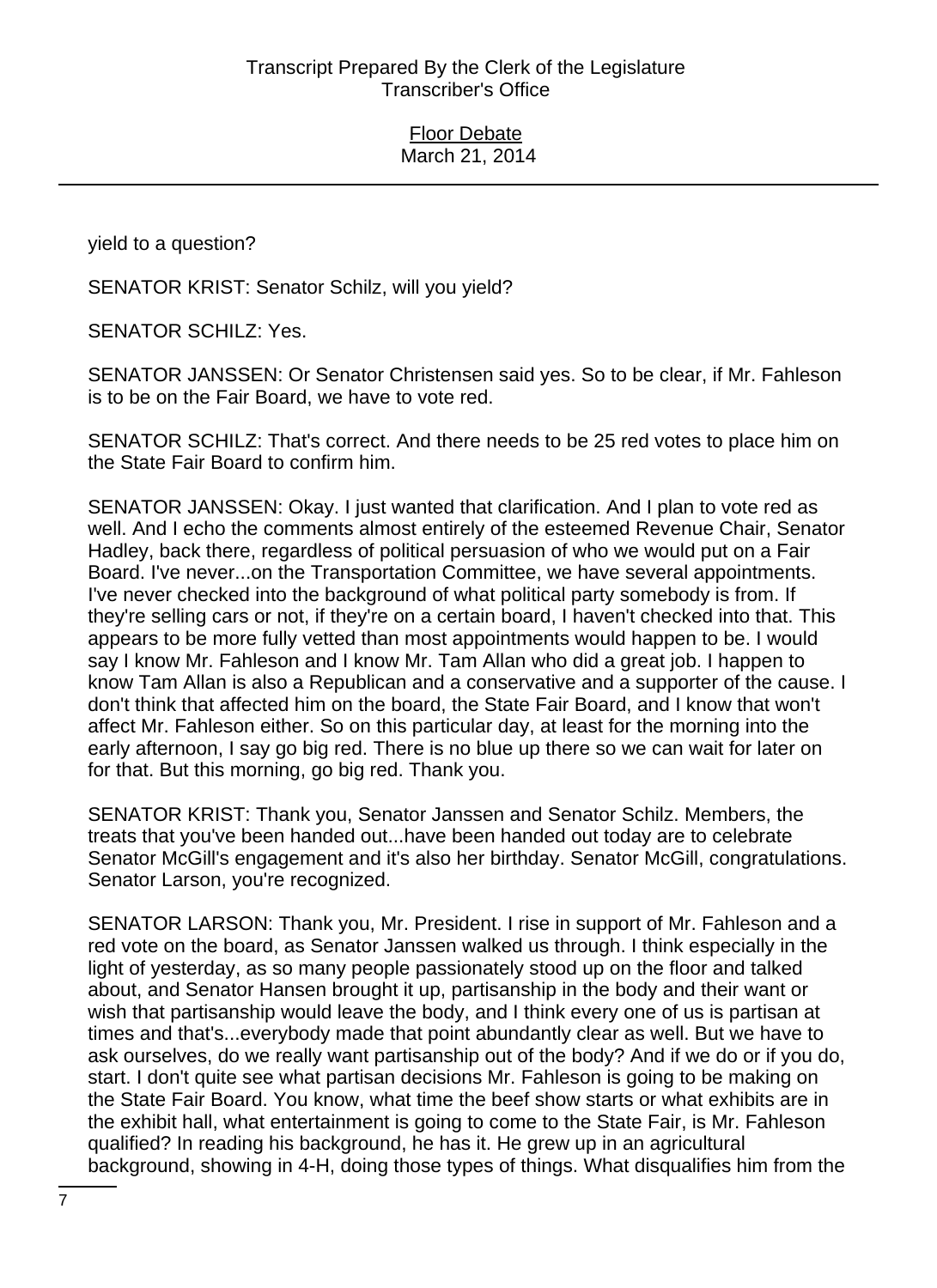yield to a question?

SENATOR KRIST: Senator Schilz, will you yield?

SENATOR SCHILZ: Yes.

SENATOR JANSSEN: Or Senator Christensen said yes. So to be clear, if Mr. Fahleson is to be on the Fair Board, we have to vote red.

SENATOR SCHILZ: That's correct. And there needs to be 25 red votes to place him on the State Fair Board to confirm him.

SENATOR JANSSEN: Okay. I just wanted that clarification. And I plan to vote red as well. And I echo the comments almost entirely of the esteemed Revenue Chair, Senator Hadley, back there, regardless of political persuasion of who we would put on a Fair Board. I've never...on the Transportation Committee, we have several appointments. I've never checked into the background of what political party somebody is from. If they're selling cars or not, if they're on a certain board, I haven't checked into that. This appears to be more fully vetted than most appointments would happen to be. I would say I know Mr. Fahleson and I know Mr. Tam Allan who did a great job. I happen to know Tam Allan is also a Republican and a conservative and a supporter of the cause. I don't think that affected him on the board, the State Fair Board, and I know that won't affect Mr. Fahleson either. So on this particular day, at least for the morning into the early afternoon, I say go big red. There is no blue up there so we can wait for later on for that. But this morning, go big red. Thank you.

SENATOR KRIST: Thank you, Senator Janssen and Senator Schilz. Members, the treats that you've been handed out...have been handed out today are to celebrate Senator McGill's engagement and it's also her birthday. Senator McGill, congratulations. Senator Larson, you're recognized.

SENATOR LARSON: Thank you, Mr. President. I rise in support of Mr. Fahleson and a red vote on the board, as Senator Janssen walked us through. I think especially in the light of yesterday, as so many people passionately stood up on the floor and talked about, and Senator Hansen brought it up, partisanship in the body and their want or wish that partisanship would leave the body, and I think every one of us is partisan at times and that's...everybody made that point abundantly clear as well. But we have to ask ourselves, do we really want partisanship out of the body? And if we do or if you do, start. I don't quite see what partisan decisions Mr. Fahleson is going to be making on the State Fair Board. You know, what time the beef show starts or what exhibits are in the exhibit hall, what entertainment is going to come to the State Fair, is Mr. Fahleson qualified? In reading his background, he has it. He grew up in an agricultural background, showing in 4-H, doing those types of things. What disqualifies him from the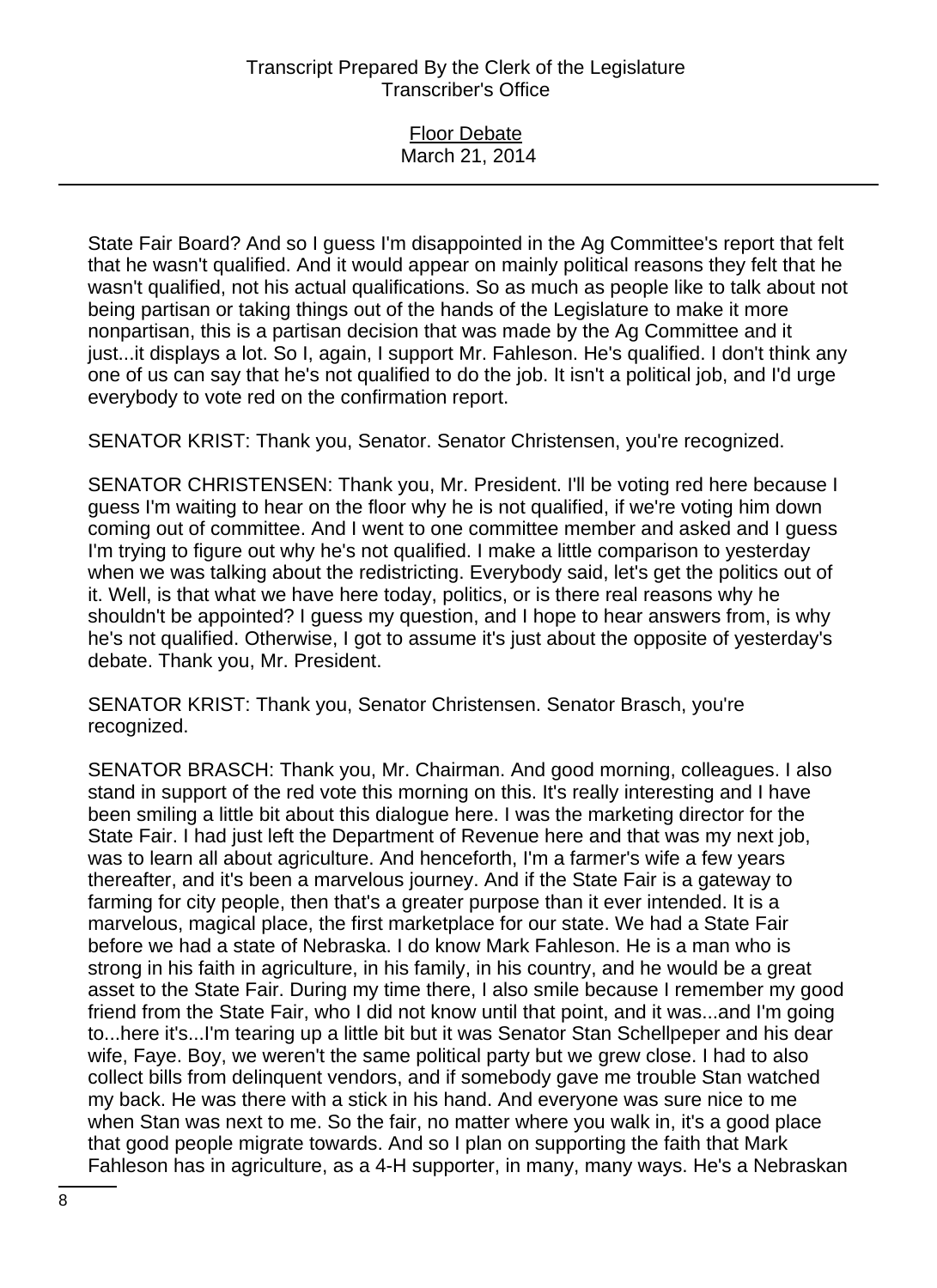| <b>Floor Debate</b> |
|---------------------|
| March 21, 2014      |

State Fair Board? And so I guess I'm disappointed in the Ag Committee's report that felt that he wasn't qualified. And it would appear on mainly political reasons they felt that he wasn't qualified, not his actual qualifications. So as much as people like to talk about not being partisan or taking things out of the hands of the Legislature to make it more nonpartisan, this is a partisan decision that was made by the Ag Committee and it just...it displays a lot. So I, again, I support Mr. Fahleson. He's qualified. I don't think any one of us can say that he's not qualified to do the job. It isn't a political job, and I'd urge everybody to vote red on the confirmation report.

SENATOR KRIST: Thank you, Senator. Senator Christensen, you're recognized.

SENATOR CHRISTENSEN: Thank you, Mr. President. I'll be voting red here because I guess I'm waiting to hear on the floor why he is not qualified, if we're voting him down coming out of committee. And I went to one committee member and asked and I guess I'm trying to figure out why he's not qualified. I make a little comparison to yesterday when we was talking about the redistricting. Everybody said, let's get the politics out of it. Well, is that what we have here today, politics, or is there real reasons why he shouldn't be appointed? I guess my question, and I hope to hear answers from, is why he's not qualified. Otherwise, I got to assume it's just about the opposite of yesterday's debate. Thank you, Mr. President.

SENATOR KRIST: Thank you, Senator Christensen. Senator Brasch, you're recognized.

SENATOR BRASCH: Thank you, Mr. Chairman. And good morning, colleagues. I also stand in support of the red vote this morning on this. It's really interesting and I have been smiling a little bit about this dialogue here. I was the marketing director for the State Fair. I had just left the Department of Revenue here and that was my next job, was to learn all about agriculture. And henceforth, I'm a farmer's wife a few years thereafter, and it's been a marvelous journey. And if the State Fair is a gateway to farming for city people, then that's a greater purpose than it ever intended. It is a marvelous, magical place, the first marketplace for our state. We had a State Fair before we had a state of Nebraska. I do know Mark Fahleson. He is a man who is strong in his faith in agriculture, in his family, in his country, and he would be a great asset to the State Fair. During my time there, I also smile because I remember my good friend from the State Fair, who I did not know until that point, and it was...and I'm going to...here it's...I'm tearing up a little bit but it was Senator Stan Schellpeper and his dear wife, Faye. Boy, we weren't the same political party but we grew close. I had to also collect bills from delinquent vendors, and if somebody gave me trouble Stan watched my back. He was there with a stick in his hand. And everyone was sure nice to me when Stan was next to me. So the fair, no matter where you walk in, it's a good place that good people migrate towards. And so I plan on supporting the faith that Mark Fahleson has in agriculture, as a 4-H supporter, in many, many ways. He's a Nebraskan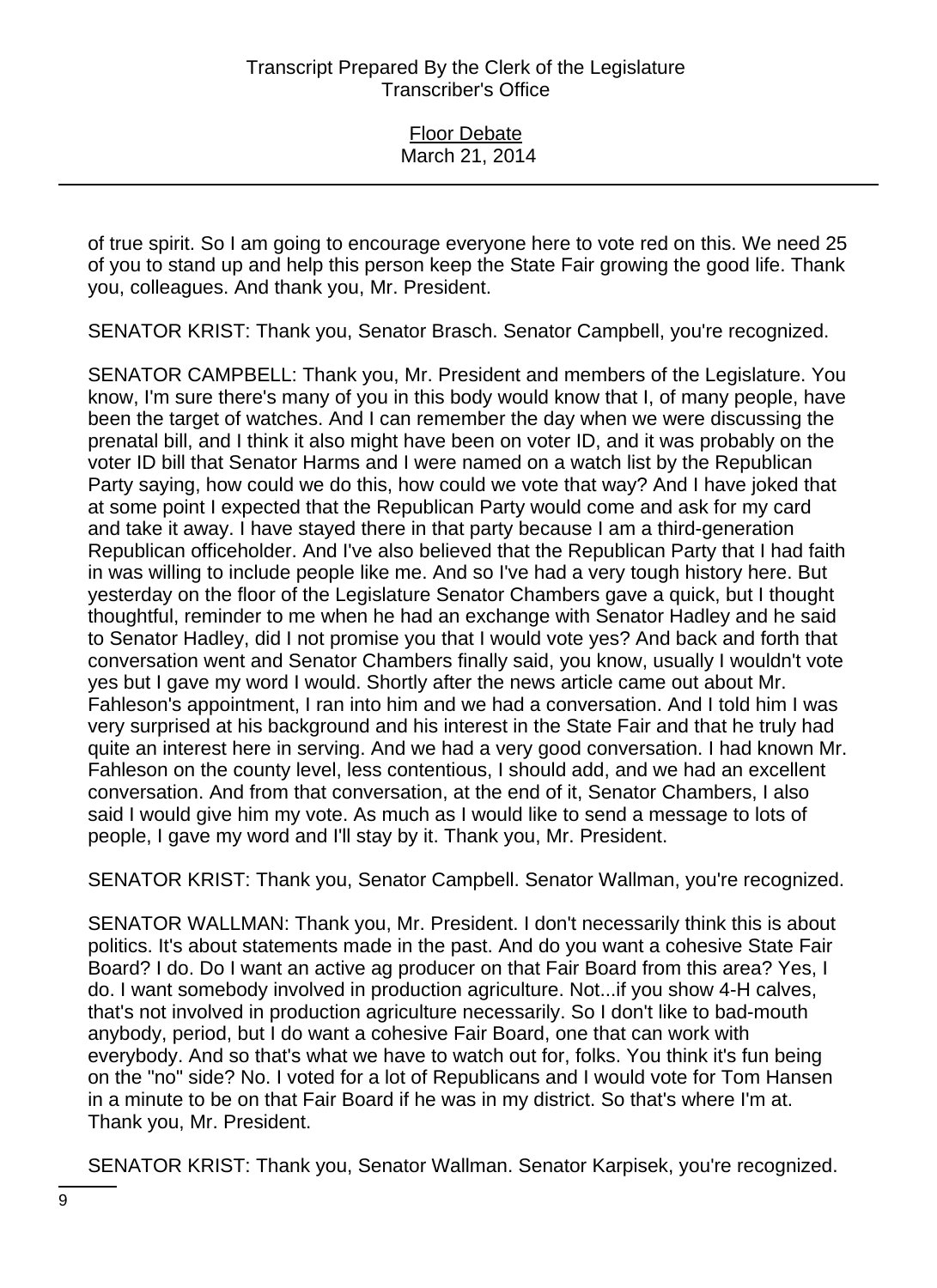of true spirit. So I am going to encourage everyone here to vote red on this. We need 25 of you to stand up and help this person keep the State Fair growing the good life. Thank you, colleagues. And thank you, Mr. President.

SENATOR KRIST: Thank you, Senator Brasch. Senator Campbell, you're recognized.

SENATOR CAMPBELL: Thank you, Mr. President and members of the Legislature. You know, I'm sure there's many of you in this body would know that I, of many people, have been the target of watches. And I can remember the day when we were discussing the prenatal bill, and I think it also might have been on voter ID, and it was probably on the voter ID bill that Senator Harms and I were named on a watch list by the Republican Party saying, how could we do this, how could we vote that way? And I have joked that at some point I expected that the Republican Party would come and ask for my card and take it away. I have stayed there in that party because I am a third-generation Republican officeholder. And I've also believed that the Republican Party that I had faith in was willing to include people like me. And so I've had a very tough history here. But yesterday on the floor of the Legislature Senator Chambers gave a quick, but I thought thoughtful, reminder to me when he had an exchange with Senator Hadley and he said to Senator Hadley, did I not promise you that I would vote yes? And back and forth that conversation went and Senator Chambers finally said, you know, usually I wouldn't vote yes but I gave my word I would. Shortly after the news article came out about Mr. Fahleson's appointment, I ran into him and we had a conversation. And I told him I was very surprised at his background and his interest in the State Fair and that he truly had quite an interest here in serving. And we had a very good conversation. I had known Mr. Fahleson on the county level, less contentious, I should add, and we had an excellent conversation. And from that conversation, at the end of it, Senator Chambers, I also said I would give him my vote. As much as I would like to send a message to lots of people, I gave my word and I'll stay by it. Thank you, Mr. President.

SENATOR KRIST: Thank you, Senator Campbell. Senator Wallman, you're recognized.

SENATOR WALLMAN: Thank you, Mr. President. I don't necessarily think this is about politics. It's about statements made in the past. And do you want a cohesive State Fair Board? I do. Do I want an active ag producer on that Fair Board from this area? Yes, I do. I want somebody involved in production agriculture. Not...if you show 4-H calves, that's not involved in production agriculture necessarily. So I don't like to bad-mouth anybody, period, but I do want a cohesive Fair Board, one that can work with everybody. And so that's what we have to watch out for, folks. You think it's fun being on the "no" side? No. I voted for a lot of Republicans and I would vote for Tom Hansen in a minute to be on that Fair Board if he was in my district. So that's where I'm at. Thank you, Mr. President.

SENATOR KRIST: Thank you, Senator Wallman. Senator Karpisek, you're recognized.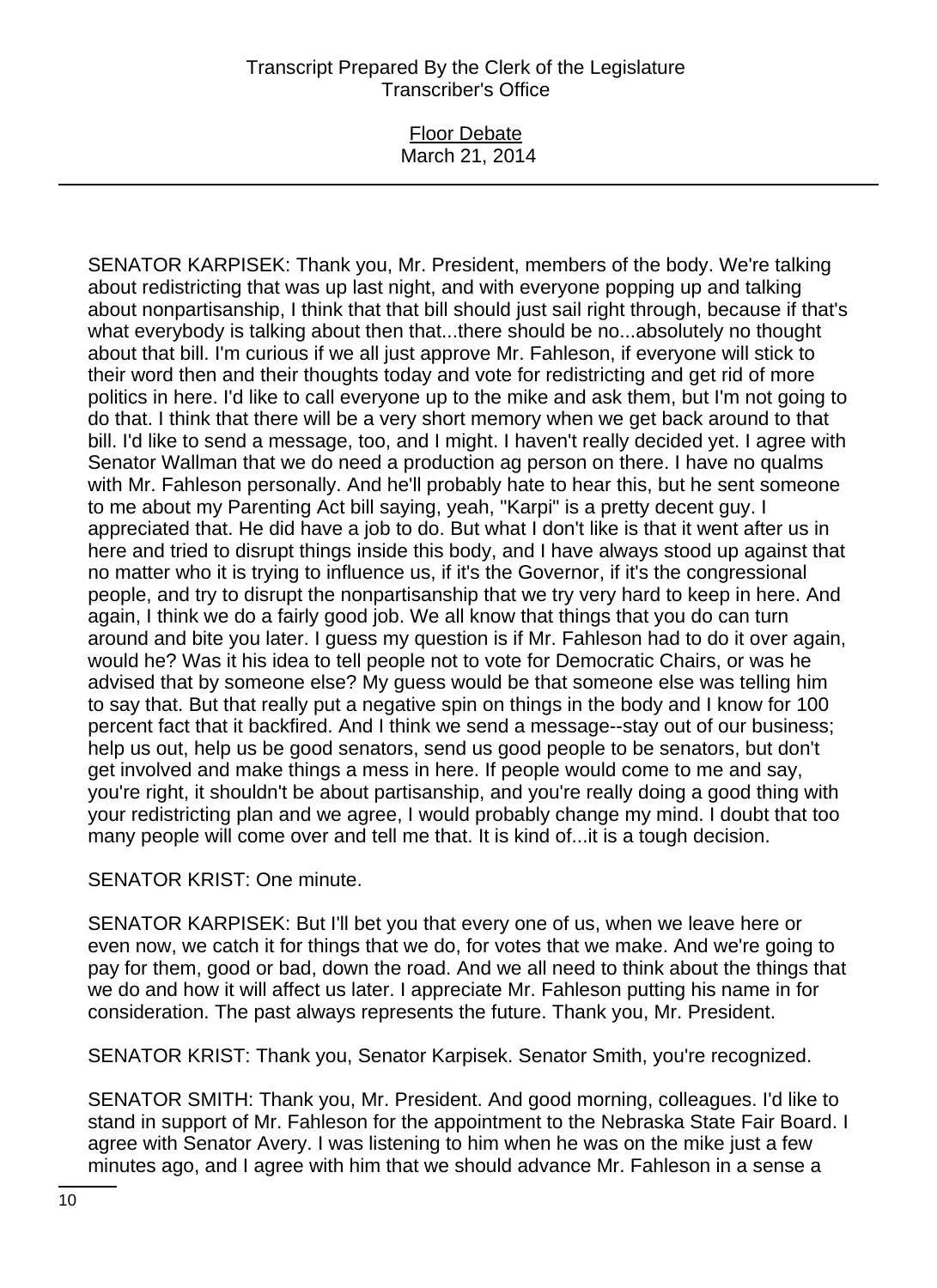## Floor Debate March 21, 2014

SENATOR KARPISEK: Thank you, Mr. President, members of the body. We're talking about redistricting that was up last night, and with everyone popping up and talking about nonpartisanship, I think that that bill should just sail right through, because if that's what everybody is talking about then that...there should be no...absolutely no thought about that bill. I'm curious if we all just approve Mr. Fahleson, if everyone will stick to their word then and their thoughts today and vote for redistricting and get rid of more politics in here. I'd like to call everyone up to the mike and ask them, but I'm not going to do that. I think that there will be a very short memory when we get back around to that bill. I'd like to send a message, too, and I might. I haven't really decided yet. I agree with Senator Wallman that we do need a production ag person on there. I have no qualms with Mr. Fahleson personally. And he'll probably hate to hear this, but he sent someone to me about my Parenting Act bill saying, yeah, "Karpi" is a pretty decent guy. I appreciated that. He did have a job to do. But what I don't like is that it went after us in here and tried to disrupt things inside this body, and I have always stood up against that no matter who it is trying to influence us, if it's the Governor, if it's the congressional people, and try to disrupt the nonpartisanship that we try very hard to keep in here. And again, I think we do a fairly good job. We all know that things that you do can turn around and bite you later. I guess my question is if Mr. Fahleson had to do it over again, would he? Was it his idea to tell people not to vote for Democratic Chairs, or was he advised that by someone else? My guess would be that someone else was telling him to say that. But that really put a negative spin on things in the body and I know for 100 percent fact that it backfired. And I think we send a message--stay out of our business; help us out, help us be good senators, send us good people to be senators, but don't get involved and make things a mess in here. If people would come to me and say, you're right, it shouldn't be about partisanship, and you're really doing a good thing with your redistricting plan and we agree, I would probably change my mind. I doubt that too many people will come over and tell me that. It is kind of...it is a tough decision.

SENATOR KRIST: One minute.

SENATOR KARPISEK: But I'll bet you that every one of us, when we leave here or even now, we catch it for things that we do, for votes that we make. And we're going to pay for them, good or bad, down the road. And we all need to think about the things that we do and how it will affect us later. I appreciate Mr. Fahleson putting his name in for consideration. The past always represents the future. Thank you, Mr. President.

SENATOR KRIST: Thank you, Senator Karpisek. Senator Smith, you're recognized.

SENATOR SMITH: Thank you, Mr. President. And good morning, colleagues. I'd like to stand in support of Mr. Fahleson for the appointment to the Nebraska State Fair Board. I agree with Senator Avery. I was listening to him when he was on the mike just a few minutes ago, and I agree with him that we should advance Mr. Fahleson in a sense a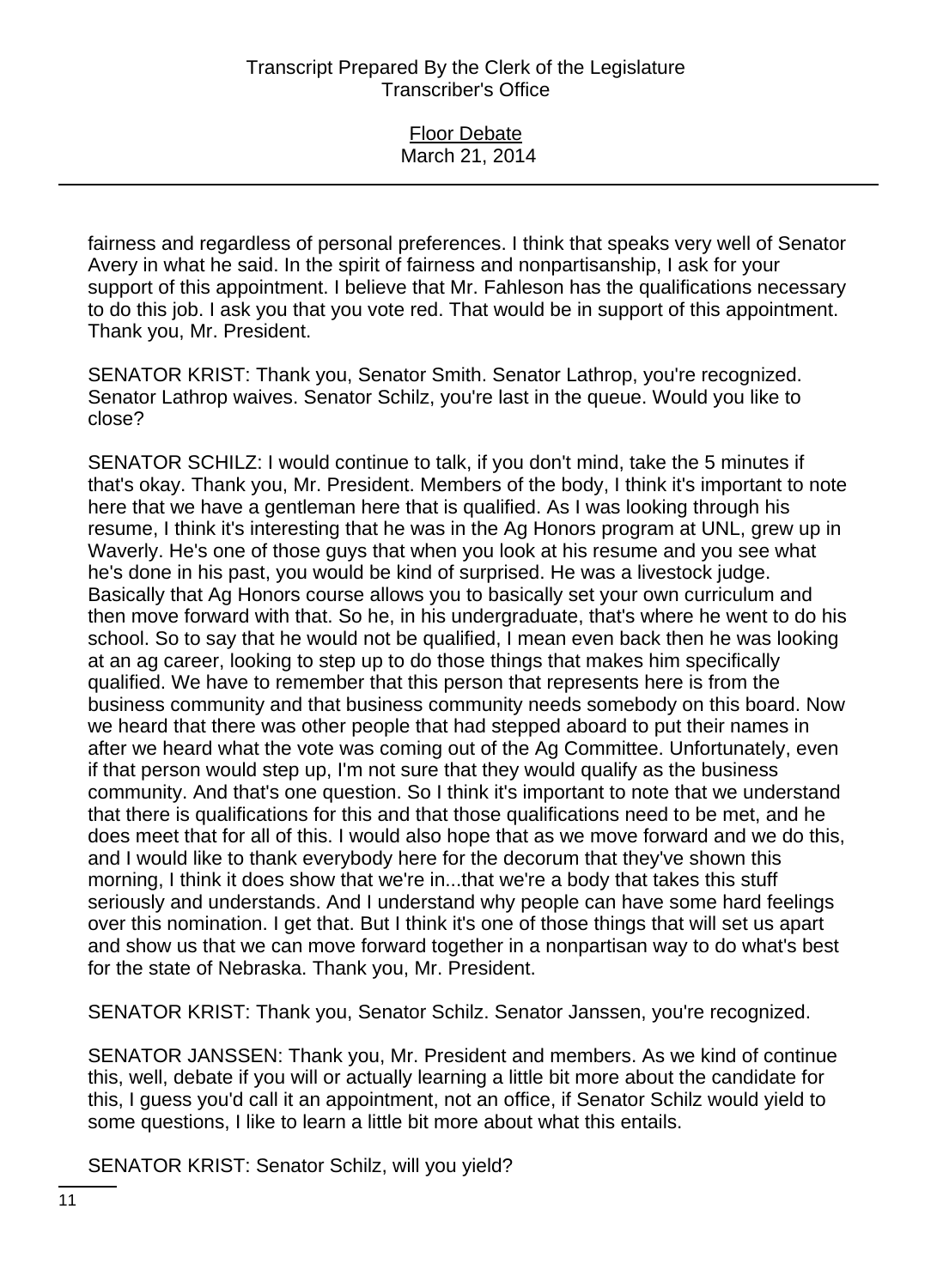| <b>Floor Debate</b> |  |
|---------------------|--|
| March 21, 2014      |  |

fairness and regardless of personal preferences. I think that speaks very well of Senator Avery in what he said. In the spirit of fairness and nonpartisanship, I ask for your support of this appointment. I believe that Mr. Fahleson has the qualifications necessary to do this job. I ask you that you vote red. That would be in support of this appointment. Thank you, Mr. President.

SENATOR KRIST: Thank you, Senator Smith. Senator Lathrop, you're recognized. Senator Lathrop waives. Senator Schilz, you're last in the queue. Would you like to close?

SENATOR SCHILZ: I would continue to talk, if you don't mind, take the 5 minutes if that's okay. Thank you, Mr. President. Members of the body, I think it's important to note here that we have a gentleman here that is qualified. As I was looking through his resume, I think it's interesting that he was in the Ag Honors program at UNL, grew up in Waverly. He's one of those guys that when you look at his resume and you see what he's done in his past, you would be kind of surprised. He was a livestock judge. Basically that Ag Honors course allows you to basically set your own curriculum and then move forward with that. So he, in his undergraduate, that's where he went to do his school. So to say that he would not be qualified, I mean even back then he was looking at an ag career, looking to step up to do those things that makes him specifically qualified. We have to remember that this person that represents here is from the business community and that business community needs somebody on this board. Now we heard that there was other people that had stepped aboard to put their names in after we heard what the vote was coming out of the Ag Committee. Unfortunately, even if that person would step up, I'm not sure that they would qualify as the business community. And that's one question. So I think it's important to note that we understand that there is qualifications for this and that those qualifications need to be met, and he does meet that for all of this. I would also hope that as we move forward and we do this, and I would like to thank everybody here for the decorum that they've shown this morning, I think it does show that we're in...that we're a body that takes this stuff seriously and understands. And I understand why people can have some hard feelings over this nomination. I get that. But I think it's one of those things that will set us apart and show us that we can move forward together in a nonpartisan way to do what's best for the state of Nebraska. Thank you, Mr. President.

SENATOR KRIST: Thank you, Senator Schilz. Senator Janssen, you're recognized.

SENATOR JANSSEN: Thank you, Mr. President and members. As we kind of continue this, well, debate if you will or actually learning a little bit more about the candidate for this, I guess you'd call it an appointment, not an office, if Senator Schilz would yield to some questions, I like to learn a little bit more about what this entails.

SENATOR KRIST: Senator Schilz, will you yield?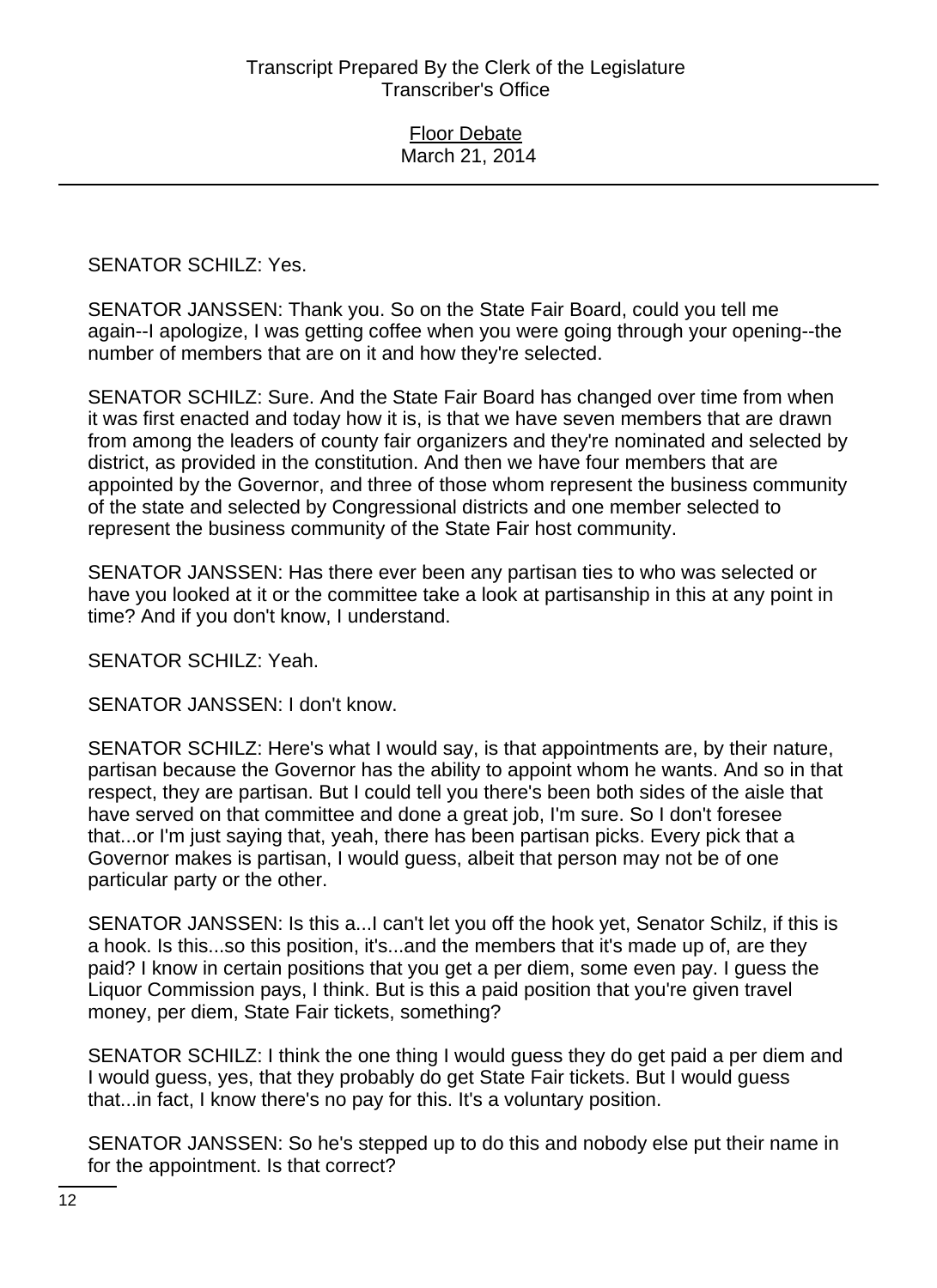SENATOR SCHILZ: Yes.

SENATOR JANSSEN: Thank you. So on the State Fair Board, could you tell me again--I apologize, I was getting coffee when you were going through your opening--the number of members that are on it and how they're selected.

SENATOR SCHILZ: Sure. And the State Fair Board has changed over time from when it was first enacted and today how it is, is that we have seven members that are drawn from among the leaders of county fair organizers and they're nominated and selected by district, as provided in the constitution. And then we have four members that are appointed by the Governor, and three of those whom represent the business community of the state and selected by Congressional districts and one member selected to represent the business community of the State Fair host community.

SENATOR JANSSEN: Has there ever been any partisan ties to who was selected or have you looked at it or the committee take a look at partisanship in this at any point in time? And if you don't know, I understand.

SENATOR SCHILZ: Yeah.

SENATOR JANSSEN: I don't know.

SENATOR SCHILZ: Here's what I would say, is that appointments are, by their nature, partisan because the Governor has the ability to appoint whom he wants. And so in that respect, they are partisan. But I could tell you there's been both sides of the aisle that have served on that committee and done a great job, I'm sure. So I don't foresee that...or I'm just saying that, yeah, there has been partisan picks. Every pick that a Governor makes is partisan, I would guess, albeit that person may not be of one particular party or the other.

SENATOR JANSSEN: Is this a...I can't let you off the hook yet, Senator Schilz, if this is a hook. Is this...so this position, it's...and the members that it's made up of, are they paid? I know in certain positions that you get a per diem, some even pay. I guess the Liquor Commission pays, I think. But is this a paid position that you're given travel money, per diem, State Fair tickets, something?

SENATOR SCHILZ: I think the one thing I would guess they do get paid a per diem and I would guess, yes, that they probably do get State Fair tickets. But I would guess that...in fact, I know there's no pay for this. It's a voluntary position.

SENATOR JANSSEN: So he's stepped up to do this and nobody else put their name in for the appointment. Is that correct?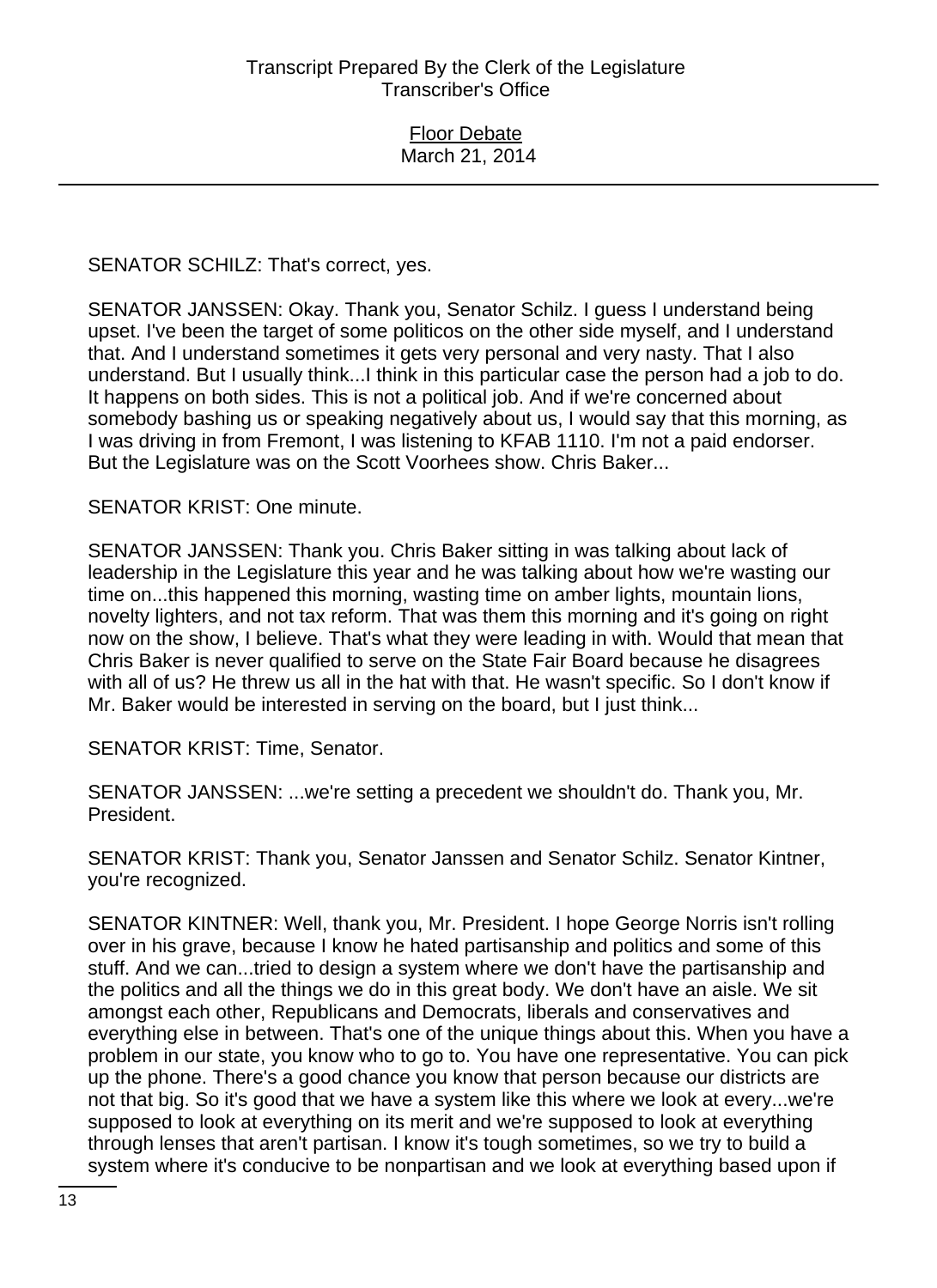SENATOR SCHILZ: That's correct, yes.

SENATOR JANSSEN: Okay. Thank you, Senator Schilz. I guess I understand being upset. I've been the target of some politicos on the other side myself, and I understand that. And I understand sometimes it gets very personal and very nasty. That I also understand. But I usually think...I think in this particular case the person had a job to do. It happens on both sides. This is not a political job. And if we're concerned about somebody bashing us or speaking negatively about us, I would say that this morning, as I was driving in from Fremont, I was listening to KFAB 1110. I'm not a paid endorser. But the Legislature was on the Scott Voorhees show. Chris Baker...

SENATOR KRIST: One minute.

SENATOR JANSSEN: Thank you. Chris Baker sitting in was talking about lack of leadership in the Legislature this year and he was talking about how we're wasting our time on...this happened this morning, wasting time on amber lights, mountain lions, novelty lighters, and not tax reform. That was them this morning and it's going on right now on the show, I believe. That's what they were leading in with. Would that mean that Chris Baker is never qualified to serve on the State Fair Board because he disagrees with all of us? He threw us all in the hat with that. He wasn't specific. So I don't know if Mr. Baker would be interested in serving on the board, but I just think...

SENATOR KRIST: Time, Senator.

SENATOR JANSSEN: ...we're setting a precedent we shouldn't do. Thank you, Mr. President.

SENATOR KRIST: Thank you, Senator Janssen and Senator Schilz. Senator Kintner, you're recognized.

SENATOR KINTNER: Well, thank you, Mr. President. I hope George Norris isn't rolling over in his grave, because I know he hated partisanship and politics and some of this stuff. And we can...tried to design a system where we don't have the partisanship and the politics and all the things we do in this great body. We don't have an aisle. We sit amongst each other, Republicans and Democrats, liberals and conservatives and everything else in between. That's one of the unique things about this. When you have a problem in our state, you know who to go to. You have one representative. You can pick up the phone. There's a good chance you know that person because our districts are not that big. So it's good that we have a system like this where we look at every...we're supposed to look at everything on its merit and we're supposed to look at everything through lenses that aren't partisan. I know it's tough sometimes, so we try to build a system where it's conducive to be nonpartisan and we look at everything based upon if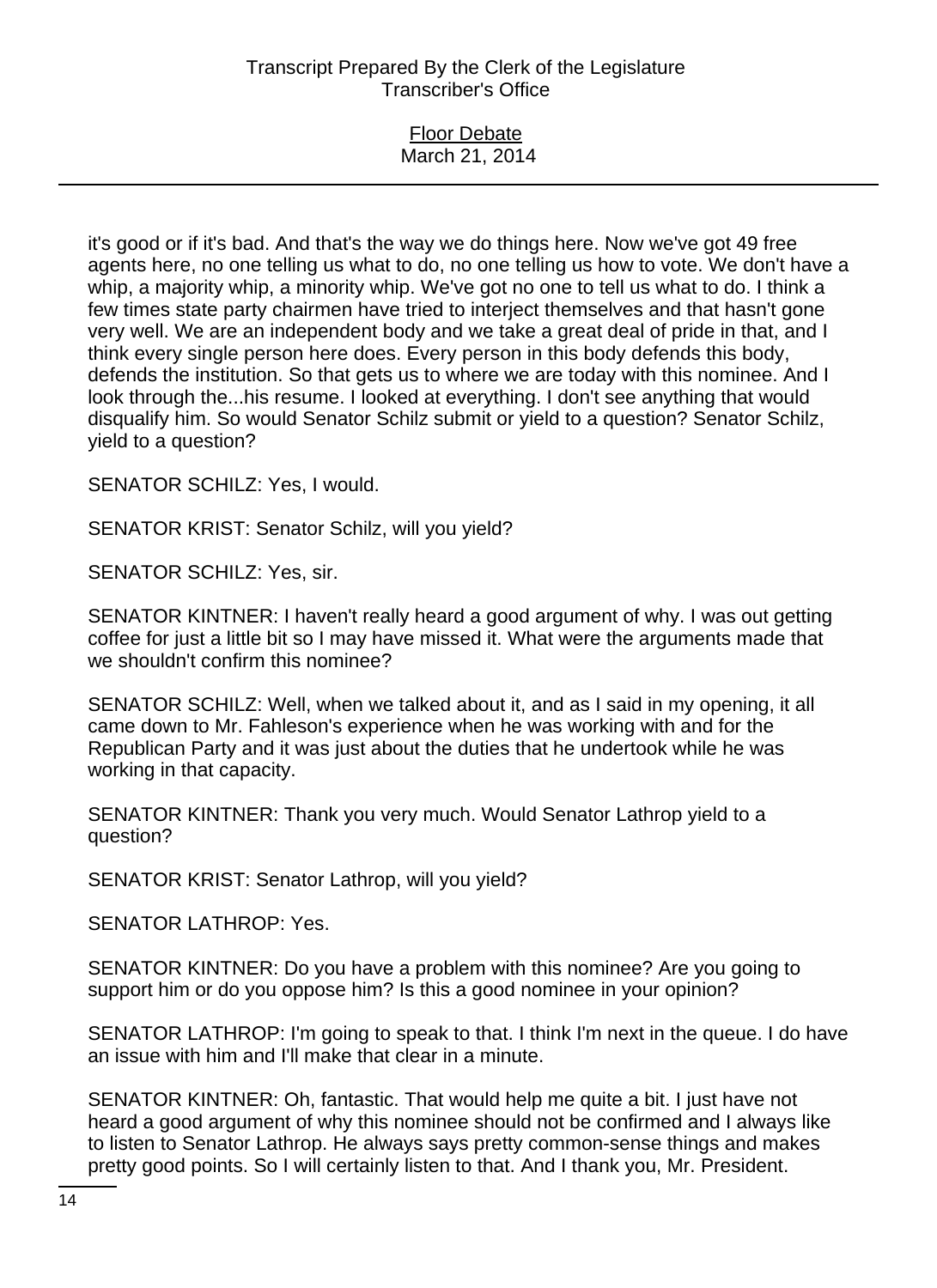#### Floor Debate March 21, 2014

it's good or if it's bad. And that's the way we do things here. Now we've got 49 free agents here, no one telling us what to do, no one telling us how to vote. We don't have a whip, a majority whip, a minority whip. We've got no one to tell us what to do. I think a few times state party chairmen have tried to interject themselves and that hasn't gone very well. We are an independent body and we take a great deal of pride in that, and I think every single person here does. Every person in this body defends this body, defends the institution. So that gets us to where we are today with this nominee. And I look through the...his resume. I looked at everything. I don't see anything that would disqualify him. So would Senator Schilz submit or yield to a question? Senator Schilz, yield to a question?

SENATOR SCHILZ: Yes, I would.

SENATOR KRIST: Senator Schilz, will you yield?

SENATOR SCHILZ: Yes, sir.

SENATOR KINTNER: I haven't really heard a good argument of why. I was out getting coffee for just a little bit so I may have missed it. What were the arguments made that we shouldn't confirm this nominee?

SENATOR SCHILZ: Well, when we talked about it, and as I said in my opening, it all came down to Mr. Fahleson's experience when he was working with and for the Republican Party and it was just about the duties that he undertook while he was working in that capacity.

SENATOR KINTNER: Thank you very much. Would Senator Lathrop yield to a question?

SENATOR KRIST: Senator Lathrop, will you yield?

SENATOR LATHROP: Yes.

SENATOR KINTNER: Do you have a problem with this nominee? Are you going to support him or do you oppose him? Is this a good nominee in your opinion?

SENATOR LATHROP: I'm going to speak to that. I think I'm next in the queue. I do have an issue with him and I'll make that clear in a minute.

SENATOR KINTNER: Oh, fantastic. That would help me quite a bit. I just have not heard a good argument of why this nominee should not be confirmed and I always like to listen to Senator Lathrop. He always says pretty common-sense things and makes pretty good points. So I will certainly listen to that. And I thank you, Mr. President.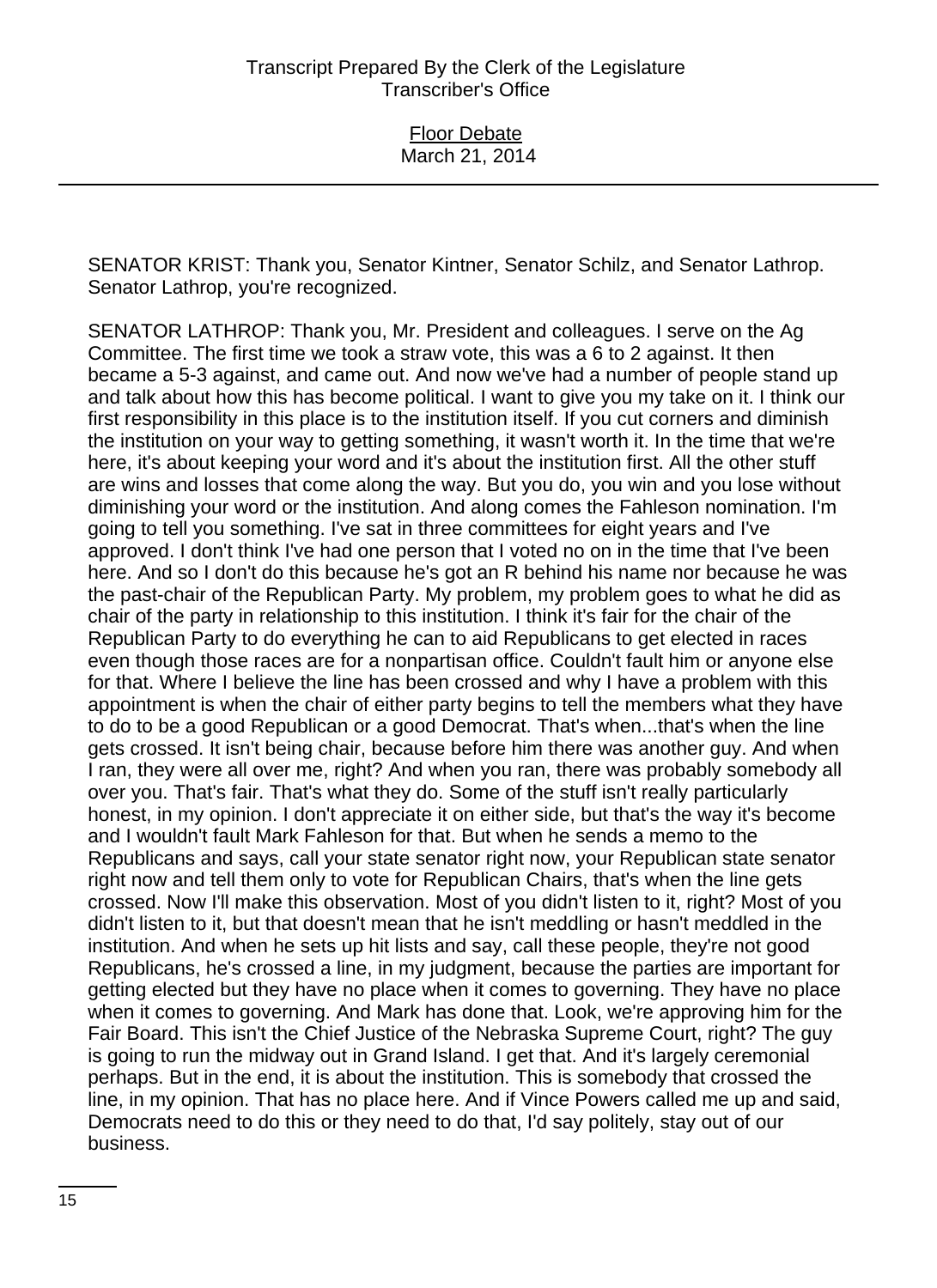SENATOR KRIST: Thank you, Senator Kintner, Senator Schilz, and Senator Lathrop. Senator Lathrop, you're recognized.

SENATOR LATHROP: Thank you, Mr. President and colleagues. I serve on the Ag Committee. The first time we took a straw vote, this was a 6 to 2 against. It then became a 5-3 against, and came out. And now we've had a number of people stand up and talk about how this has become political. I want to give you my take on it. I think our first responsibility in this place is to the institution itself. If you cut corners and diminish the institution on your way to getting something, it wasn't worth it. In the time that we're here, it's about keeping your word and it's about the institution first. All the other stuff are wins and losses that come along the way. But you do, you win and you lose without diminishing your word or the institution. And along comes the Fahleson nomination. I'm going to tell you something. I've sat in three committees for eight years and I've approved. I don't think I've had one person that I voted no on in the time that I've been here. And so I don't do this because he's got an R behind his name nor because he was the past-chair of the Republican Party. My problem, my problem goes to what he did as chair of the party in relationship to this institution. I think it's fair for the chair of the Republican Party to do everything he can to aid Republicans to get elected in races even though those races are for a nonpartisan office. Couldn't fault him or anyone else for that. Where I believe the line has been crossed and why I have a problem with this appointment is when the chair of either party begins to tell the members what they have to do to be a good Republican or a good Democrat. That's when...that's when the line gets crossed. It isn't being chair, because before him there was another guy. And when I ran, they were all over me, right? And when you ran, there was probably somebody all over you. That's fair. That's what they do. Some of the stuff isn't really particularly honest, in my opinion. I don't appreciate it on either side, but that's the way it's become and I wouldn't fault Mark Fahleson for that. But when he sends a memo to the Republicans and says, call your state senator right now, your Republican state senator right now and tell them only to vote for Republican Chairs, that's when the line gets crossed. Now I'll make this observation. Most of you didn't listen to it, right? Most of you didn't listen to it, but that doesn't mean that he isn't meddling or hasn't meddled in the institution. And when he sets up hit lists and say, call these people, they're not good Republicans, he's crossed a line, in my judgment, because the parties are important for getting elected but they have no place when it comes to governing. They have no place when it comes to governing. And Mark has done that. Look, we're approving him for the Fair Board. This isn't the Chief Justice of the Nebraska Supreme Court, right? The guy is going to run the midway out in Grand Island. I get that. And it's largely ceremonial perhaps. But in the end, it is about the institution. This is somebody that crossed the line, in my opinion. That has no place here. And if Vince Powers called me up and said, Democrats need to do this or they need to do that, I'd say politely, stay out of our business.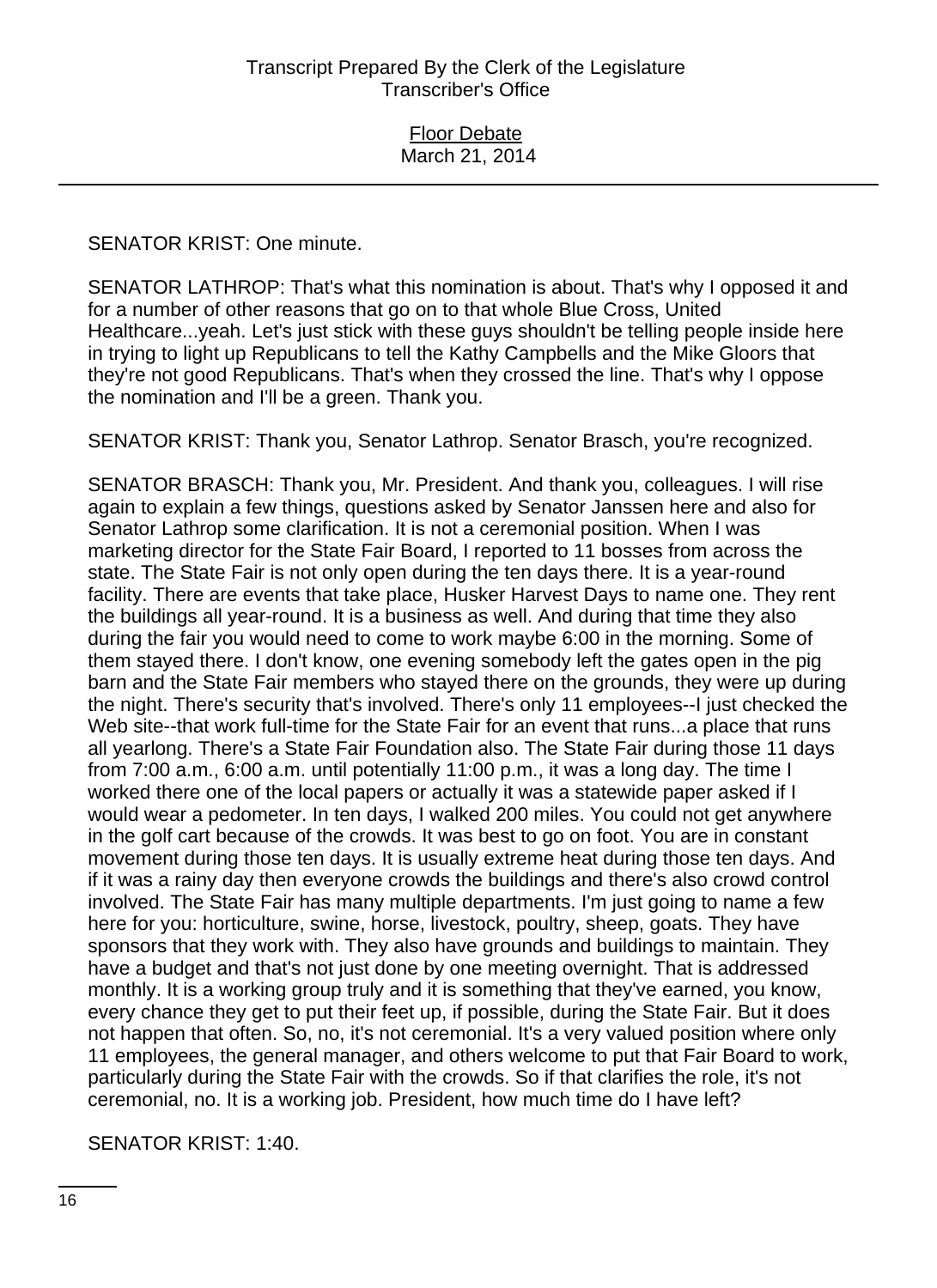SENATOR KRIST: One minute.

SENATOR LATHROP: That's what this nomination is about. That's why I opposed it and for a number of other reasons that go on to that whole Blue Cross, United Healthcare...yeah. Let's just stick with these guys shouldn't be telling people inside here in trying to light up Republicans to tell the Kathy Campbells and the Mike Gloors that they're not good Republicans. That's when they crossed the line. That's why I oppose the nomination and I'll be a green. Thank you.

SENATOR KRIST: Thank you, Senator Lathrop. Senator Brasch, you're recognized.

SENATOR BRASCH: Thank you, Mr. President. And thank you, colleagues. I will rise again to explain a few things, questions asked by Senator Janssen here and also for Senator Lathrop some clarification. It is not a ceremonial position. When I was marketing director for the State Fair Board, I reported to 11 bosses from across the state. The State Fair is not only open during the ten days there. It is a year-round facility. There are events that take place, Husker Harvest Days to name one. They rent the buildings all year-round. It is a business as well. And during that time they also during the fair you would need to come to work maybe 6:00 in the morning. Some of them stayed there. I don't know, one evening somebody left the gates open in the pig barn and the State Fair members who stayed there on the grounds, they were up during the night. There's security that's involved. There's only 11 employees--I just checked the Web site--that work full-time for the State Fair for an event that runs...a place that runs all yearlong. There's a State Fair Foundation also. The State Fair during those 11 days from 7:00 a.m., 6:00 a.m. until potentially 11:00 p.m., it was a long day. The time I worked there one of the local papers or actually it was a statewide paper asked if I would wear a pedometer. In ten days, I walked 200 miles. You could not get anywhere in the golf cart because of the crowds. It was best to go on foot. You are in constant movement during those ten days. It is usually extreme heat during those ten days. And if it was a rainy day then everyone crowds the buildings and there's also crowd control involved. The State Fair has many multiple departments. I'm just going to name a few here for you: horticulture, swine, horse, livestock, poultry, sheep, goats. They have sponsors that they work with. They also have grounds and buildings to maintain. They have a budget and that's not just done by one meeting overnight. That is addressed monthly. It is a working group truly and it is something that they've earned, you know, every chance they get to put their feet up, if possible, during the State Fair. But it does not happen that often. So, no, it's not ceremonial. It's a very valued position where only 11 employees, the general manager, and others welcome to put that Fair Board to work, particularly during the State Fair with the crowds. So if that clarifies the role, it's not ceremonial, no. It is a working job. President, how much time do I have left?

SENATOR KRIST: 1:40.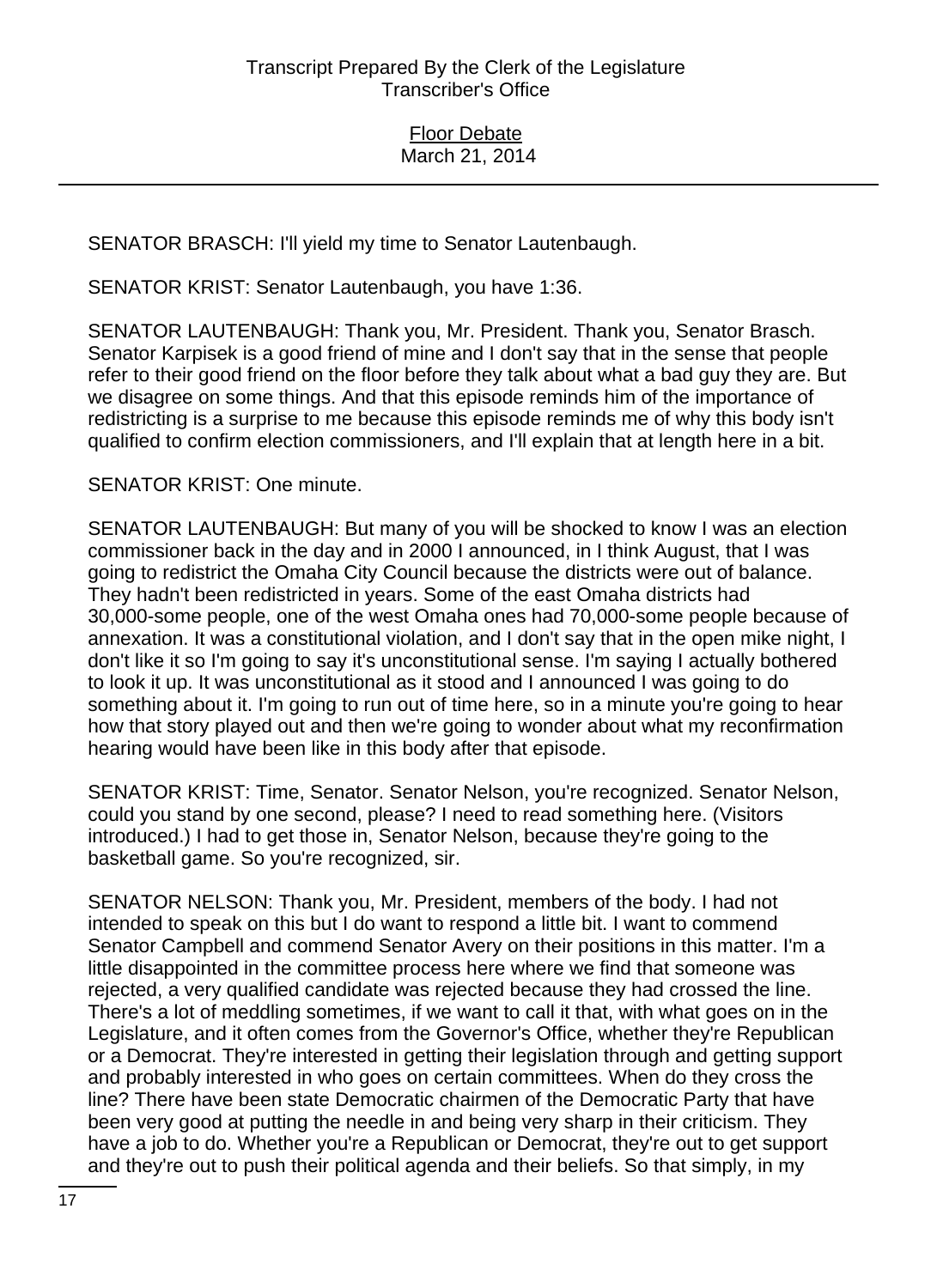SENATOR BRASCH: I'll yield my time to Senator Lautenbaugh.

SENATOR KRIST: Senator Lautenbaugh, you have 1:36.

SENATOR LAUTENBAUGH: Thank you, Mr. President. Thank you, Senator Brasch. Senator Karpisek is a good friend of mine and I don't say that in the sense that people refer to their good friend on the floor before they talk about what a bad guy they are. But we disagree on some things. And that this episode reminds him of the importance of redistricting is a surprise to me because this episode reminds me of why this body isn't qualified to confirm election commissioners, and I'll explain that at length here in a bit.

## SENATOR KRIST: One minute.

SENATOR LAUTENBAUGH: But many of you will be shocked to know I was an election commissioner back in the day and in 2000 I announced, in I think August, that I was going to redistrict the Omaha City Council because the districts were out of balance. They hadn't been redistricted in years. Some of the east Omaha districts had 30,000-some people, one of the west Omaha ones had 70,000-some people because of annexation. It was a constitutional violation, and I don't say that in the open mike night, I don't like it so I'm going to say it's unconstitutional sense. I'm saying I actually bothered to look it up. It was unconstitutional as it stood and I announced I was going to do something about it. I'm going to run out of time here, so in a minute you're going to hear how that story played out and then we're going to wonder about what my reconfirmation hearing would have been like in this body after that episode.

SENATOR KRIST: Time, Senator. Senator Nelson, you're recognized. Senator Nelson, could you stand by one second, please? I need to read something here. (Visitors introduced.) I had to get those in, Senator Nelson, because they're going to the basketball game. So you're recognized, sir.

SENATOR NELSON: Thank you, Mr. President, members of the body. I had not intended to speak on this but I do want to respond a little bit. I want to commend Senator Campbell and commend Senator Avery on their positions in this matter. I'm a little disappointed in the committee process here where we find that someone was rejected, a very qualified candidate was rejected because they had crossed the line. There's a lot of meddling sometimes, if we want to call it that, with what goes on in the Legislature, and it often comes from the Governor's Office, whether they're Republican or a Democrat. They're interested in getting their legislation through and getting support and probably interested in who goes on certain committees. When do they cross the line? There have been state Democratic chairmen of the Democratic Party that have been very good at putting the needle in and being very sharp in their criticism. They have a job to do. Whether you're a Republican or Democrat, they're out to get support and they're out to push their political agenda and their beliefs. So that simply, in my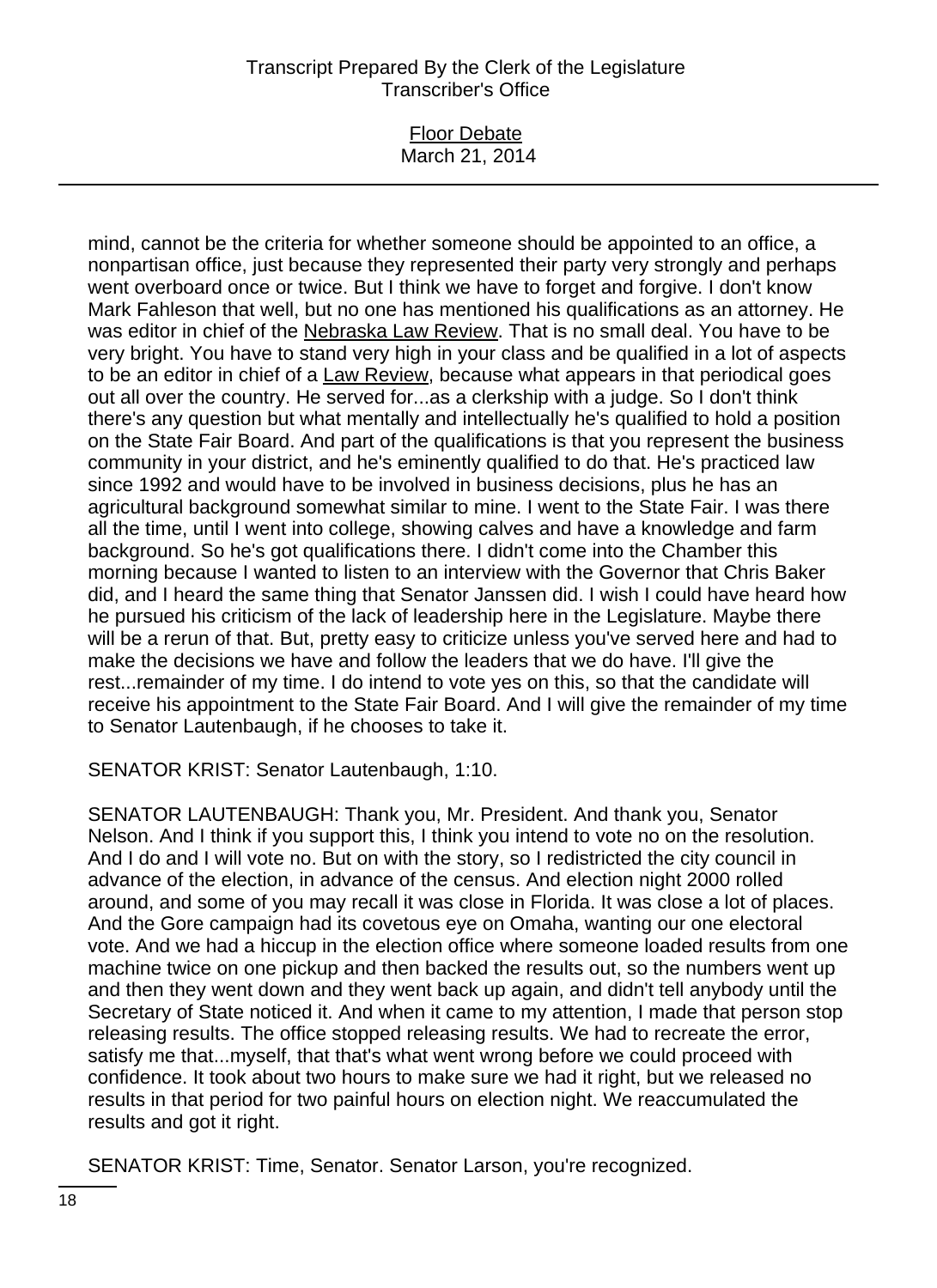#### Floor Debate March 21, 2014

mind, cannot be the criteria for whether someone should be appointed to an office, a nonpartisan office, just because they represented their party very strongly and perhaps went overboard once or twice. But I think we have to forget and forgive. I don't know Mark Fahleson that well, but no one has mentioned his qualifications as an attorney. He was editor in chief of the Nebraska Law Review. That is no small deal. You have to be very bright. You have to stand very high in your class and be qualified in a lot of aspects to be an editor in chief of a Law Review, because what appears in that periodical goes out all over the country. He served for...as a clerkship with a judge. So I don't think there's any question but what mentally and intellectually he's qualified to hold a position on the State Fair Board. And part of the qualifications is that you represent the business community in your district, and he's eminently qualified to do that. He's practiced law since 1992 and would have to be involved in business decisions, plus he has an agricultural background somewhat similar to mine. I went to the State Fair. I was there all the time, until I went into college, showing calves and have a knowledge and farm background. So he's got qualifications there. I didn't come into the Chamber this morning because I wanted to listen to an interview with the Governor that Chris Baker did, and I heard the same thing that Senator Janssen did. I wish I could have heard how he pursued his criticism of the lack of leadership here in the Legislature. Maybe there will be a rerun of that. But, pretty easy to criticize unless you've served here and had to make the decisions we have and follow the leaders that we do have. I'll give the rest...remainder of my time. I do intend to vote yes on this, so that the candidate will receive his appointment to the State Fair Board. And I will give the remainder of my time to Senator Lautenbaugh, if he chooses to take it.

SENATOR KRIST: Senator Lautenbaugh, 1:10.

SENATOR LAUTENBAUGH: Thank you, Mr. President. And thank you, Senator Nelson. And I think if you support this, I think you intend to vote no on the resolution. And I do and I will vote no. But on with the story, so I redistricted the city council in advance of the election, in advance of the census. And election night 2000 rolled around, and some of you may recall it was close in Florida. It was close a lot of places. And the Gore campaign had its covetous eye on Omaha, wanting our one electoral vote. And we had a hiccup in the election office where someone loaded results from one machine twice on one pickup and then backed the results out, so the numbers went up and then they went down and they went back up again, and didn't tell anybody until the Secretary of State noticed it. And when it came to my attention, I made that person stop releasing results. The office stopped releasing results. We had to recreate the error, satisfy me that...myself, that that's what went wrong before we could proceed with confidence. It took about two hours to make sure we had it right, but we released no results in that period for two painful hours on election night. We reaccumulated the results and got it right.

SENATOR KRIST: Time, Senator. Senator Larson, you're recognized.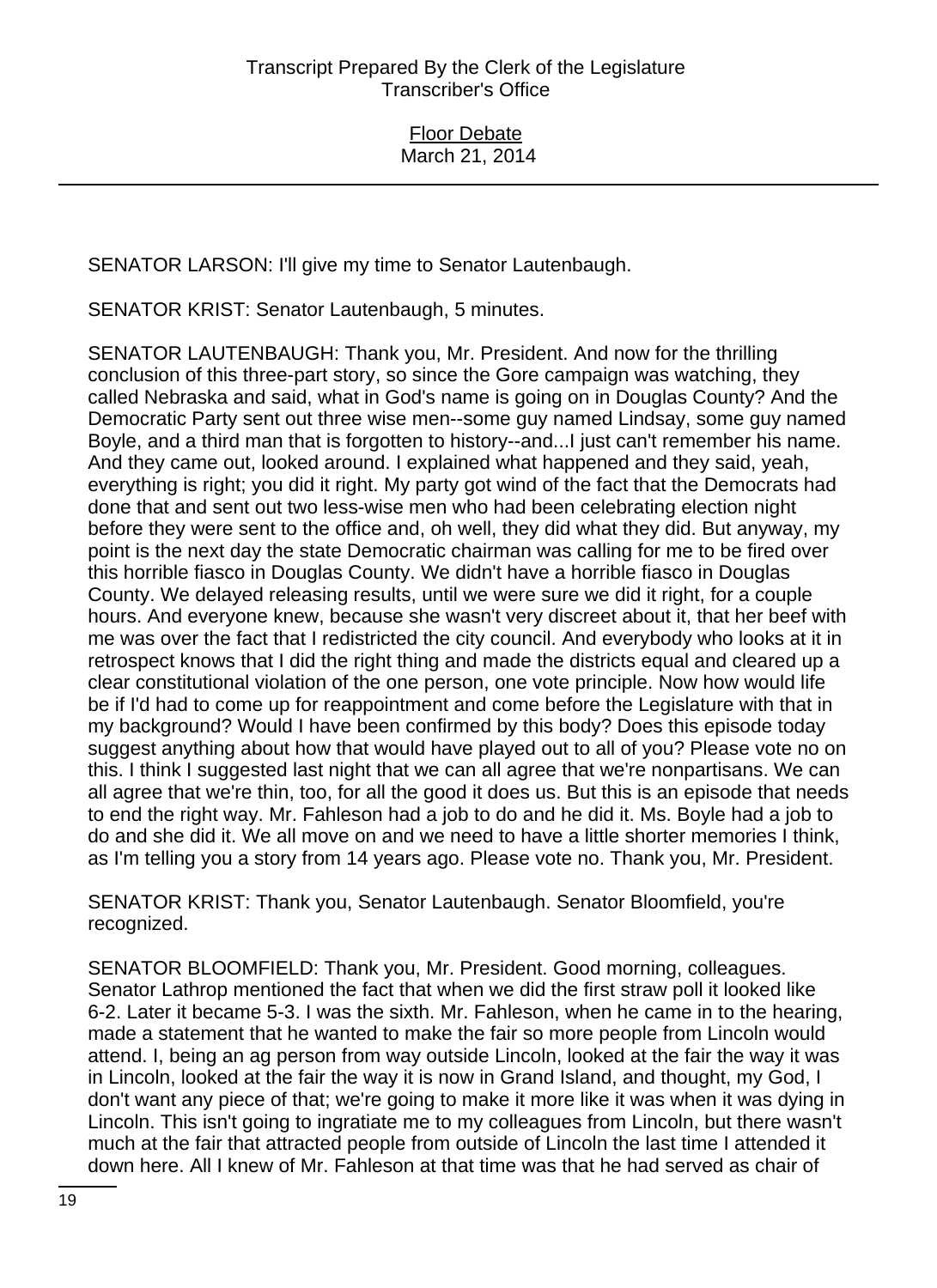SENATOR LARSON: I'll give my time to Senator Lautenbaugh.

SENATOR KRIST: Senator Lautenbaugh, 5 minutes.

SENATOR LAUTENBAUGH: Thank you, Mr. President. And now for the thrilling conclusion of this three-part story, so since the Gore campaign was watching, they called Nebraska and said, what in God's name is going on in Douglas County? And the Democratic Party sent out three wise men--some guy named Lindsay, some guy named Boyle, and a third man that is forgotten to history--and...I just can't remember his name. And they came out, looked around. I explained what happened and they said, yeah, everything is right; you did it right. My party got wind of the fact that the Democrats had done that and sent out two less-wise men who had been celebrating election night before they were sent to the office and, oh well, they did what they did. But anyway, my point is the next day the state Democratic chairman was calling for me to be fired over this horrible fiasco in Douglas County. We didn't have a horrible fiasco in Douglas County. We delayed releasing results, until we were sure we did it right, for a couple hours. And everyone knew, because she wasn't very discreet about it, that her beef with me was over the fact that I redistricted the city council. And everybody who looks at it in retrospect knows that I did the right thing and made the districts equal and cleared up a clear constitutional violation of the one person, one vote principle. Now how would life be if I'd had to come up for reappointment and come before the Legislature with that in my background? Would I have been confirmed by this body? Does this episode today suggest anything about how that would have played out to all of you? Please vote no on this. I think I suggested last night that we can all agree that we're nonpartisans. We can all agree that we're thin, too, for all the good it does us. But this is an episode that needs to end the right way. Mr. Fahleson had a job to do and he did it. Ms. Boyle had a job to do and she did it. We all move on and we need to have a little shorter memories I think, as I'm telling you a story from 14 years ago. Please vote no. Thank you, Mr. President.

SENATOR KRIST: Thank you, Senator Lautenbaugh. Senator Bloomfield, you're recognized.

SENATOR BLOOMFIELD: Thank you, Mr. President. Good morning, colleagues. Senator Lathrop mentioned the fact that when we did the first straw poll it looked like 6-2. Later it became 5-3. I was the sixth. Mr. Fahleson, when he came in to the hearing, made a statement that he wanted to make the fair so more people from Lincoln would attend. I, being an ag person from way outside Lincoln, looked at the fair the way it was in Lincoln, looked at the fair the way it is now in Grand Island, and thought, my God, I don't want any piece of that; we're going to make it more like it was when it was dying in Lincoln. This isn't going to ingratiate me to my colleagues from Lincoln, but there wasn't much at the fair that attracted people from outside of Lincoln the last time I attended it down here. All I knew of Mr. Fahleson at that time was that he had served as chair of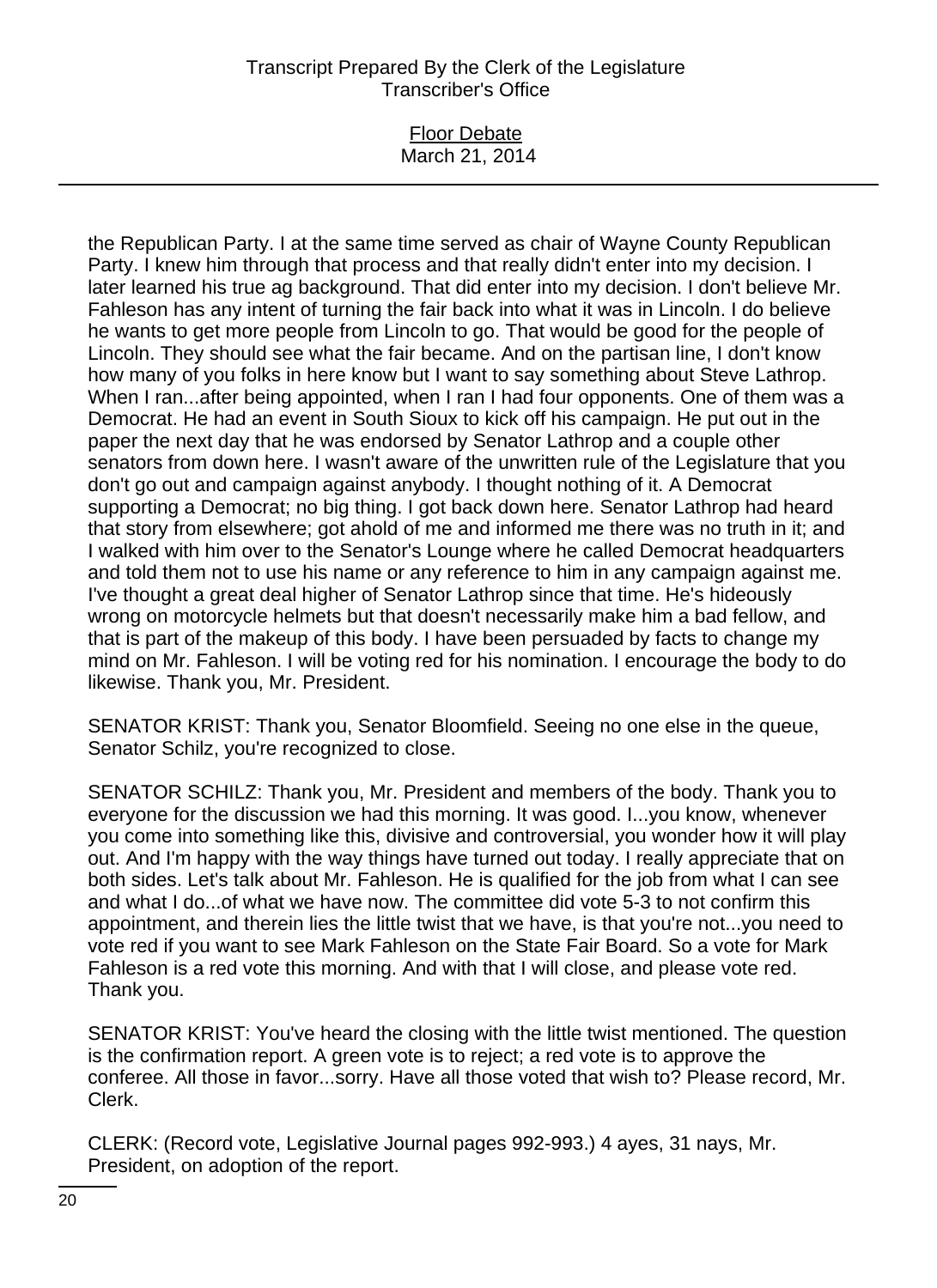### Floor Debate March 21, 2014

the Republican Party. I at the same time served as chair of Wayne County Republican Party. I knew him through that process and that really didn't enter into my decision. I later learned his true ag background. That did enter into my decision. I don't believe Mr. Fahleson has any intent of turning the fair back into what it was in Lincoln. I do believe he wants to get more people from Lincoln to go. That would be good for the people of Lincoln. They should see what the fair became. And on the partisan line, I don't know how many of you folks in here know but I want to say something about Steve Lathrop. When I ran...after being appointed, when I ran I had four opponents. One of them was a Democrat. He had an event in South Sioux to kick off his campaign. He put out in the paper the next day that he was endorsed by Senator Lathrop and a couple other senators from down here. I wasn't aware of the unwritten rule of the Legislature that you don't go out and campaign against anybody. I thought nothing of it. A Democrat supporting a Democrat; no big thing. I got back down here. Senator Lathrop had heard that story from elsewhere; got ahold of me and informed me there was no truth in it; and I walked with him over to the Senator's Lounge where he called Democrat headquarters and told them not to use his name or any reference to him in any campaign against me. I've thought a great deal higher of Senator Lathrop since that time. He's hideously wrong on motorcycle helmets but that doesn't necessarily make him a bad fellow, and that is part of the makeup of this body. I have been persuaded by facts to change my mind on Mr. Fahleson. I will be voting red for his nomination. I encourage the body to do likewise. Thank you, Mr. President.

SENATOR KRIST: Thank you, Senator Bloomfield. Seeing no one else in the queue, Senator Schilz, you're recognized to close.

SENATOR SCHILZ: Thank you, Mr. President and members of the body. Thank you to everyone for the discussion we had this morning. It was good. I...you know, whenever you come into something like this, divisive and controversial, you wonder how it will play out. And I'm happy with the way things have turned out today. I really appreciate that on both sides. Let's talk about Mr. Fahleson. He is qualified for the job from what I can see and what I do...of what we have now. The committee did vote 5-3 to not confirm this appointment, and therein lies the little twist that we have, is that you're not...you need to vote red if you want to see Mark Fahleson on the State Fair Board. So a vote for Mark Fahleson is a red vote this morning. And with that I will close, and please vote red. Thank you.

SENATOR KRIST: You've heard the closing with the little twist mentioned. The question is the confirmation report. A green vote is to reject; a red vote is to approve the conferee. All those in favor...sorry. Have all those voted that wish to? Please record, Mr. Clerk.

CLERK: (Record vote, Legislative Journal pages 992-993.) 4 ayes, 31 nays, Mr. President, on adoption of the report.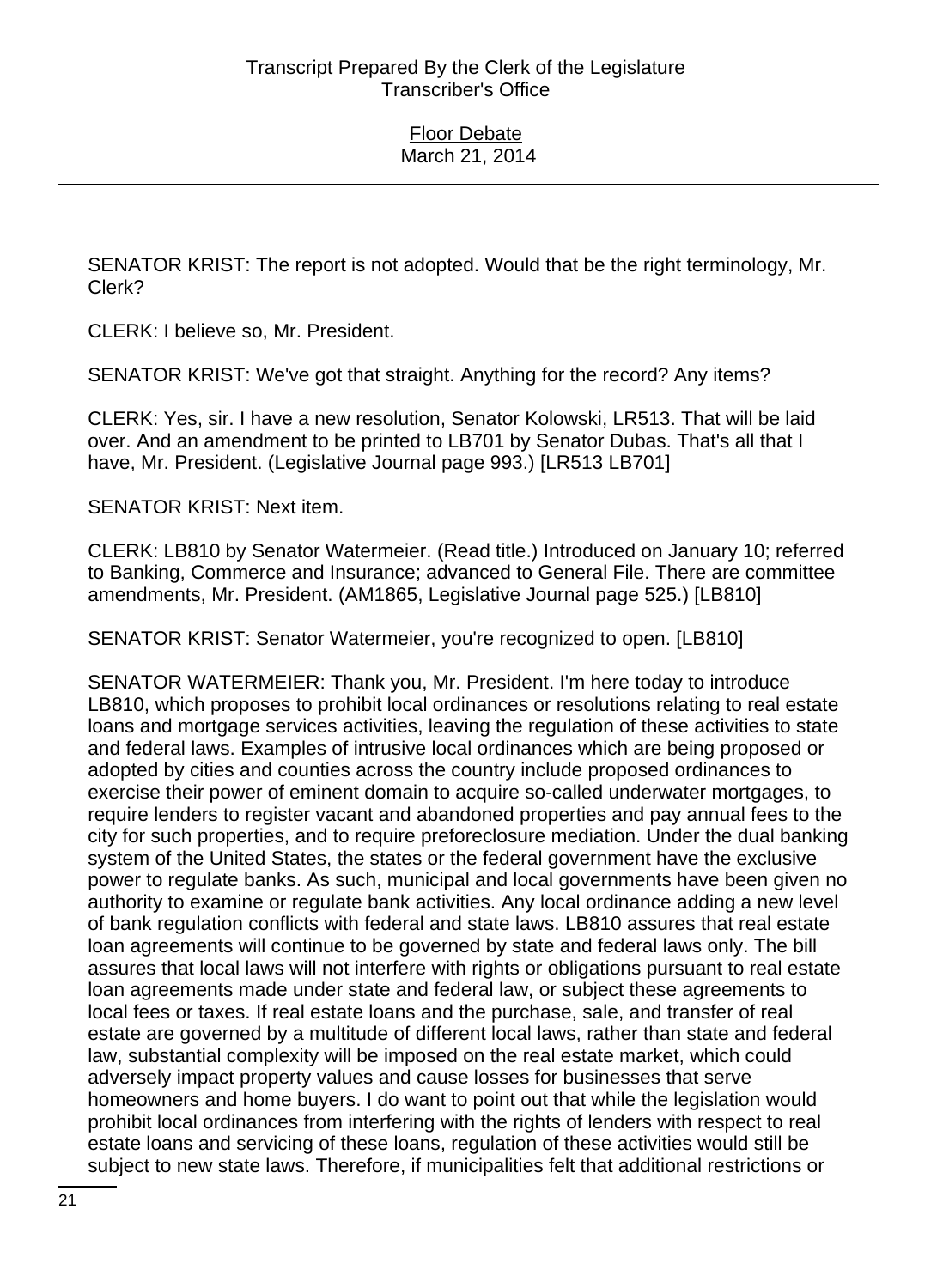SENATOR KRIST: The report is not adopted. Would that be the right terminology, Mr. Clerk?

CLERK: I believe so, Mr. President.

SENATOR KRIST: We've got that straight. Anything for the record? Any items?

CLERK: Yes, sir. I have a new resolution, Senator Kolowski, LR513. That will be laid over. And an amendment to be printed to LB701 by Senator Dubas. That's all that I have, Mr. President. (Legislative Journal page 993.) [LR513 LB701]

SENATOR KRIST: Next item.

CLERK: LB810 by Senator Watermeier. (Read title.) Introduced on January 10; referred to Banking, Commerce and Insurance; advanced to General File. There are committee amendments, Mr. President. (AM1865, Legislative Journal page 525.) [LB810]

SENATOR KRIST: Senator Watermeier, you're recognized to open. [LB810]

SENATOR WATERMEIER: Thank you, Mr. President. I'm here today to introduce LB810, which proposes to prohibit local ordinances or resolutions relating to real estate loans and mortgage services activities, leaving the regulation of these activities to state and federal laws. Examples of intrusive local ordinances which are being proposed or adopted by cities and counties across the country include proposed ordinances to exercise their power of eminent domain to acquire so-called underwater mortgages, to require lenders to register vacant and abandoned properties and pay annual fees to the city for such properties, and to require preforeclosure mediation. Under the dual banking system of the United States, the states or the federal government have the exclusive power to regulate banks. As such, municipal and local governments have been given no authority to examine or regulate bank activities. Any local ordinance adding a new level of bank regulation conflicts with federal and state laws. LB810 assures that real estate loan agreements will continue to be governed by state and federal laws only. The bill assures that local laws will not interfere with rights or obligations pursuant to real estate loan agreements made under state and federal law, or subject these agreements to local fees or taxes. If real estate loans and the purchase, sale, and transfer of real estate are governed by a multitude of different local laws, rather than state and federal law, substantial complexity will be imposed on the real estate market, which could adversely impact property values and cause losses for businesses that serve homeowners and home buyers. I do want to point out that while the legislation would prohibit local ordinances from interfering with the rights of lenders with respect to real estate loans and servicing of these loans, regulation of these activities would still be subject to new state laws. Therefore, if municipalities felt that additional restrictions or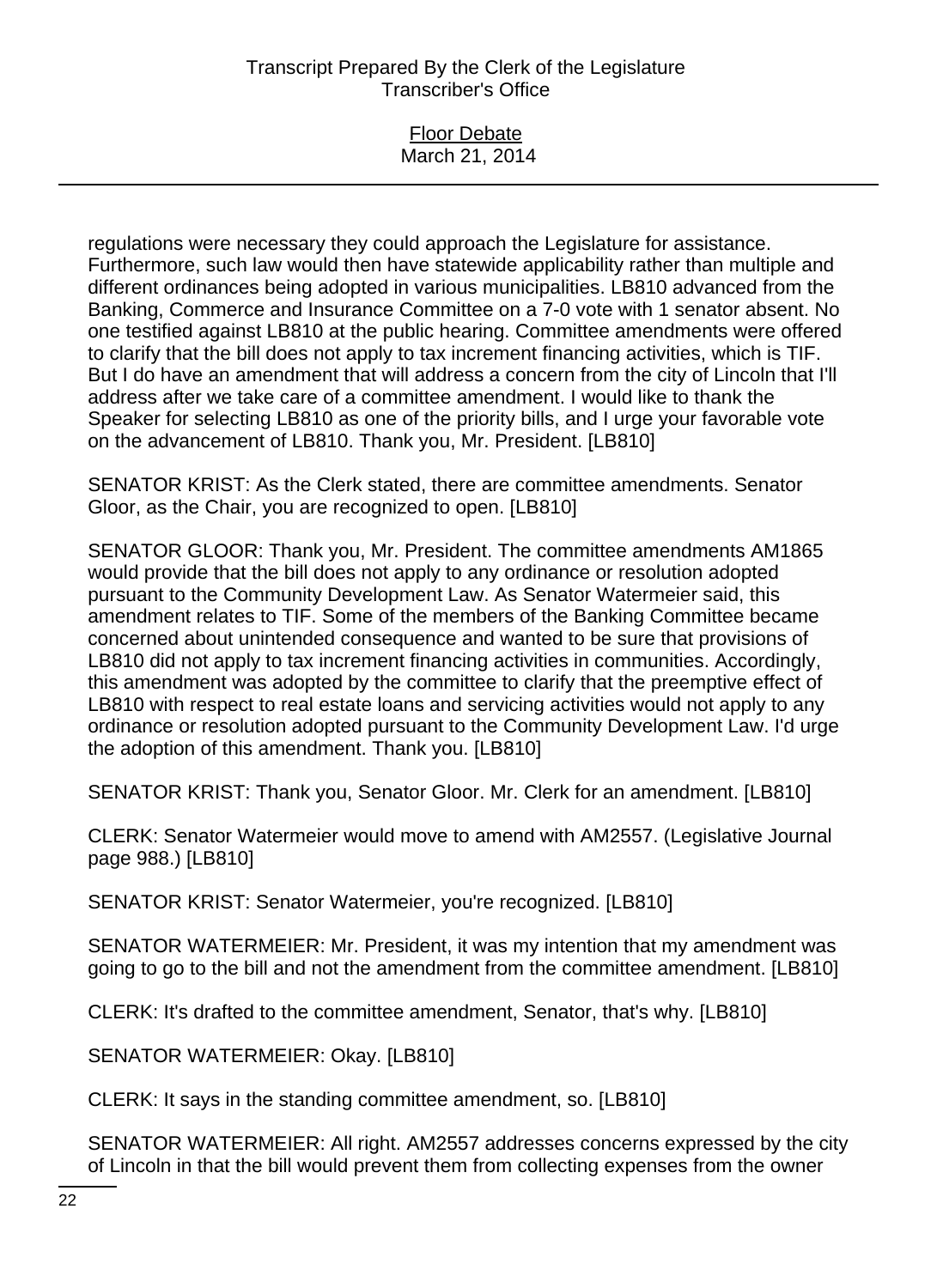| <b>Floor Debate</b> |  |
|---------------------|--|
|                     |  |
| March 21, 2014      |  |
|                     |  |

regulations were necessary they could approach the Legislature for assistance. Furthermore, such law would then have statewide applicability rather than multiple and different ordinances being adopted in various municipalities. LB810 advanced from the Banking, Commerce and Insurance Committee on a 7-0 vote with 1 senator absent. No one testified against LB810 at the public hearing. Committee amendments were offered to clarify that the bill does not apply to tax increment financing activities, which is TIF. But I do have an amendment that will address a concern from the city of Lincoln that I'll address after we take care of a committee amendment. I would like to thank the Speaker for selecting LB810 as one of the priority bills, and I urge your favorable vote on the advancement of LB810. Thank you, Mr. President. [LB810]

SENATOR KRIST: As the Clerk stated, there are committee amendments. Senator Gloor, as the Chair, you are recognized to open. [LB810]

SENATOR GLOOR: Thank you, Mr. President. The committee amendments AM1865 would provide that the bill does not apply to any ordinance or resolution adopted pursuant to the Community Development Law. As Senator Watermeier said, this amendment relates to TIF. Some of the members of the Banking Committee became concerned about unintended consequence and wanted to be sure that provisions of LB810 did not apply to tax increment financing activities in communities. Accordingly, this amendment was adopted by the committee to clarify that the preemptive effect of LB810 with respect to real estate loans and servicing activities would not apply to any ordinance or resolution adopted pursuant to the Community Development Law. I'd urge the adoption of this amendment. Thank you. [LB810]

SENATOR KRIST: Thank you, Senator Gloor. Mr. Clerk for an amendment. [LB810]

CLERK: Senator Watermeier would move to amend with AM2557. (Legislative Journal page 988.) [LB810]

SENATOR KRIST: Senator Watermeier, you're recognized. [LB810]

SENATOR WATERMEIER: Mr. President, it was my intention that my amendment was going to go to the bill and not the amendment from the committee amendment. [LB810]

CLERK: It's drafted to the committee amendment, Senator, that's why. [LB810]

SENATOR WATERMEIER: Okay. [LB810]

CLERK: It says in the standing committee amendment, so. [LB810]

SENATOR WATERMEIER: All right. AM2557 addresses concerns expressed by the city of Lincoln in that the bill would prevent them from collecting expenses from the owner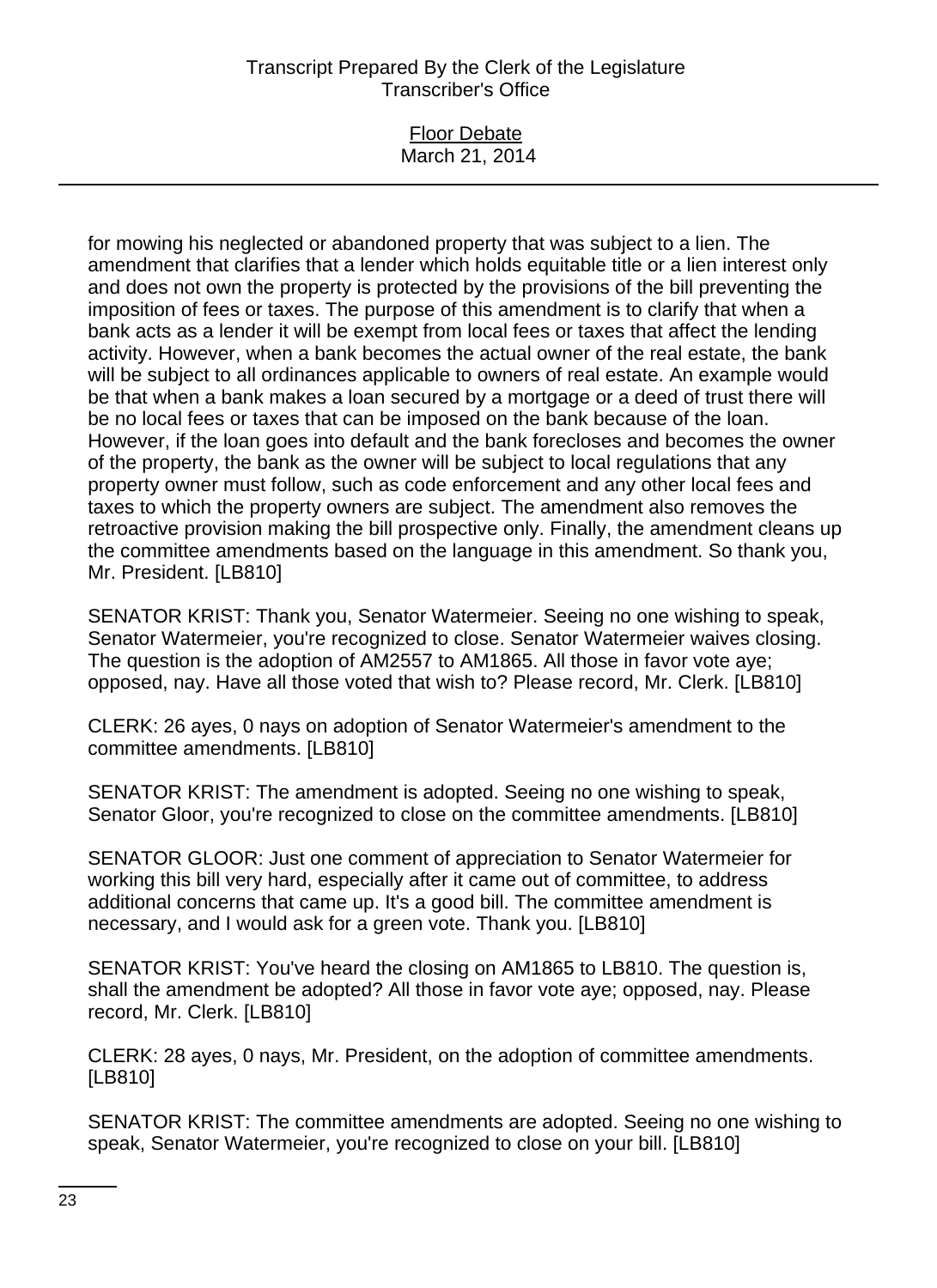### Floor Debate March 21, 2014

for mowing his neglected or abandoned property that was subject to a lien. The amendment that clarifies that a lender which holds equitable title or a lien interest only and does not own the property is protected by the provisions of the bill preventing the imposition of fees or taxes. The purpose of this amendment is to clarify that when a bank acts as a lender it will be exempt from local fees or taxes that affect the lending activity. However, when a bank becomes the actual owner of the real estate, the bank will be subject to all ordinances applicable to owners of real estate. An example would be that when a bank makes a loan secured by a mortgage or a deed of trust there will be no local fees or taxes that can be imposed on the bank because of the loan. However, if the loan goes into default and the bank forecloses and becomes the owner of the property, the bank as the owner will be subject to local regulations that any property owner must follow, such as code enforcement and any other local fees and taxes to which the property owners are subject. The amendment also removes the retroactive provision making the bill prospective only. Finally, the amendment cleans up the committee amendments based on the language in this amendment. So thank you, Mr. President. [LB810]

SENATOR KRIST: Thank you, Senator Watermeier. Seeing no one wishing to speak, Senator Watermeier, you're recognized to close. Senator Watermeier waives closing. The question is the adoption of AM2557 to AM1865. All those in favor vote aye; opposed, nay. Have all those voted that wish to? Please record, Mr. Clerk. [LB810]

CLERK: 26 ayes, 0 nays on adoption of Senator Watermeier's amendment to the committee amendments. [LB810]

SENATOR KRIST: The amendment is adopted. Seeing no one wishing to speak, Senator Gloor, you're recognized to close on the committee amendments. [LB810]

SENATOR GLOOR: Just one comment of appreciation to Senator Watermeier for working this bill very hard, especially after it came out of committee, to address additional concerns that came up. It's a good bill. The committee amendment is necessary, and I would ask for a green vote. Thank you. [LB810]

SENATOR KRIST: You've heard the closing on AM1865 to LB810. The question is, shall the amendment be adopted? All those in favor vote aye; opposed, nay. Please record, Mr. Clerk. [LB810]

CLERK: 28 ayes, 0 nays, Mr. President, on the adoption of committee amendments. [LB810]

SENATOR KRIST: The committee amendments are adopted. Seeing no one wishing to speak, Senator Watermeier, you're recognized to close on your bill. [LB810]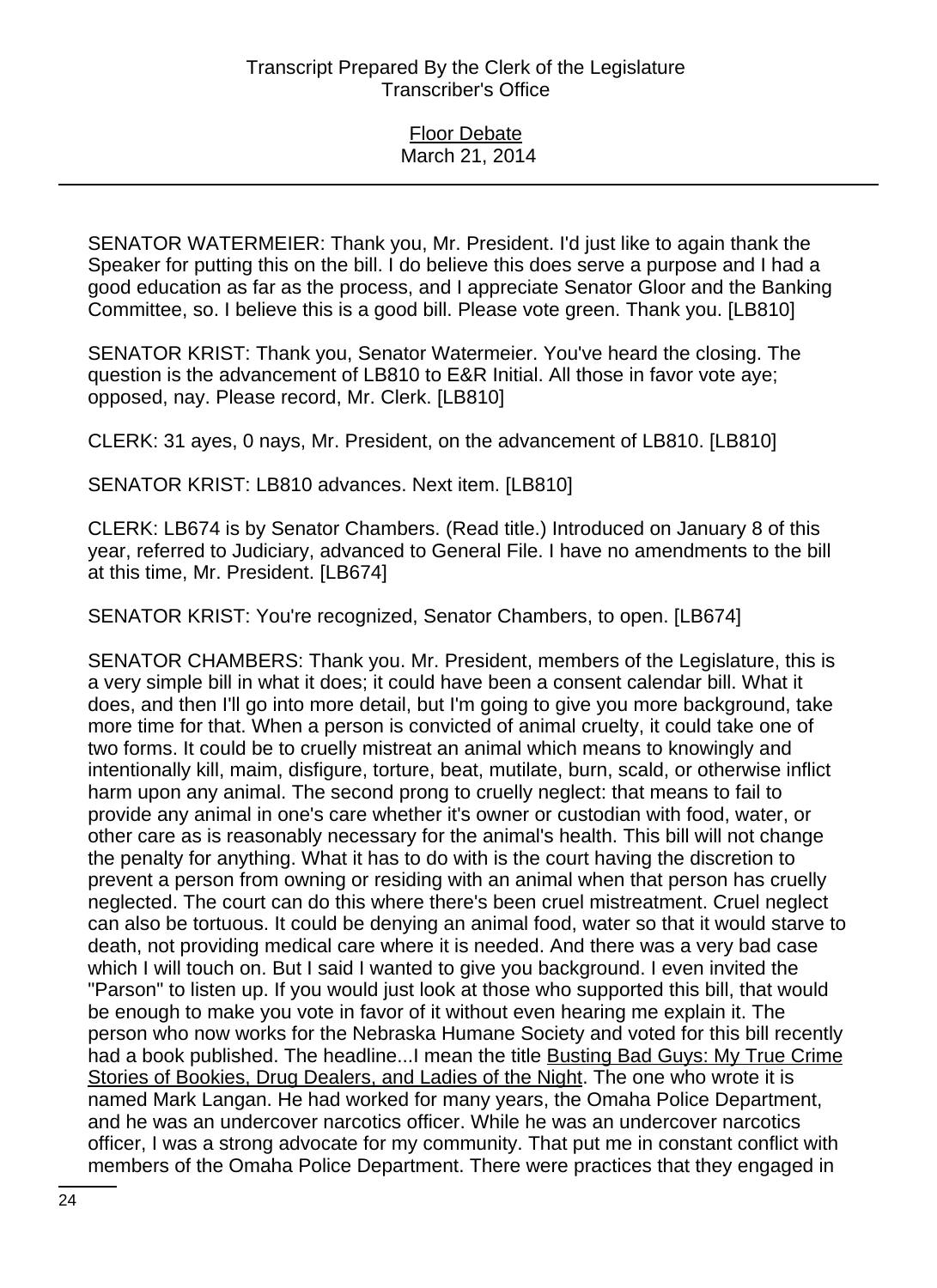SENATOR WATERMEIER: Thank you, Mr. President. I'd just like to again thank the Speaker for putting this on the bill. I do believe this does serve a purpose and I had a good education as far as the process, and I appreciate Senator Gloor and the Banking Committee, so. I believe this is a good bill. Please vote green. Thank you. [LB810]

SENATOR KRIST: Thank you, Senator Watermeier. You've heard the closing. The question is the advancement of LB810 to E&R Initial. All those in favor vote aye; opposed, nay. Please record, Mr. Clerk. [LB810]

CLERK: 31 ayes, 0 nays, Mr. President, on the advancement of LB810. [LB810]

SENATOR KRIST: LB810 advances. Next item. [LB810]

CLERK: LB674 is by Senator Chambers. (Read title.) Introduced on January 8 of this year, referred to Judiciary, advanced to General File. I have no amendments to the bill at this time, Mr. President. [LB674]

SENATOR KRIST: You're recognized, Senator Chambers, to open. [LB674]

SENATOR CHAMBERS: Thank you. Mr. President, members of the Legislature, this is a very simple bill in what it does; it could have been a consent calendar bill. What it does, and then I'll go into more detail, but I'm going to give you more background, take more time for that. When a person is convicted of animal cruelty, it could take one of two forms. It could be to cruelly mistreat an animal which means to knowingly and intentionally kill, maim, disfigure, torture, beat, mutilate, burn, scald, or otherwise inflict harm upon any animal. The second prong to cruelly neglect: that means to fail to provide any animal in one's care whether it's owner or custodian with food, water, or other care as is reasonably necessary for the animal's health. This bill will not change the penalty for anything. What it has to do with is the court having the discretion to prevent a person from owning or residing with an animal when that person has cruelly neglected. The court can do this where there's been cruel mistreatment. Cruel neglect can also be tortuous. It could be denying an animal food, water so that it would starve to death, not providing medical care where it is needed. And there was a very bad case which I will touch on. But I said I wanted to give you background. I even invited the "Parson" to listen up. If you would just look at those who supported this bill, that would be enough to make you vote in favor of it without even hearing me explain it. The person who now works for the Nebraska Humane Society and voted for this bill recently had a book published. The headline...I mean the title Busting Bad Guys: My True Crime Stories of Bookies, Drug Dealers, and Ladies of the Night. The one who wrote it is named Mark Langan. He had worked for many years, the Omaha Police Department, and he was an undercover narcotics officer. While he was an undercover narcotics officer, I was a strong advocate for my community. That put me in constant conflict with members of the Omaha Police Department. There were practices that they engaged in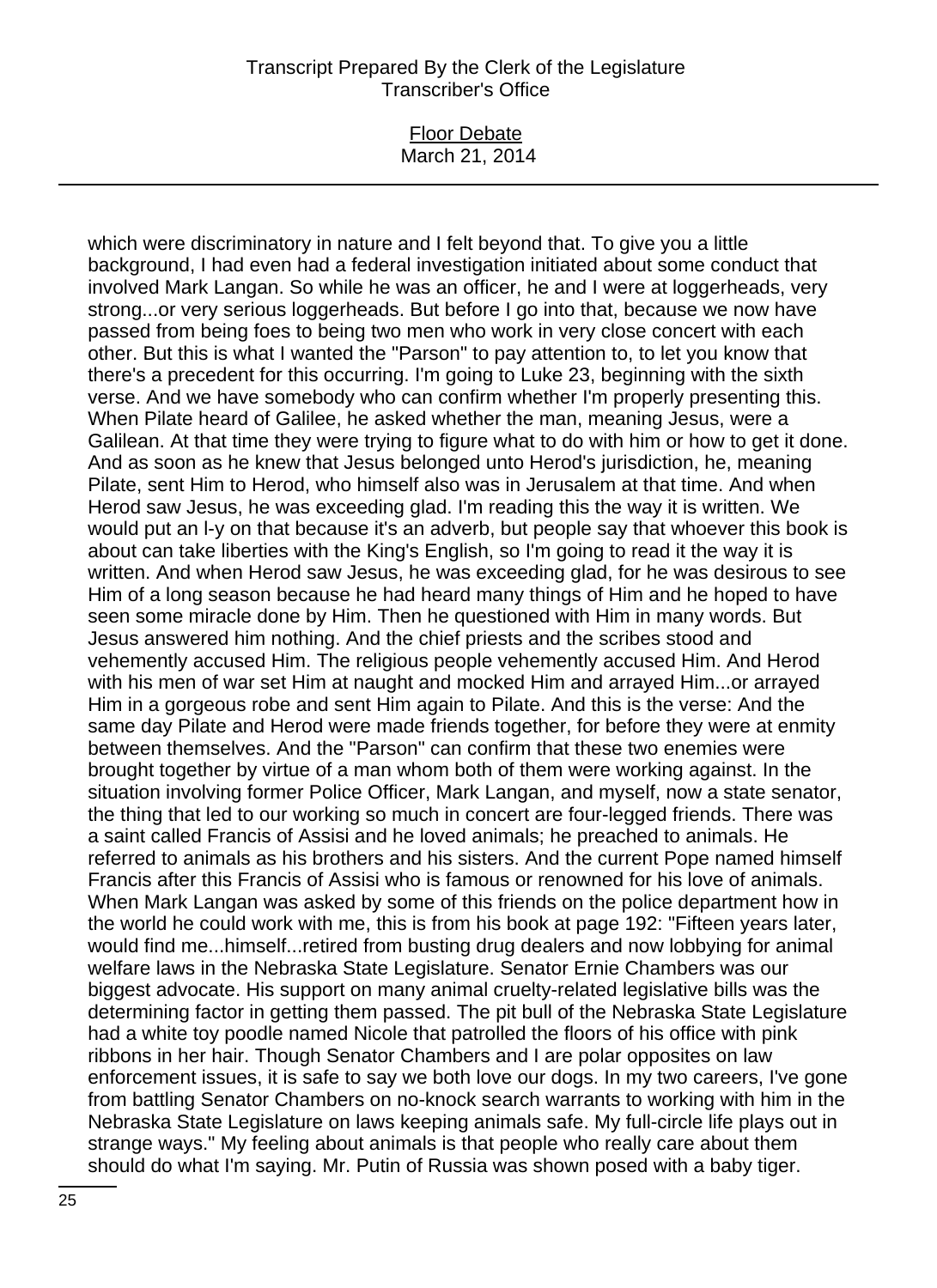#### Floor Debate March 21, 2014

which were discriminatory in nature and I felt beyond that. To give you a little background, I had even had a federal investigation initiated about some conduct that involved Mark Langan. So while he was an officer, he and I were at loggerheads, very strong...or very serious loggerheads. But before I go into that, because we now have passed from being foes to being two men who work in very close concert with each other. But this is what I wanted the "Parson" to pay attention to, to let you know that there's a precedent for this occurring. I'm going to Luke 23, beginning with the sixth verse. And we have somebody who can confirm whether I'm properly presenting this. When Pilate heard of Galilee, he asked whether the man, meaning Jesus, were a Galilean. At that time they were trying to figure what to do with him or how to get it done. And as soon as he knew that Jesus belonged unto Herod's jurisdiction, he, meaning Pilate, sent Him to Herod, who himself also was in Jerusalem at that time. And when Herod saw Jesus, he was exceeding glad. I'm reading this the way it is written. We would put an l-y on that because it's an adverb, but people say that whoever this book is about can take liberties with the King's English, so I'm going to read it the way it is written. And when Herod saw Jesus, he was exceeding glad, for he was desirous to see Him of a long season because he had heard many things of Him and he hoped to have seen some miracle done by Him. Then he questioned with Him in many words. But Jesus answered him nothing. And the chief priests and the scribes stood and vehemently accused Him. The religious people vehemently accused Him. And Herod with his men of war set Him at naught and mocked Him and arrayed Him...or arrayed Him in a gorgeous robe and sent Him again to Pilate. And this is the verse: And the same day Pilate and Herod were made friends together, for before they were at enmity between themselves. And the "Parson" can confirm that these two enemies were brought together by virtue of a man whom both of them were working against. In the situation involving former Police Officer, Mark Langan, and myself, now a state senator, the thing that led to our working so much in concert are four-legged friends. There was a saint called Francis of Assisi and he loved animals; he preached to animals. He referred to animals as his brothers and his sisters. And the current Pope named himself Francis after this Francis of Assisi who is famous or renowned for his love of animals. When Mark Langan was asked by some of this friends on the police department how in the world he could work with me, this is from his book at page 192: "Fifteen years later, would find me...himself...retired from busting drug dealers and now lobbying for animal welfare laws in the Nebraska State Legislature. Senator Ernie Chambers was our biggest advocate. His support on many animal cruelty-related legislative bills was the determining factor in getting them passed. The pit bull of the Nebraska State Legislature had a white toy poodle named Nicole that patrolled the floors of his office with pink ribbons in her hair. Though Senator Chambers and I are polar opposites on law enforcement issues, it is safe to say we both love our dogs. In my two careers, I've gone from battling Senator Chambers on no-knock search warrants to working with him in the Nebraska State Legislature on laws keeping animals safe. My full-circle life plays out in strange ways." My feeling about animals is that people who really care about them should do what I'm saying. Mr. Putin of Russia was shown posed with a baby tiger.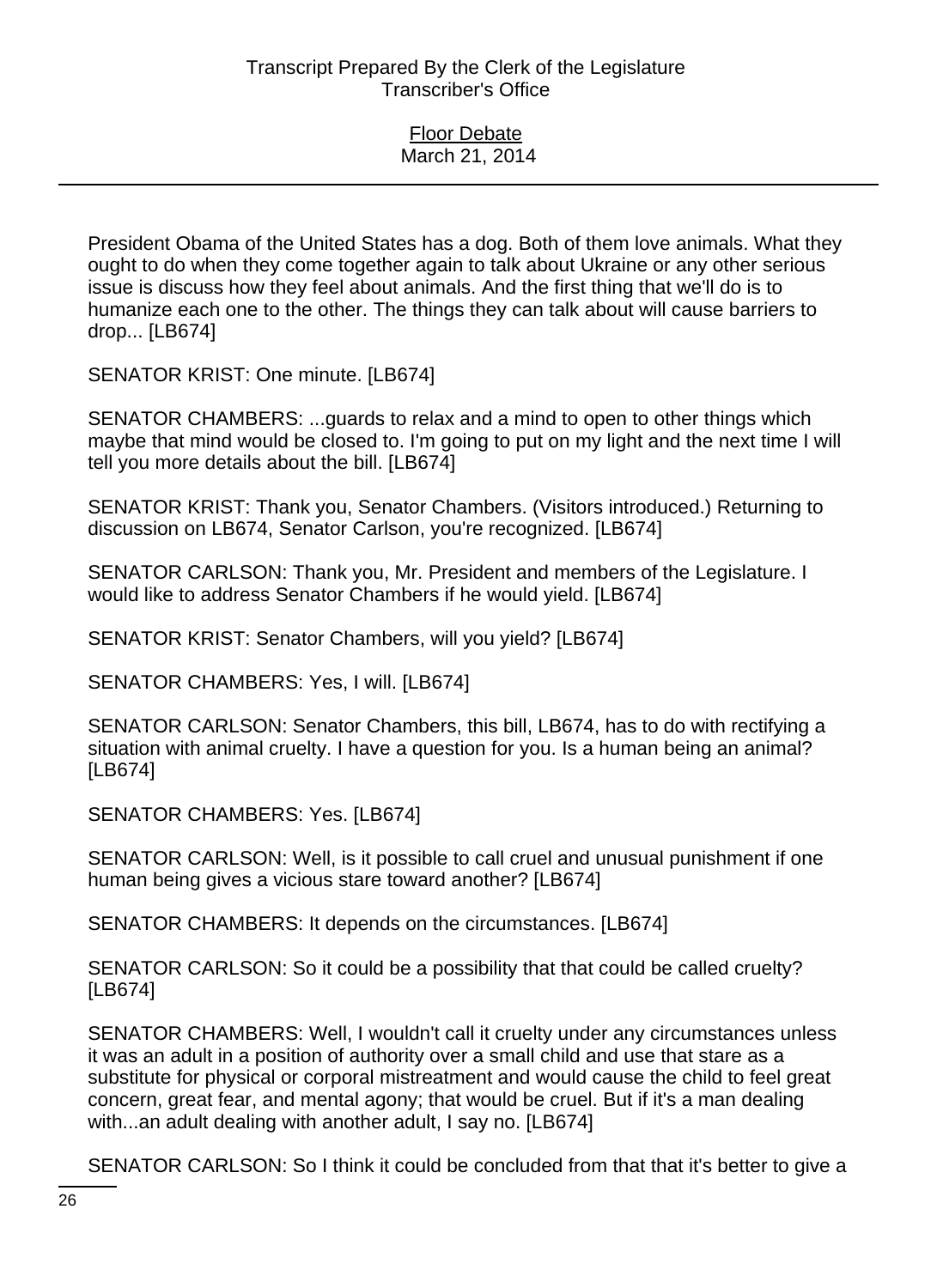President Obama of the United States has a dog. Both of them love animals. What they ought to do when they come together again to talk about Ukraine or any other serious issue is discuss how they feel about animals. And the first thing that we'll do is to humanize each one to the other. The things they can talk about will cause barriers to drop... [LB674]

SENATOR KRIST: One minute. [LB674]

SENATOR CHAMBERS: ...guards to relax and a mind to open to other things which maybe that mind would be closed to. I'm going to put on my light and the next time I will tell you more details about the bill. [LB674]

SENATOR KRIST: Thank you, Senator Chambers. (Visitors introduced.) Returning to discussion on LB674, Senator Carlson, you're recognized. [LB674]

SENATOR CARLSON: Thank you, Mr. President and members of the Legislature. I would like to address Senator Chambers if he would yield. [LB674]

SENATOR KRIST: Senator Chambers, will you yield? [LB674]

SENATOR CHAMBERS: Yes, I will. [LB674]

SENATOR CARLSON: Senator Chambers, this bill, LB674, has to do with rectifying a situation with animal cruelty. I have a question for you. Is a human being an animal? [LB674]

SENATOR CHAMBERS: Yes. [LB674]

SENATOR CARLSON: Well, is it possible to call cruel and unusual punishment if one human being gives a vicious stare toward another? [LB674]

SENATOR CHAMBERS: It depends on the circumstances. [LB674]

SENATOR CARLSON: So it could be a possibility that that could be called cruelty? [LB674]

SENATOR CHAMBERS: Well, I wouldn't call it cruelty under any circumstances unless it was an adult in a position of authority over a small child and use that stare as a substitute for physical or corporal mistreatment and would cause the child to feel great concern, great fear, and mental agony; that would be cruel. But if it's a man dealing with...an adult dealing with another adult, I say no. [LB674]

SENATOR CARLSON: So I think it could be concluded from that that it's better to give a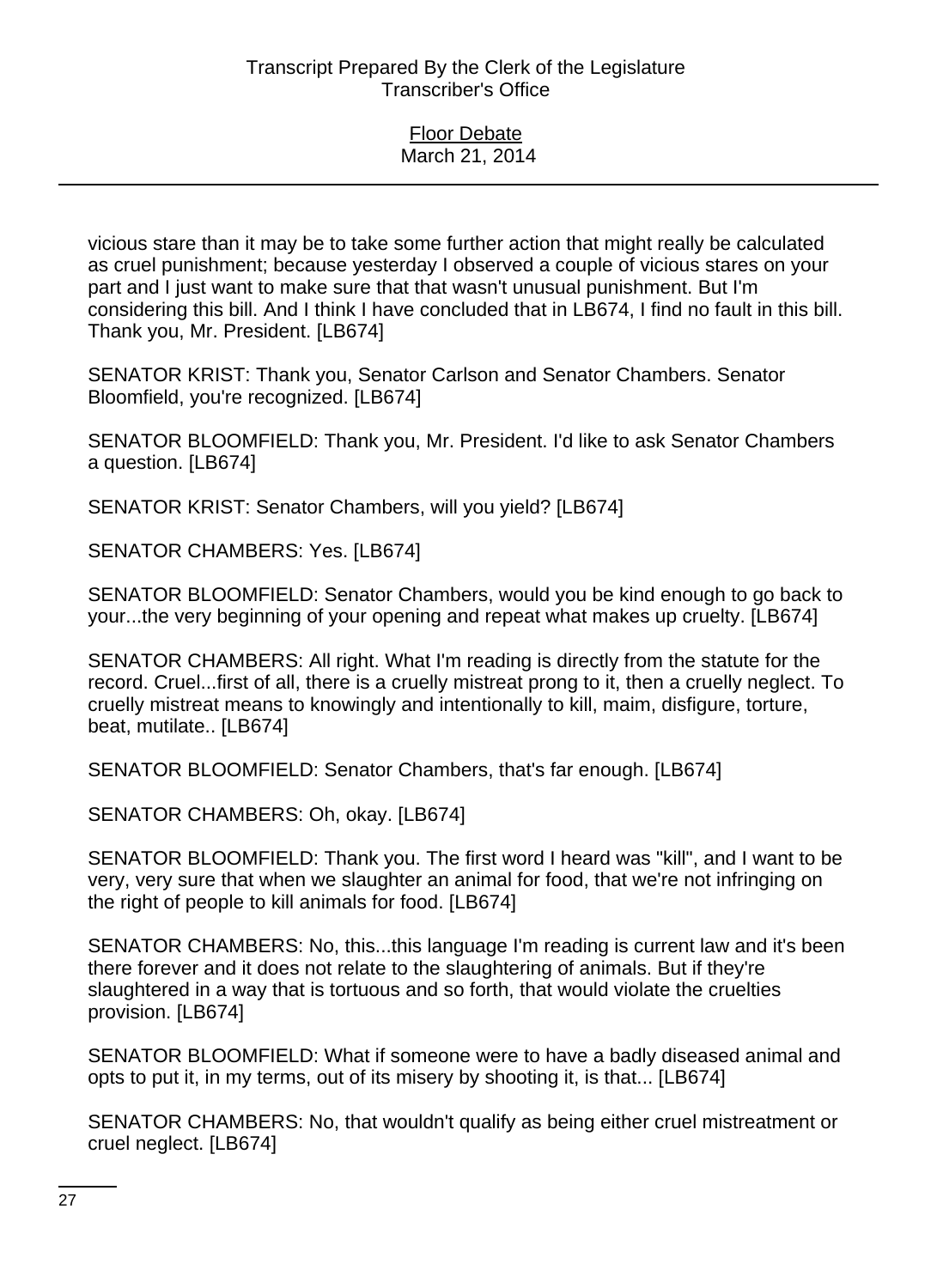vicious stare than it may be to take some further action that might really be calculated as cruel punishment; because yesterday I observed a couple of vicious stares on your part and I just want to make sure that that wasn't unusual punishment. But I'm considering this bill. And I think I have concluded that in LB674, I find no fault in this bill. Thank you, Mr. President. [LB674]

SENATOR KRIST: Thank you, Senator Carlson and Senator Chambers. Senator Bloomfield, you're recognized. [LB674]

SENATOR BLOOMFIELD: Thank you, Mr. President. I'd like to ask Senator Chambers a question. [LB674]

SENATOR KRIST: Senator Chambers, will you yield? [LB674]

SENATOR CHAMBERS: Yes. [LB674]

SENATOR BLOOMFIELD: Senator Chambers, would you be kind enough to go back to your...the very beginning of your opening and repeat what makes up cruelty. [LB674]

SENATOR CHAMBERS: All right. What I'm reading is directly from the statute for the record. Cruel...first of all, there is a cruelly mistreat prong to it, then a cruelly neglect. To cruelly mistreat means to knowingly and intentionally to kill, maim, disfigure, torture, beat, mutilate.. [LB674]

SENATOR BLOOMFIELD: Senator Chambers, that's far enough. [LB674]

SENATOR CHAMBERS: Oh, okay. [LB674]

SENATOR BLOOMFIELD: Thank you. The first word I heard was "kill", and I want to be very, very sure that when we slaughter an animal for food, that we're not infringing on the right of people to kill animals for food. [LB674]

SENATOR CHAMBERS: No, this...this language I'm reading is current law and it's been there forever and it does not relate to the slaughtering of animals. But if they're slaughtered in a way that is tortuous and so forth, that would violate the cruelties provision. [LB674]

SENATOR BLOOMFIELD: What if someone were to have a badly diseased animal and opts to put it, in my terms, out of its misery by shooting it, is that... [LB674]

SENATOR CHAMBERS: No, that wouldn't qualify as being either cruel mistreatment or cruel neglect. [LB674]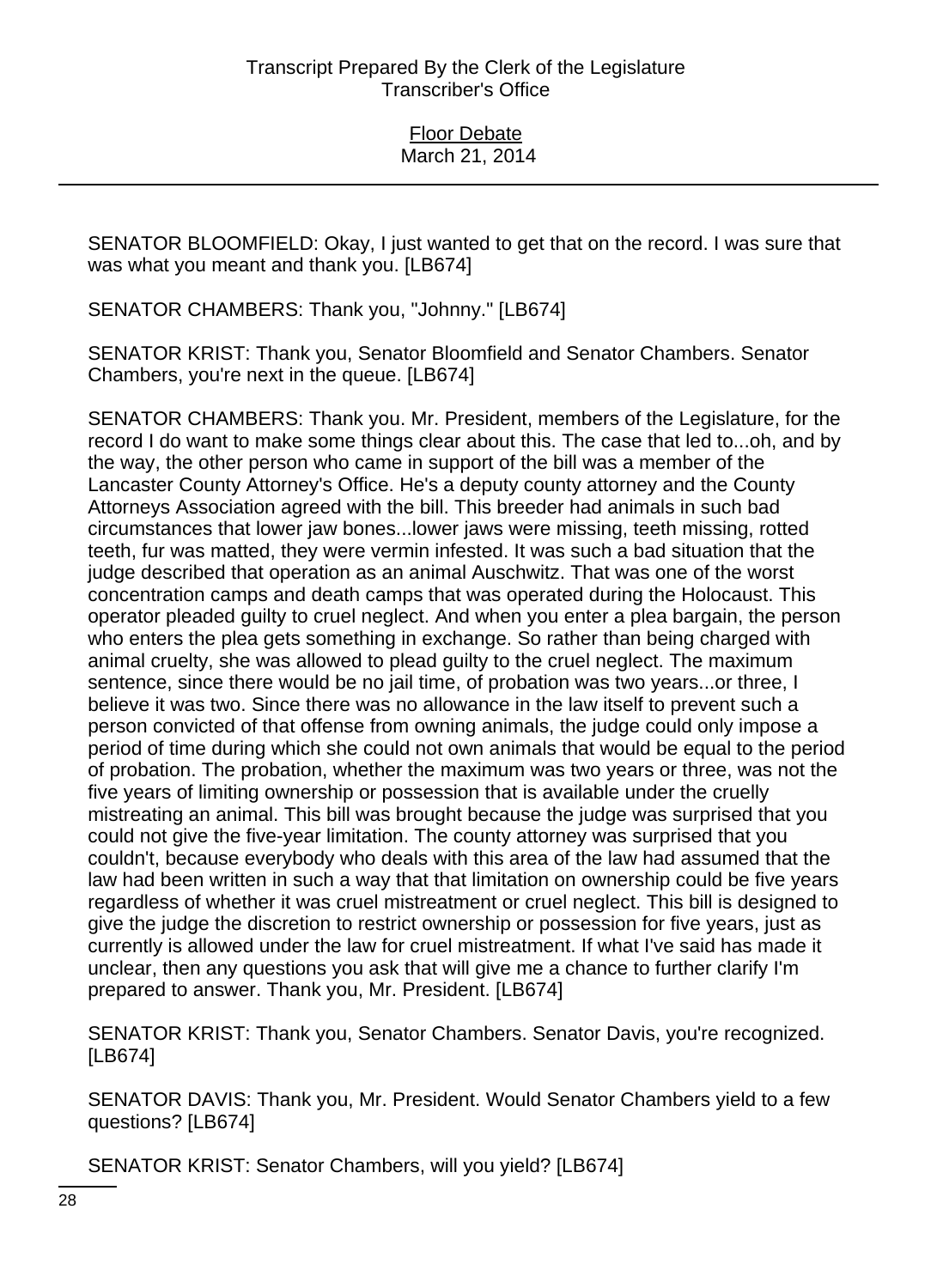SENATOR BLOOMFIELD: Okay, I just wanted to get that on the record. I was sure that was what you meant and thank you. [LB674]

SENATOR CHAMBERS: Thank you, "Johnny." [LB674]

SENATOR KRIST: Thank you, Senator Bloomfield and Senator Chambers. Senator Chambers, you're next in the queue. [LB674]

SENATOR CHAMBERS: Thank you. Mr. President, members of the Legislature, for the record I do want to make some things clear about this. The case that led to...oh, and by the way, the other person who came in support of the bill was a member of the Lancaster County Attorney's Office. He's a deputy county attorney and the County Attorneys Association agreed with the bill. This breeder had animals in such bad circumstances that lower jaw bones...lower jaws were missing, teeth missing, rotted teeth, fur was matted, they were vermin infested. It was such a bad situation that the judge described that operation as an animal Auschwitz. That was one of the worst concentration camps and death camps that was operated during the Holocaust. This operator pleaded guilty to cruel neglect. And when you enter a plea bargain, the person who enters the plea gets something in exchange. So rather than being charged with animal cruelty, she was allowed to plead guilty to the cruel neglect. The maximum sentence, since there would be no jail time, of probation was two years...or three, I believe it was two. Since there was no allowance in the law itself to prevent such a person convicted of that offense from owning animals, the judge could only impose a period of time during which she could not own animals that would be equal to the period of probation. The probation, whether the maximum was two years or three, was not the five years of limiting ownership or possession that is available under the cruelly mistreating an animal. This bill was brought because the judge was surprised that you could not give the five-year limitation. The county attorney was surprised that you couldn't, because everybody who deals with this area of the law had assumed that the law had been written in such a way that that limitation on ownership could be five years regardless of whether it was cruel mistreatment or cruel neglect. This bill is designed to give the judge the discretion to restrict ownership or possession for five years, just as currently is allowed under the law for cruel mistreatment. If what I've said has made it unclear, then any questions you ask that will give me a chance to further clarify I'm prepared to answer. Thank you, Mr. President. [LB674]

SENATOR KRIST: Thank you, Senator Chambers. Senator Davis, you're recognized. [LB674]

SENATOR DAVIS: Thank you, Mr. President. Would Senator Chambers yield to a few questions? [LB674]

SENATOR KRIST: Senator Chambers, will you yield? [LB674]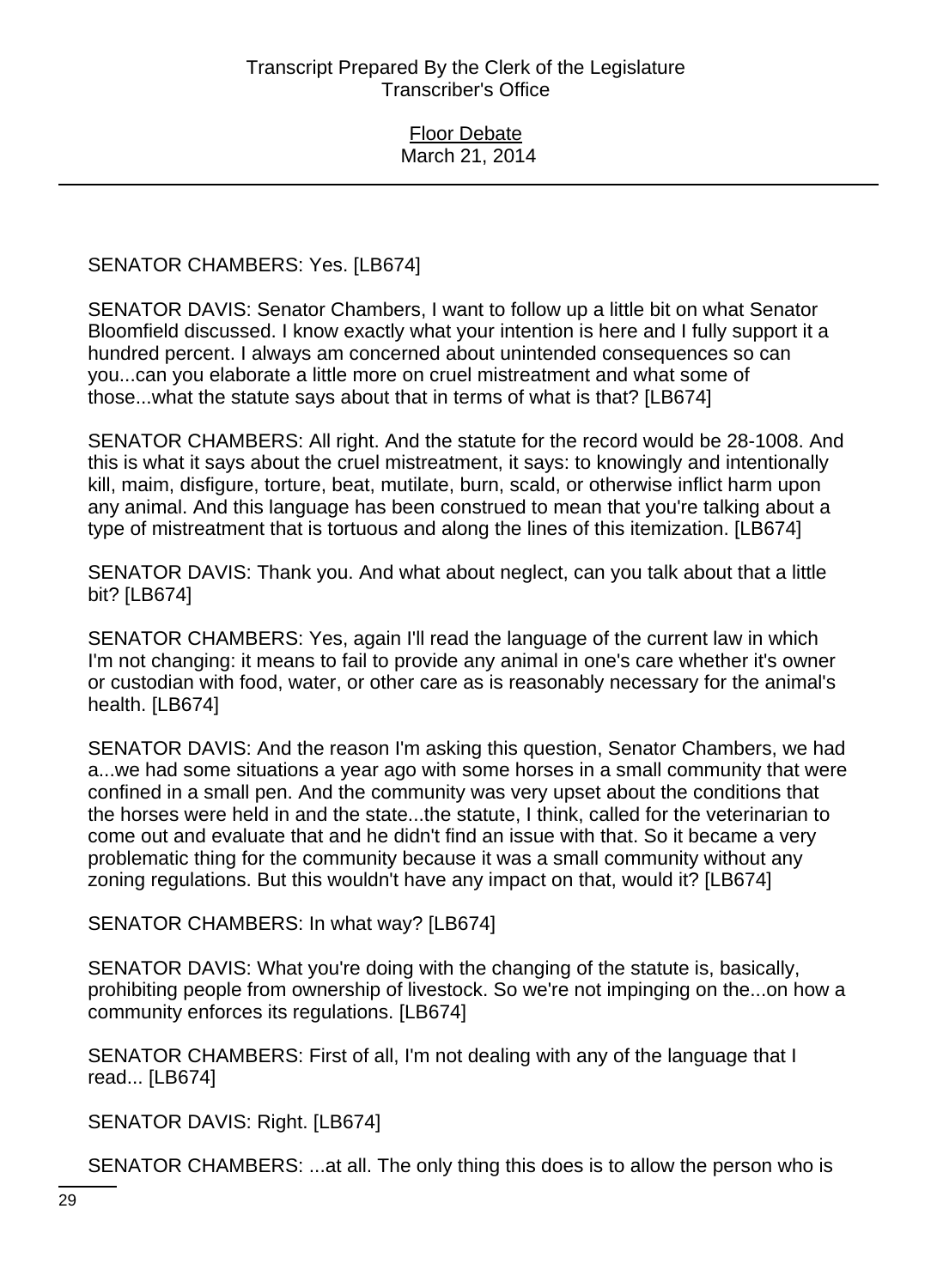SENATOR CHAMBERS: Yes. [LB674]

SENATOR DAVIS: Senator Chambers, I want to follow up a little bit on what Senator Bloomfield discussed. I know exactly what your intention is here and I fully support it a hundred percent. I always am concerned about unintended consequences so can you...can you elaborate a little more on cruel mistreatment and what some of those...what the statute says about that in terms of what is that? [LB674]

SENATOR CHAMBERS: All right. And the statute for the record would be 28-1008. And this is what it says about the cruel mistreatment, it says: to knowingly and intentionally kill, maim, disfigure, torture, beat, mutilate, burn, scald, or otherwise inflict harm upon any animal. And this language has been construed to mean that you're talking about a type of mistreatment that is tortuous and along the lines of this itemization. [LB674]

SENATOR DAVIS: Thank you. And what about neglect, can you talk about that a little bit? [LB674]

SENATOR CHAMBERS: Yes, again I'll read the language of the current law in which I'm not changing: it means to fail to provide any animal in one's care whether it's owner or custodian with food, water, or other care as is reasonably necessary for the animal's health. [LB674]

SENATOR DAVIS: And the reason I'm asking this question, Senator Chambers, we had a...we had some situations a year ago with some horses in a small community that were confined in a small pen. And the community was very upset about the conditions that the horses were held in and the state...the statute, I think, called for the veterinarian to come out and evaluate that and he didn't find an issue with that. So it became a very problematic thing for the community because it was a small community without any zoning regulations. But this wouldn't have any impact on that, would it? [LB674]

SENATOR CHAMBERS: In what way? [LB674]

SENATOR DAVIS: What you're doing with the changing of the statute is, basically, prohibiting people from ownership of livestock. So we're not impinging on the...on how a community enforces its regulations. [LB674]

SENATOR CHAMBERS: First of all, I'm not dealing with any of the language that I read... [LB674]

SENATOR DAVIS: Right. [LB674]

SENATOR CHAMBERS: ...at all. The only thing this does is to allow the person who is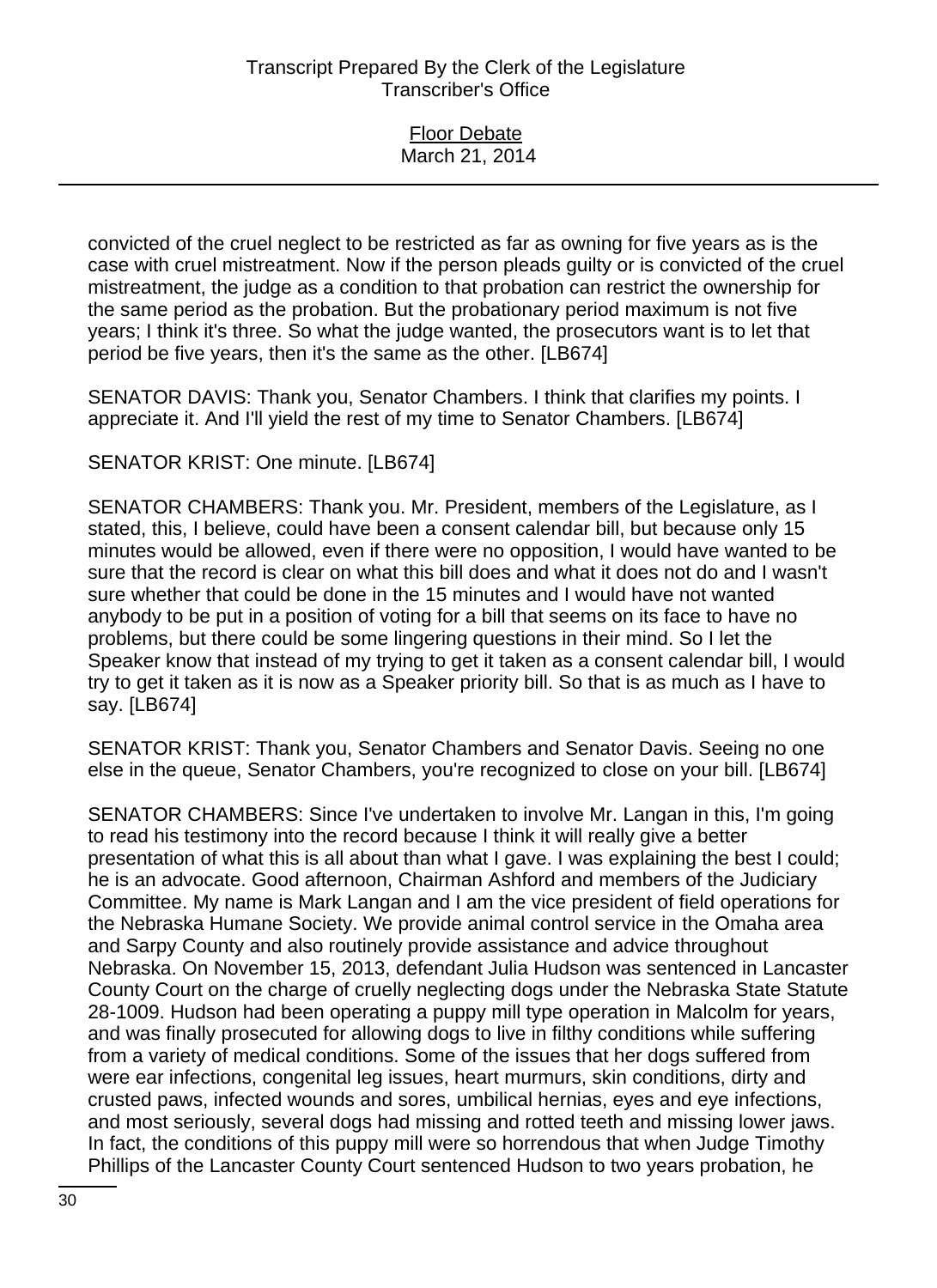| <b>Floor Debate</b> |
|---------------------|
| March 21, 2014      |
|                     |

convicted of the cruel neglect to be restricted as far as owning for five years as is the case with cruel mistreatment. Now if the person pleads guilty or is convicted of the cruel mistreatment, the judge as a condition to that probation can restrict the ownership for the same period as the probation. But the probationary period maximum is not five years; I think it's three. So what the judge wanted, the prosecutors want is to let that period be five years, then it's the same as the other. [LB674]

SENATOR DAVIS: Thank you, Senator Chambers. I think that clarifies my points. I appreciate it. And I'll yield the rest of my time to Senator Chambers. [LB674]

SENATOR KRIST: One minute. [LB674]

SENATOR CHAMBERS: Thank you. Mr. President, members of the Legislature, as I stated, this, I believe, could have been a consent calendar bill, but because only 15 minutes would be allowed, even if there were no opposition, I would have wanted to be sure that the record is clear on what this bill does and what it does not do and I wasn't sure whether that could be done in the 15 minutes and I would have not wanted anybody to be put in a position of voting for a bill that seems on its face to have no problems, but there could be some lingering questions in their mind. So I let the Speaker know that instead of my trying to get it taken as a consent calendar bill, I would try to get it taken as it is now as a Speaker priority bill. So that is as much as I have to say. [LB674]

SENATOR KRIST: Thank you, Senator Chambers and Senator Davis. Seeing no one else in the queue, Senator Chambers, you're recognized to close on your bill. [LB674]

SENATOR CHAMBERS: Since I've undertaken to involve Mr. Langan in this, I'm going to read his testimony into the record because I think it will really give a better presentation of what this is all about than what I gave. I was explaining the best I could; he is an advocate. Good afternoon, Chairman Ashford and members of the Judiciary Committee. My name is Mark Langan and I am the vice president of field operations for the Nebraska Humane Society. We provide animal control service in the Omaha area and Sarpy County and also routinely provide assistance and advice throughout Nebraska. On November 15, 2013, defendant Julia Hudson was sentenced in Lancaster County Court on the charge of cruelly neglecting dogs under the Nebraska State Statute 28-1009. Hudson had been operating a puppy mill type operation in Malcolm for years, and was finally prosecuted for allowing dogs to live in filthy conditions while suffering from a variety of medical conditions. Some of the issues that her dogs suffered from were ear infections, congenital leg issues, heart murmurs, skin conditions, dirty and crusted paws, infected wounds and sores, umbilical hernias, eyes and eye infections, and most seriously, several dogs had missing and rotted teeth and missing lower jaws. In fact, the conditions of this puppy mill were so horrendous that when Judge Timothy Phillips of the Lancaster County Court sentenced Hudson to two years probation, he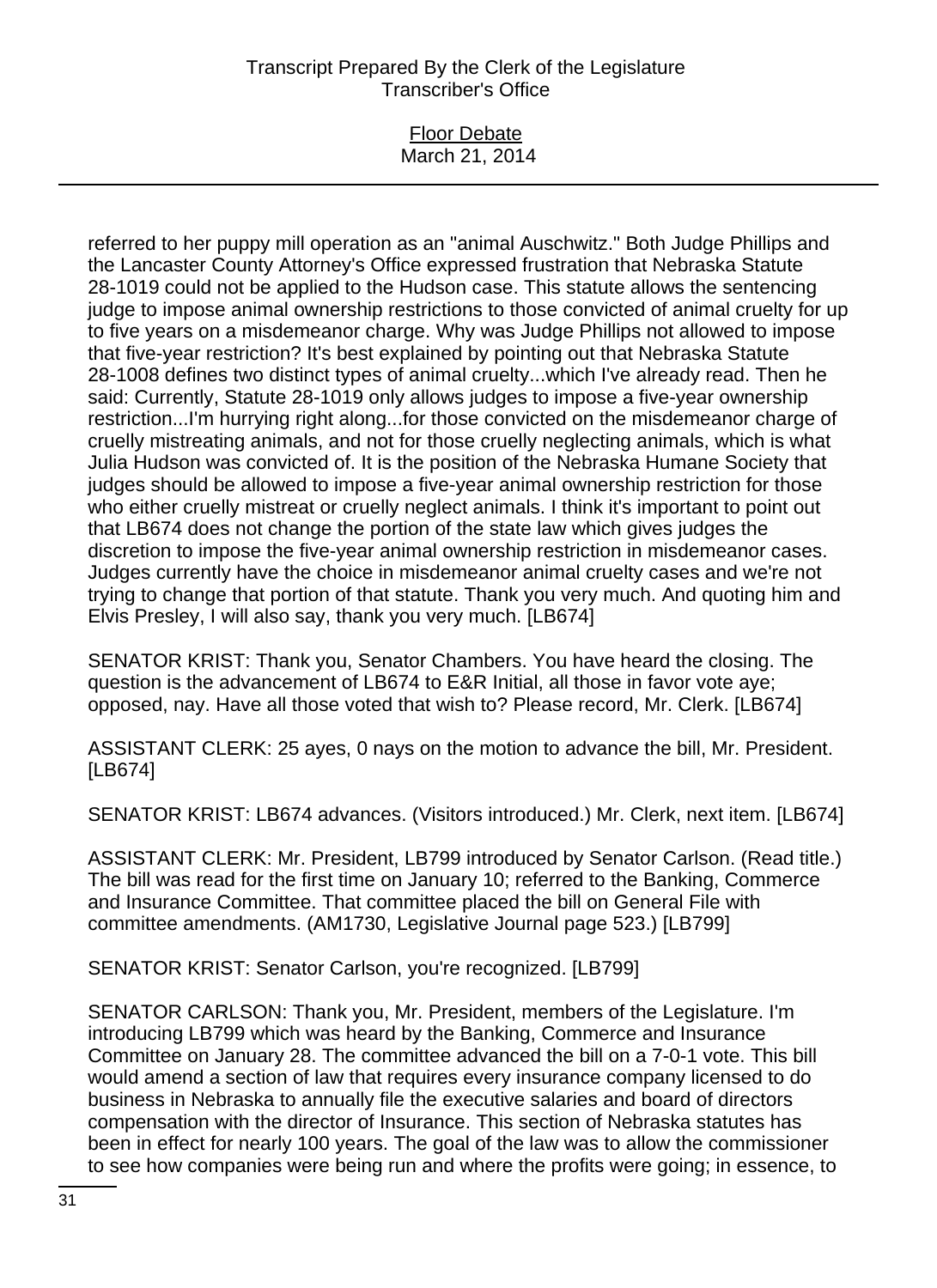#### Floor Debate March 21, 2014

referred to her puppy mill operation as an "animal Auschwitz." Both Judge Phillips and the Lancaster County Attorney's Office expressed frustration that Nebraska Statute 28-1019 could not be applied to the Hudson case. This statute allows the sentencing judge to impose animal ownership restrictions to those convicted of animal cruelty for up to five years on a misdemeanor charge. Why was Judge Phillips not allowed to impose that five-year restriction? It's best explained by pointing out that Nebraska Statute 28-1008 defines two distinct types of animal cruelty...which I've already read. Then he said: Currently, Statute 28-1019 only allows judges to impose a five-year ownership restriction...I'm hurrying right along...for those convicted on the misdemeanor charge of cruelly mistreating animals, and not for those cruelly neglecting animals, which is what Julia Hudson was convicted of. It is the position of the Nebraska Humane Society that judges should be allowed to impose a five-year animal ownership restriction for those who either cruelly mistreat or cruelly neglect animals. I think it's important to point out that LB674 does not change the portion of the state law which gives judges the discretion to impose the five-year animal ownership restriction in misdemeanor cases. Judges currently have the choice in misdemeanor animal cruelty cases and we're not trying to change that portion of that statute. Thank you very much. And quoting him and Elvis Presley, I will also say, thank you very much. [LB674]

SENATOR KRIST: Thank you, Senator Chambers. You have heard the closing. The question is the advancement of LB674 to E&R Initial, all those in favor vote aye; opposed, nay. Have all those voted that wish to? Please record, Mr. Clerk. [LB674]

ASSISTANT CLERK: 25 ayes, 0 nays on the motion to advance the bill, Mr. President. [LB674]

SENATOR KRIST: LB674 advances. (Visitors introduced.) Mr. Clerk, next item. [LB674]

ASSISTANT CLERK: Mr. President, LB799 introduced by Senator Carlson. (Read title.) The bill was read for the first time on January 10; referred to the Banking, Commerce and Insurance Committee. That committee placed the bill on General File with committee amendments. (AM1730, Legislative Journal page 523.) [LB799]

SENATOR KRIST: Senator Carlson, you're recognized. [LB799]

SENATOR CARLSON: Thank you, Mr. President, members of the Legislature. I'm introducing LB799 which was heard by the Banking, Commerce and Insurance Committee on January 28. The committee advanced the bill on a 7-0-1 vote. This bill would amend a section of law that requires every insurance company licensed to do business in Nebraska to annually file the executive salaries and board of directors compensation with the director of Insurance. This section of Nebraska statutes has been in effect for nearly 100 years. The goal of the law was to allow the commissioner to see how companies were being run and where the profits were going; in essence, to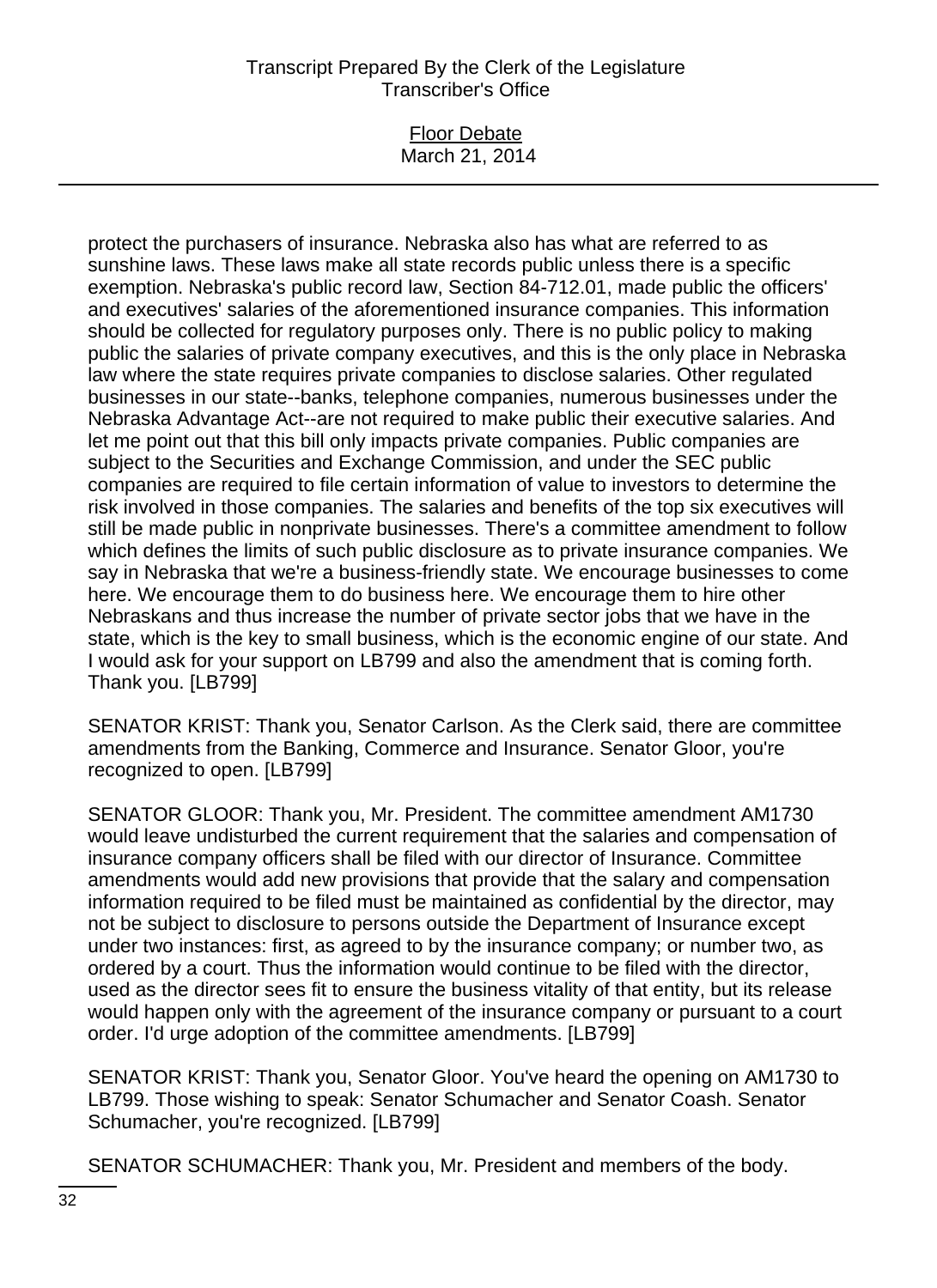#### Floor Debate March 21, 2014

protect the purchasers of insurance. Nebraska also has what are referred to as sunshine laws. These laws make all state records public unless there is a specific exemption. Nebraska's public record law, Section 84-712.01, made public the officers' and executives' salaries of the aforementioned insurance companies. This information should be collected for regulatory purposes only. There is no public policy to making public the salaries of private company executives, and this is the only place in Nebraska law where the state requires private companies to disclose salaries. Other regulated businesses in our state--banks, telephone companies, numerous businesses under the Nebraska Advantage Act--are not required to make public their executive salaries. And let me point out that this bill only impacts private companies. Public companies are subject to the Securities and Exchange Commission, and under the SEC public companies are required to file certain information of value to investors to determine the risk involved in those companies. The salaries and benefits of the top six executives will still be made public in nonprivate businesses. There's a committee amendment to follow which defines the limits of such public disclosure as to private insurance companies. We say in Nebraska that we're a business-friendly state. We encourage businesses to come here. We encourage them to do business here. We encourage them to hire other Nebraskans and thus increase the number of private sector jobs that we have in the state, which is the key to small business, which is the economic engine of our state. And I would ask for your support on LB799 and also the amendment that is coming forth. Thank you. [LB799]

SENATOR KRIST: Thank you, Senator Carlson. As the Clerk said, there are committee amendments from the Banking, Commerce and Insurance. Senator Gloor, you're recognized to open. [LB799]

SENATOR GLOOR: Thank you, Mr. President. The committee amendment AM1730 would leave undisturbed the current requirement that the salaries and compensation of insurance company officers shall be filed with our director of Insurance. Committee amendments would add new provisions that provide that the salary and compensation information required to be filed must be maintained as confidential by the director, may not be subject to disclosure to persons outside the Department of Insurance except under two instances: first, as agreed to by the insurance company; or number two, as ordered by a court. Thus the information would continue to be filed with the director, used as the director sees fit to ensure the business vitality of that entity, but its release would happen only with the agreement of the insurance company or pursuant to a court order. I'd urge adoption of the committee amendments. [LB799]

SENATOR KRIST: Thank you, Senator Gloor. You've heard the opening on AM1730 to LB799. Those wishing to speak: Senator Schumacher and Senator Coash. Senator Schumacher, you're recognized. [LB799]

SENATOR SCHUMACHER: Thank you, Mr. President and members of the body.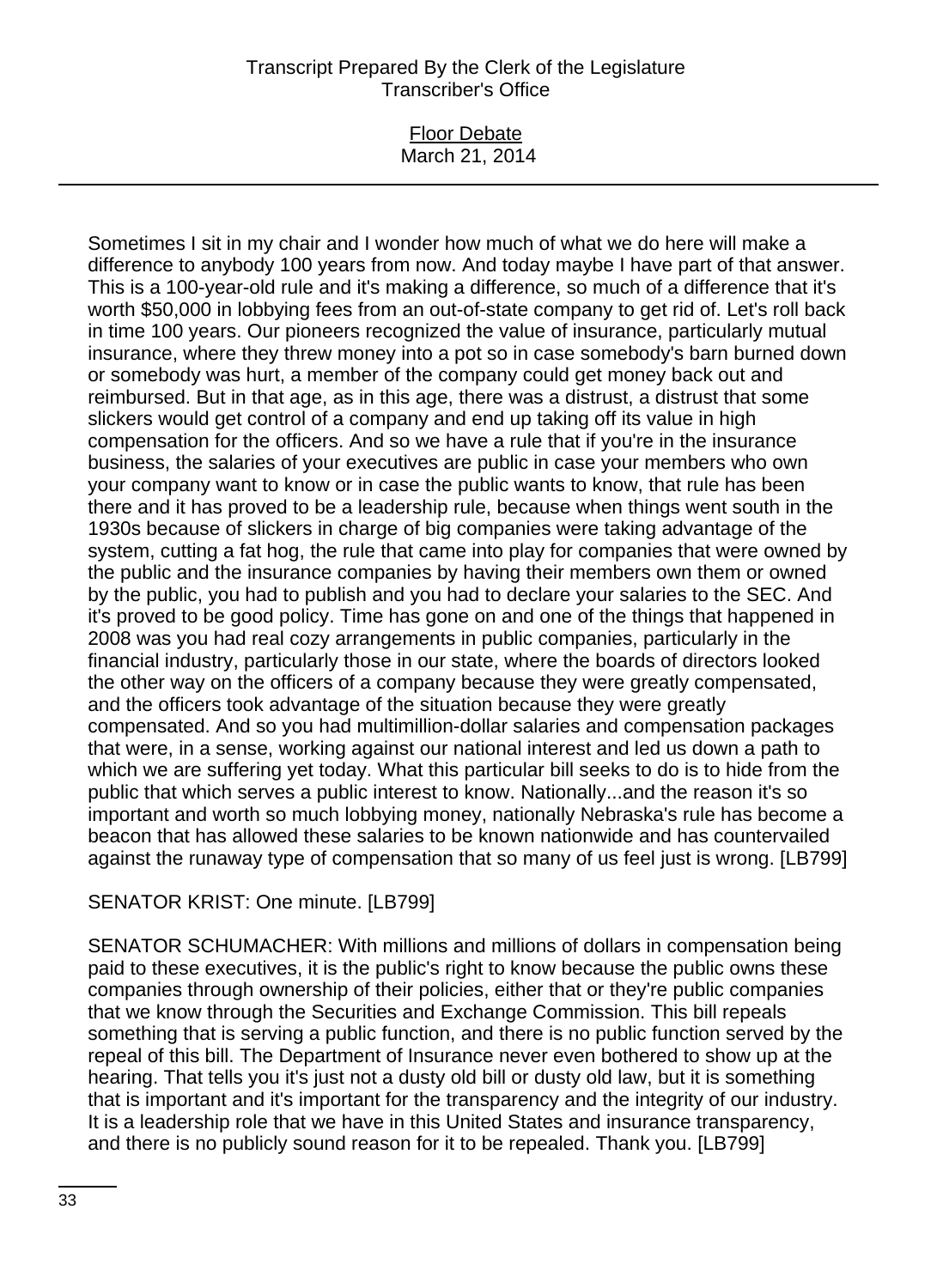### Floor Debate March 21, 2014

Sometimes I sit in my chair and I wonder how much of what we do here will make a difference to anybody 100 years from now. And today maybe I have part of that answer. This is a 100-year-old rule and it's making a difference, so much of a difference that it's worth \$50,000 in lobbying fees from an out-of-state company to get rid of. Let's roll back in time 100 years. Our pioneers recognized the value of insurance, particularly mutual insurance, where they threw money into a pot so in case somebody's barn burned down or somebody was hurt, a member of the company could get money back out and reimbursed. But in that age, as in this age, there was a distrust, a distrust that some slickers would get control of a company and end up taking off its value in high compensation for the officers. And so we have a rule that if you're in the insurance business, the salaries of your executives are public in case your members who own your company want to know or in case the public wants to know, that rule has been there and it has proved to be a leadership rule, because when things went south in the 1930s because of slickers in charge of big companies were taking advantage of the system, cutting a fat hog, the rule that came into play for companies that were owned by the public and the insurance companies by having their members own them or owned by the public, you had to publish and you had to declare your salaries to the SEC. And it's proved to be good policy. Time has gone on and one of the things that happened in 2008 was you had real cozy arrangements in public companies, particularly in the financial industry, particularly those in our state, where the boards of directors looked the other way on the officers of a company because they were greatly compensated, and the officers took advantage of the situation because they were greatly compensated. And so you had multimillion-dollar salaries and compensation packages that were, in a sense, working against our national interest and led us down a path to which we are suffering yet today. What this particular bill seeks to do is to hide from the public that which serves a public interest to know. Nationally...and the reason it's so important and worth so much lobbying money, nationally Nebraska's rule has become a beacon that has allowed these salaries to be known nationwide and has countervailed against the runaway type of compensation that so many of us feel just is wrong. [LB799]

# SENATOR KRIST: One minute. [LB799]

SENATOR SCHUMACHER: With millions and millions of dollars in compensation being paid to these executives, it is the public's right to know because the public owns these companies through ownership of their policies, either that or they're public companies that we know through the Securities and Exchange Commission. This bill repeals something that is serving a public function, and there is no public function served by the repeal of this bill. The Department of Insurance never even bothered to show up at the hearing. That tells you it's just not a dusty old bill or dusty old law, but it is something that is important and it's important for the transparency and the integrity of our industry. It is a leadership role that we have in this United States and insurance transparency, and there is no publicly sound reason for it to be repealed. Thank you. [LB799]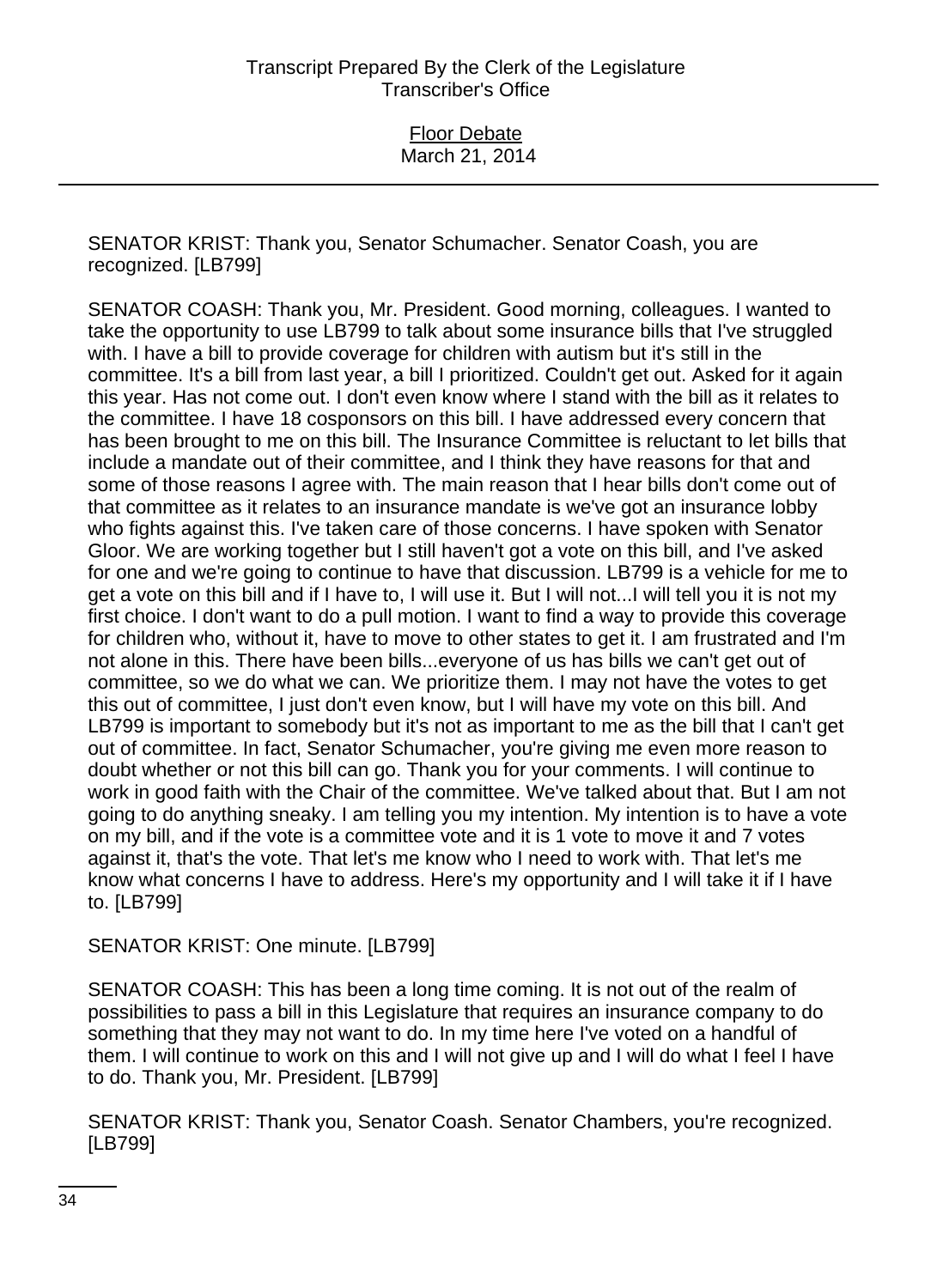SENATOR KRIST: Thank you, Senator Schumacher. Senator Coash, you are recognized. [LB799]

SENATOR COASH: Thank you, Mr. President. Good morning, colleagues. I wanted to take the opportunity to use LB799 to talk about some insurance bills that I've struggled with. I have a bill to provide coverage for children with autism but it's still in the committee. It's a bill from last year, a bill I prioritized. Couldn't get out. Asked for it again this year. Has not come out. I don't even know where I stand with the bill as it relates to the committee. I have 18 cosponsors on this bill. I have addressed every concern that has been brought to me on this bill. The Insurance Committee is reluctant to let bills that include a mandate out of their committee, and I think they have reasons for that and some of those reasons I agree with. The main reason that I hear bills don't come out of that committee as it relates to an insurance mandate is we've got an insurance lobby who fights against this. I've taken care of those concerns. I have spoken with Senator Gloor. We are working together but I still haven't got a vote on this bill, and I've asked for one and we're going to continue to have that discussion. LB799 is a vehicle for me to get a vote on this bill and if I have to, I will use it. But I will not...I will tell you it is not my first choice. I don't want to do a pull motion. I want to find a way to provide this coverage for children who, without it, have to move to other states to get it. I am frustrated and I'm not alone in this. There have been bills...everyone of us has bills we can't get out of committee, so we do what we can. We prioritize them. I may not have the votes to get this out of committee, I just don't even know, but I will have my vote on this bill. And LB799 is important to somebody but it's not as important to me as the bill that I can't get out of committee. In fact, Senator Schumacher, you're giving me even more reason to doubt whether or not this bill can go. Thank you for your comments. I will continue to work in good faith with the Chair of the committee. We've talked about that. But I am not going to do anything sneaky. I am telling you my intention. My intention is to have a vote on my bill, and if the vote is a committee vote and it is 1 vote to move it and 7 votes against it, that's the vote. That let's me know who I need to work with. That let's me know what concerns I have to address. Here's my opportunity and I will take it if I have to. [LB799]

SENATOR KRIST: One minute. [LB799]

SENATOR COASH: This has been a long time coming. It is not out of the realm of possibilities to pass a bill in this Legislature that requires an insurance company to do something that they may not want to do. In my time here I've voted on a handful of them. I will continue to work on this and I will not give up and I will do what I feel I have to do. Thank you, Mr. President. [LB799]

SENATOR KRIST: Thank you, Senator Coash. Senator Chambers, you're recognized. [LB799]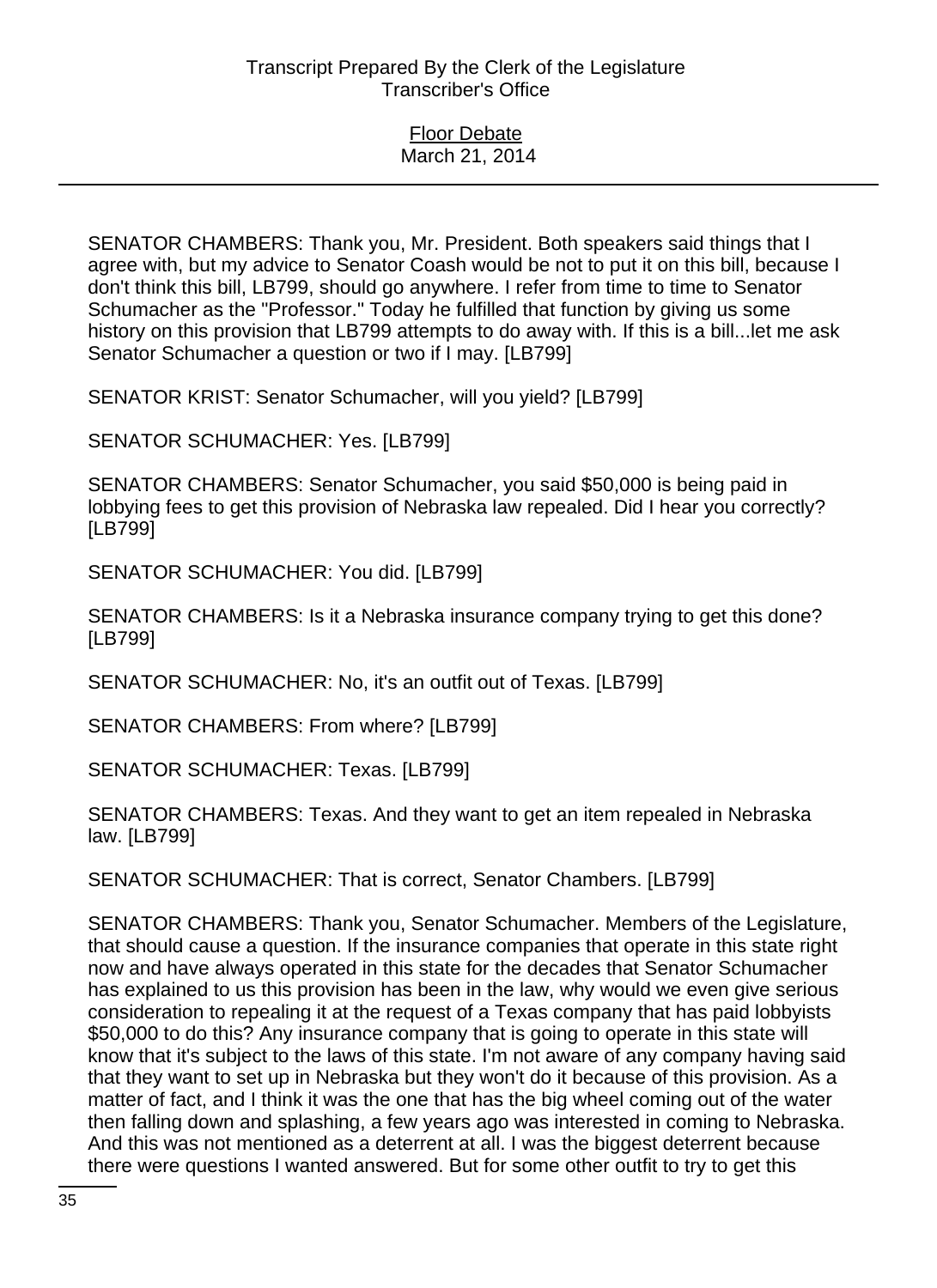SENATOR CHAMBERS: Thank you, Mr. President. Both speakers said things that I agree with, but my advice to Senator Coash would be not to put it on this bill, because I don't think this bill, LB799, should go anywhere. I refer from time to time to Senator Schumacher as the "Professor." Today he fulfilled that function by giving us some history on this provision that LB799 attempts to do away with. If this is a bill...let me ask Senator Schumacher a question or two if I may. [LB799]

SENATOR KRIST: Senator Schumacher, will you yield? [LB799]

SENATOR SCHUMACHER: Yes. [LB799]

SENATOR CHAMBERS: Senator Schumacher, you said \$50,000 is being paid in lobbying fees to get this provision of Nebraska law repealed. Did I hear you correctly? [LB799]

SENATOR SCHUMACHER: You did. [LB799]

SENATOR CHAMBERS: Is it a Nebraska insurance company trying to get this done? [LB799]

SENATOR SCHUMACHER: No, it's an outfit out of Texas. [LB799]

SENATOR CHAMBERS: From where? [LB799]

SENATOR SCHUMACHER: Texas. [LB799]

SENATOR CHAMBERS: Texas. And they want to get an item repealed in Nebraska law. [LB799]

SENATOR SCHUMACHER: That is correct, Senator Chambers. [LB799]

SENATOR CHAMBERS: Thank you, Senator Schumacher. Members of the Legislature, that should cause a question. If the insurance companies that operate in this state right now and have always operated in this state for the decades that Senator Schumacher has explained to us this provision has been in the law, why would we even give serious consideration to repealing it at the request of a Texas company that has paid lobbyists \$50,000 to do this? Any insurance company that is going to operate in this state will know that it's subject to the laws of this state. I'm not aware of any company having said that they want to set up in Nebraska but they won't do it because of this provision. As a matter of fact, and I think it was the one that has the big wheel coming out of the water then falling down and splashing, a few years ago was interested in coming to Nebraska. And this was not mentioned as a deterrent at all. I was the biggest deterrent because there were questions I wanted answered. But for some other outfit to try to get this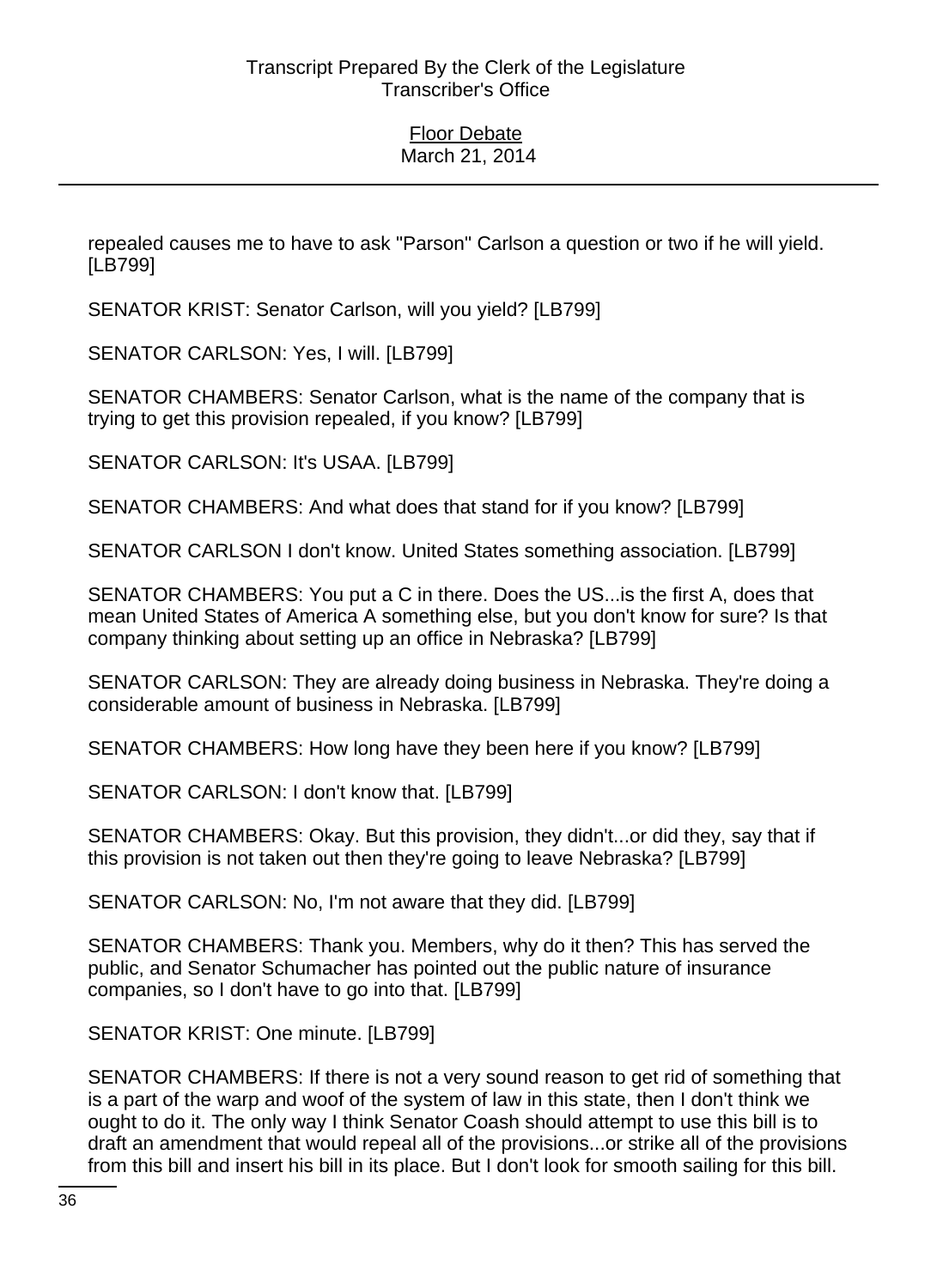repealed causes me to have to ask "Parson" Carlson a question or two if he will yield. [LB799]

SENATOR KRIST: Senator Carlson, will you yield? [LB799]

SENATOR CARLSON: Yes, I will. [LB799]

SENATOR CHAMBERS: Senator Carlson, what is the name of the company that is trying to get this provision repealed, if you know? [LB799]

SENATOR CARLSON: It's USAA. [LB799]

SENATOR CHAMBERS: And what does that stand for if you know? [LB799]

SENATOR CARLSON I don't know. United States something association. [LB799]

SENATOR CHAMBERS: You put a C in there. Does the US...is the first A, does that mean United States of America A something else, but you don't know for sure? Is that company thinking about setting up an office in Nebraska? [LB799]

SENATOR CARLSON: They are already doing business in Nebraska. They're doing a considerable amount of business in Nebraska. [LB799]

SENATOR CHAMBERS: How long have they been here if you know? [LB799]

SENATOR CARLSON: I don't know that. [LB799]

SENATOR CHAMBERS: Okay. But this provision, they didn't...or did they, say that if this provision is not taken out then they're going to leave Nebraska? [LB799]

SENATOR CARLSON: No, I'm not aware that they did. [LB799]

SENATOR CHAMBERS: Thank you. Members, why do it then? This has served the public, and Senator Schumacher has pointed out the public nature of insurance companies, so I don't have to go into that. [LB799]

SENATOR KRIST: One minute. [LB799]

SENATOR CHAMBERS: If there is not a very sound reason to get rid of something that is a part of the warp and woof of the system of law in this state, then I don't think we ought to do it. The only way I think Senator Coash should attempt to use this bill is to draft an amendment that would repeal all of the provisions...or strike all of the provisions from this bill and insert his bill in its place. But I don't look for smooth sailing for this bill.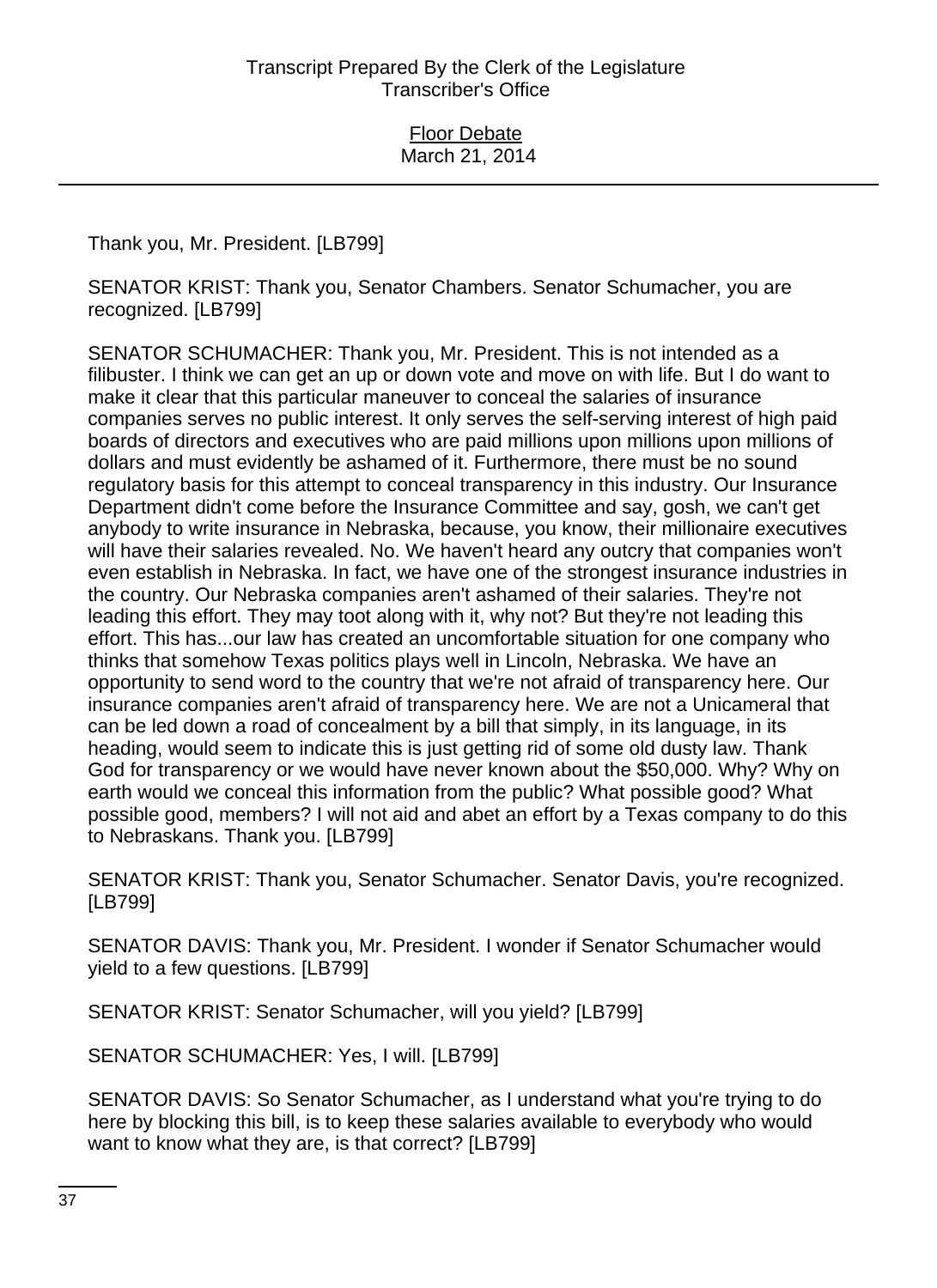Thank you, Mr. President. [LB799]

SENATOR KRIST: Thank you, Senator Chambers. Senator Schumacher, you are recognized. [LB799]

SENATOR SCHUMACHER: Thank you, Mr. President. This is not intended as a filibuster. I think we can get an up or down vote and move on with life. But I do want to make it clear that this particular maneuver to conceal the salaries of insurance companies serves no public interest. It only serves the self-serving interest of high paid boards of directors and executives who are paid millions upon millions upon millions of dollars and must evidently be ashamed of it. Furthermore, there must be no sound regulatory basis for this attempt to conceal transparency in this industry. Our Insurance Department didn't come before the Insurance Committee and say, gosh, we can't get anybody to write insurance in Nebraska, because, you know, their millionaire executives will have their salaries revealed. No. We haven't heard any outcry that companies won't even establish in Nebraska. In fact, we have one of the strongest insurance industries in the country. Our Nebraska companies aren't ashamed of their salaries. They're not leading this effort. They may toot along with it, why not? But they're not leading this effort. This has...our law has created an uncomfortable situation for one company who thinks that somehow Texas politics plays well in Lincoln, Nebraska. We have an opportunity to send word to the country that we're not afraid of transparency here. Our insurance companies aren't afraid of transparency here. We are not a Unicameral that can be led down a road of concealment by a bill that simply, in its language, in its heading, would seem to indicate this is just getting rid of some old dusty law. Thank God for transparency or we would have never known about the \$50,000. Why? Why on earth would we conceal this information from the public? What possible good? What possible good, members? I will not aid and abet an effort by a Texas company to do this to Nebraskans. Thank you. [LB799]

SENATOR KRIST: Thank you, Senator Schumacher. Senator Davis, you're recognized. [LB799]

SENATOR DAVIS: Thank you, Mr. President. I wonder if Senator Schumacher would yield to a few questions. [LB799]

SENATOR KRIST: Senator Schumacher, will you yield? [LB799]

SENATOR SCHUMACHER: Yes, I will. [LB799]

SENATOR DAVIS: So Senator Schumacher, as I understand what you're trying to do here by blocking this bill, is to keep these salaries available to everybody who would want to know what they are, is that correct? [LB799]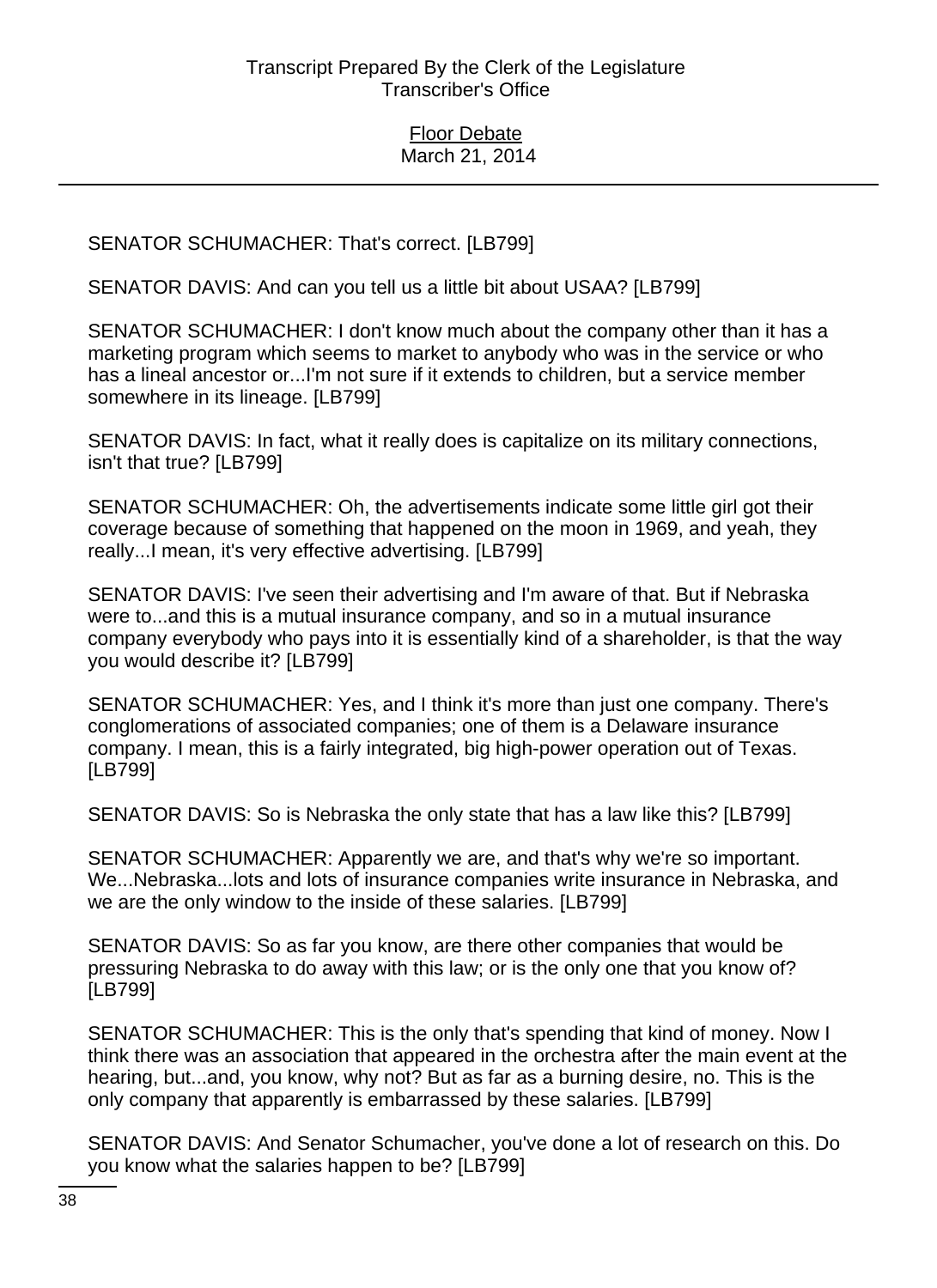SENATOR SCHUMACHER: That's correct. [LB799]

SENATOR DAVIS: And can you tell us a little bit about USAA? [LB799]

SENATOR SCHUMACHER: I don't know much about the company other than it has a marketing program which seems to market to anybody who was in the service or who has a lineal ancestor or...I'm not sure if it extends to children, but a service member somewhere in its lineage. [LB799]

SENATOR DAVIS: In fact, what it really does is capitalize on its military connections, isn't that true? [LB799]

SENATOR SCHUMACHER: Oh, the advertisements indicate some little girl got their coverage because of something that happened on the moon in 1969, and yeah, they really...I mean, it's very effective advertising. [LB799]

SENATOR DAVIS: I've seen their advertising and I'm aware of that. But if Nebraska were to...and this is a mutual insurance company, and so in a mutual insurance company everybody who pays into it is essentially kind of a shareholder, is that the way you would describe it? [LB799]

SENATOR SCHUMACHER: Yes, and I think it's more than just one company. There's conglomerations of associated companies; one of them is a Delaware insurance company. I mean, this is a fairly integrated, big high-power operation out of Texas. [LB799]

SENATOR DAVIS: So is Nebraska the only state that has a law like this? [LB799]

SENATOR SCHUMACHER: Apparently we are, and that's why we're so important. We...Nebraska...lots and lots of insurance companies write insurance in Nebraska, and we are the only window to the inside of these salaries. [LB799]

SENATOR DAVIS: So as far you know, are there other companies that would be pressuring Nebraska to do away with this law; or is the only one that you know of? [LB799]

SENATOR SCHUMACHER: This is the only that's spending that kind of money. Now I think there was an association that appeared in the orchestra after the main event at the hearing, but...and, you know, why not? But as far as a burning desire, no. This is the only company that apparently is embarrassed by these salaries. [LB799]

SENATOR DAVIS: And Senator Schumacher, you've done a lot of research on this. Do you know what the salaries happen to be? [LB799]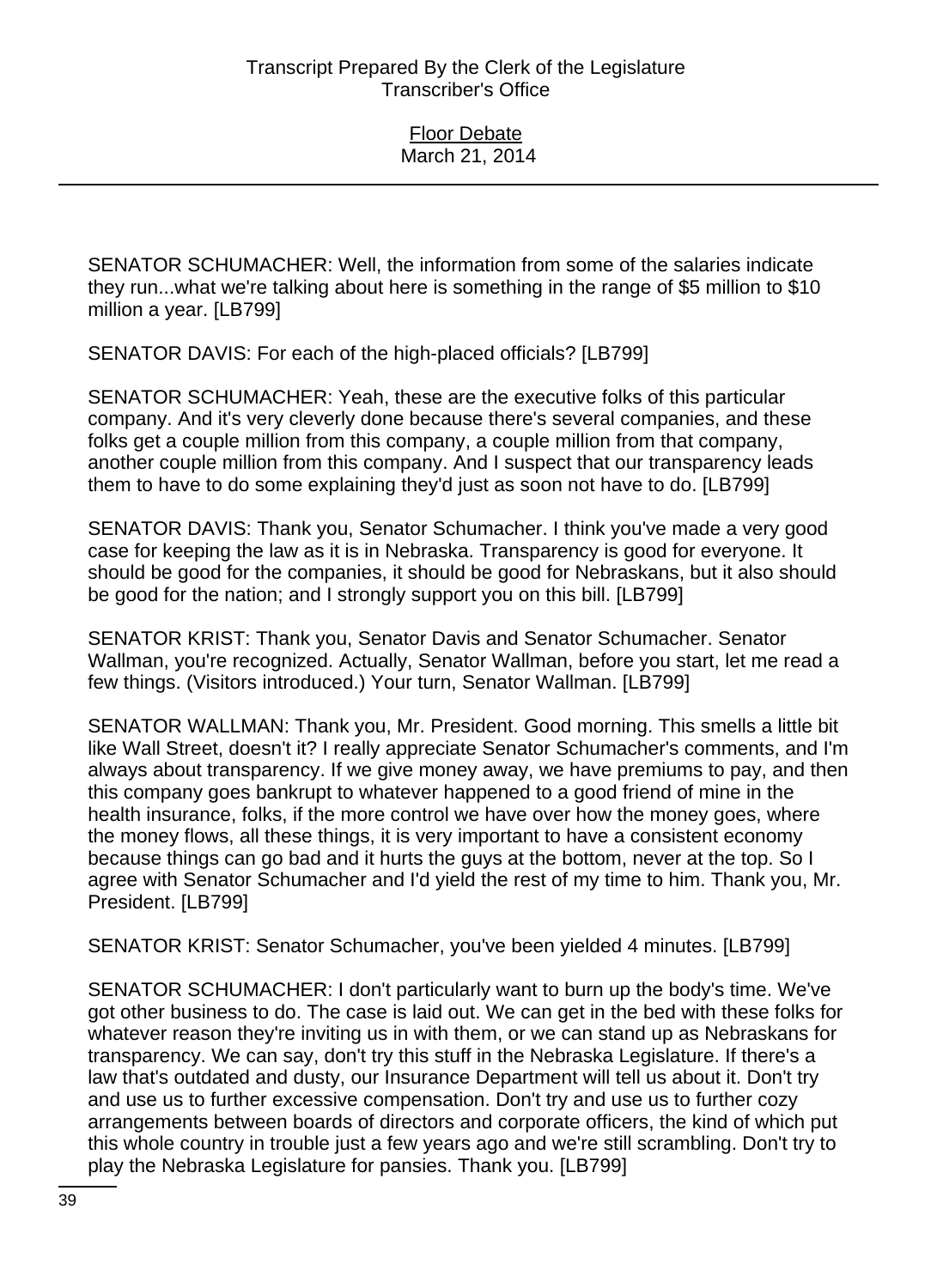SENATOR SCHUMACHER: Well, the information from some of the salaries indicate they run...what we're talking about here is something in the range of \$5 million to \$10 million a year. [LB799]

SENATOR DAVIS: For each of the high-placed officials? [LB799]

SENATOR SCHUMACHER: Yeah, these are the executive folks of this particular company. And it's very cleverly done because there's several companies, and these folks get a couple million from this company, a couple million from that company, another couple million from this company. And I suspect that our transparency leads them to have to do some explaining they'd just as soon not have to do. [LB799]

SENATOR DAVIS: Thank you, Senator Schumacher. I think you've made a very good case for keeping the law as it is in Nebraska. Transparency is good for everyone. It should be good for the companies, it should be good for Nebraskans, but it also should be good for the nation; and I strongly support you on this bill. [LB799]

SENATOR KRIST: Thank you, Senator Davis and Senator Schumacher. Senator Wallman, you're recognized. Actually, Senator Wallman, before you start, let me read a few things. (Visitors introduced.) Your turn, Senator Wallman. [LB799]

SENATOR WALLMAN: Thank you, Mr. President. Good morning. This smells a little bit like Wall Street, doesn't it? I really appreciate Senator Schumacher's comments, and I'm always about transparency. If we give money away, we have premiums to pay, and then this company goes bankrupt to whatever happened to a good friend of mine in the health insurance, folks, if the more control we have over how the money goes, where the money flows, all these things, it is very important to have a consistent economy because things can go bad and it hurts the guys at the bottom, never at the top. So I agree with Senator Schumacher and I'd yield the rest of my time to him. Thank you, Mr. President. [LB799]

SENATOR KRIST: Senator Schumacher, you've been yielded 4 minutes. [LB799]

SENATOR SCHUMACHER: I don't particularly want to burn up the body's time. We've got other business to do. The case is laid out. We can get in the bed with these folks for whatever reason they're inviting us in with them, or we can stand up as Nebraskans for transparency. We can say, don't try this stuff in the Nebraska Legislature. If there's a law that's outdated and dusty, our Insurance Department will tell us about it. Don't try and use us to further excessive compensation. Don't try and use us to further cozy arrangements between boards of directors and corporate officers, the kind of which put this whole country in trouble just a few years ago and we're still scrambling. Don't try to play the Nebraska Legislature for pansies. Thank you. [LB799]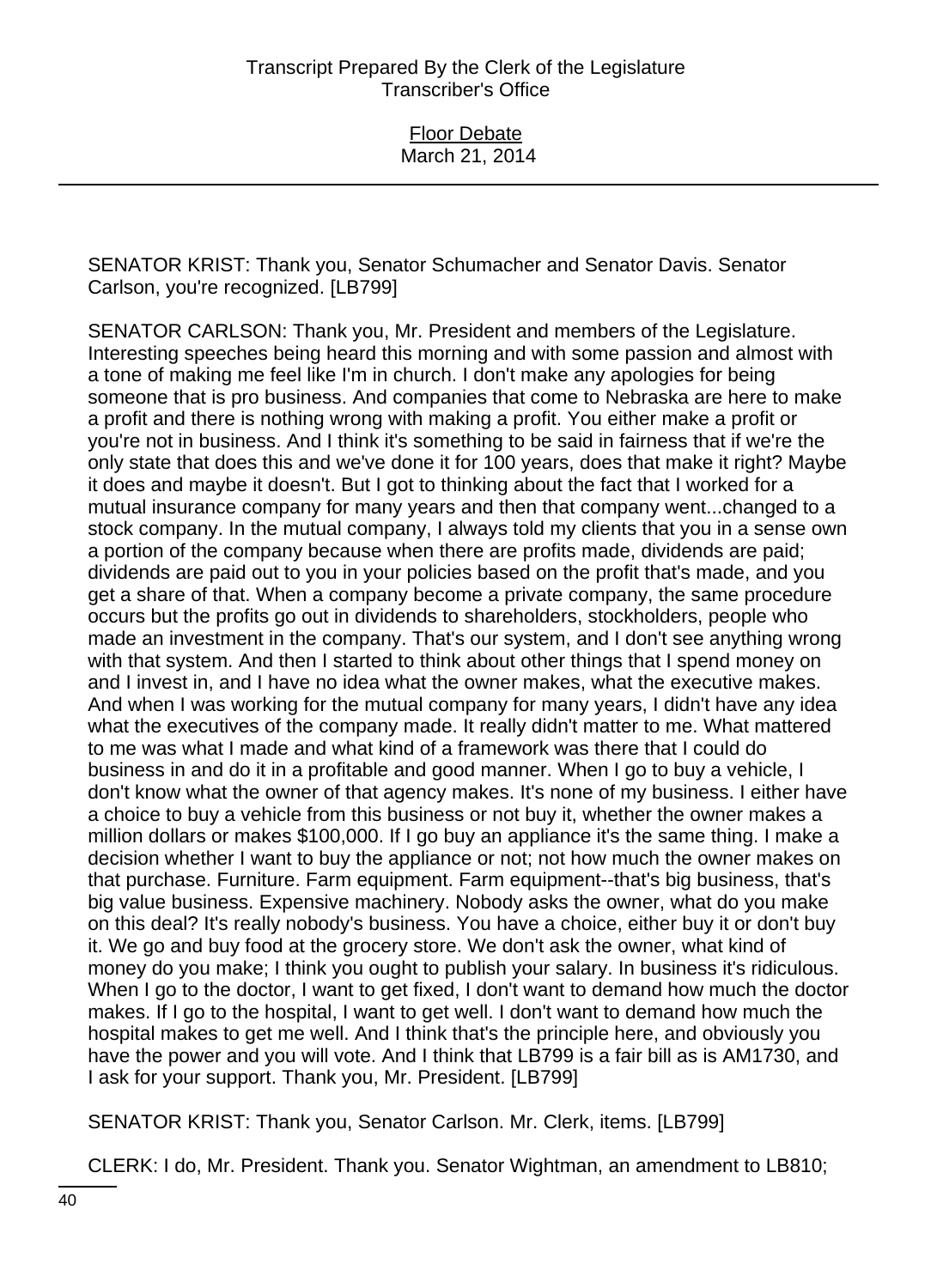SENATOR KRIST: Thank you, Senator Schumacher and Senator Davis. Senator Carlson, you're recognized. [LB799]

SENATOR CARLSON: Thank you, Mr. President and members of the Legislature. Interesting speeches being heard this morning and with some passion and almost with a tone of making me feel like I'm in church. I don't make any apologies for being someone that is pro business. And companies that come to Nebraska are here to make a profit and there is nothing wrong with making a profit. You either make a profit or you're not in business. And I think it's something to be said in fairness that if we're the only state that does this and we've done it for 100 years, does that make it right? Maybe it does and maybe it doesn't. But I got to thinking about the fact that I worked for a mutual insurance company for many years and then that company went...changed to a stock company. In the mutual company, I always told my clients that you in a sense own a portion of the company because when there are profits made, dividends are paid; dividends are paid out to you in your policies based on the profit that's made, and you get a share of that. When a company become a private company, the same procedure occurs but the profits go out in dividends to shareholders, stockholders, people who made an investment in the company. That's our system, and I don't see anything wrong with that system. And then I started to think about other things that I spend money on and I invest in, and I have no idea what the owner makes, what the executive makes. And when I was working for the mutual company for many years, I didn't have any idea what the executives of the company made. It really didn't matter to me. What mattered to me was what I made and what kind of a framework was there that I could do business in and do it in a profitable and good manner. When I go to buy a vehicle, I don't know what the owner of that agency makes. It's none of my business. I either have a choice to buy a vehicle from this business or not buy it, whether the owner makes a million dollars or makes \$100,000. If I go buy an appliance it's the same thing. I make a decision whether I want to buy the appliance or not; not how much the owner makes on that purchase. Furniture. Farm equipment. Farm equipment--that's big business, that's big value business. Expensive machinery. Nobody asks the owner, what do you make on this deal? It's really nobody's business. You have a choice, either buy it or don't buy it. We go and buy food at the grocery store. We don't ask the owner, what kind of money do you make; I think you ought to publish your salary. In business it's ridiculous. When I go to the doctor, I want to get fixed, I don't want to demand how much the doctor makes. If I go to the hospital, I want to get well. I don't want to demand how much the hospital makes to get me well. And I think that's the principle here, and obviously you have the power and you will vote. And I think that LB799 is a fair bill as is AM1730, and I ask for your support. Thank you, Mr. President. [LB799]

SENATOR KRIST: Thank you, Senator Carlson. Mr. Clerk, items. [LB799]

CLERK: I do, Mr. President. Thank you. Senator Wightman, an amendment to LB810;